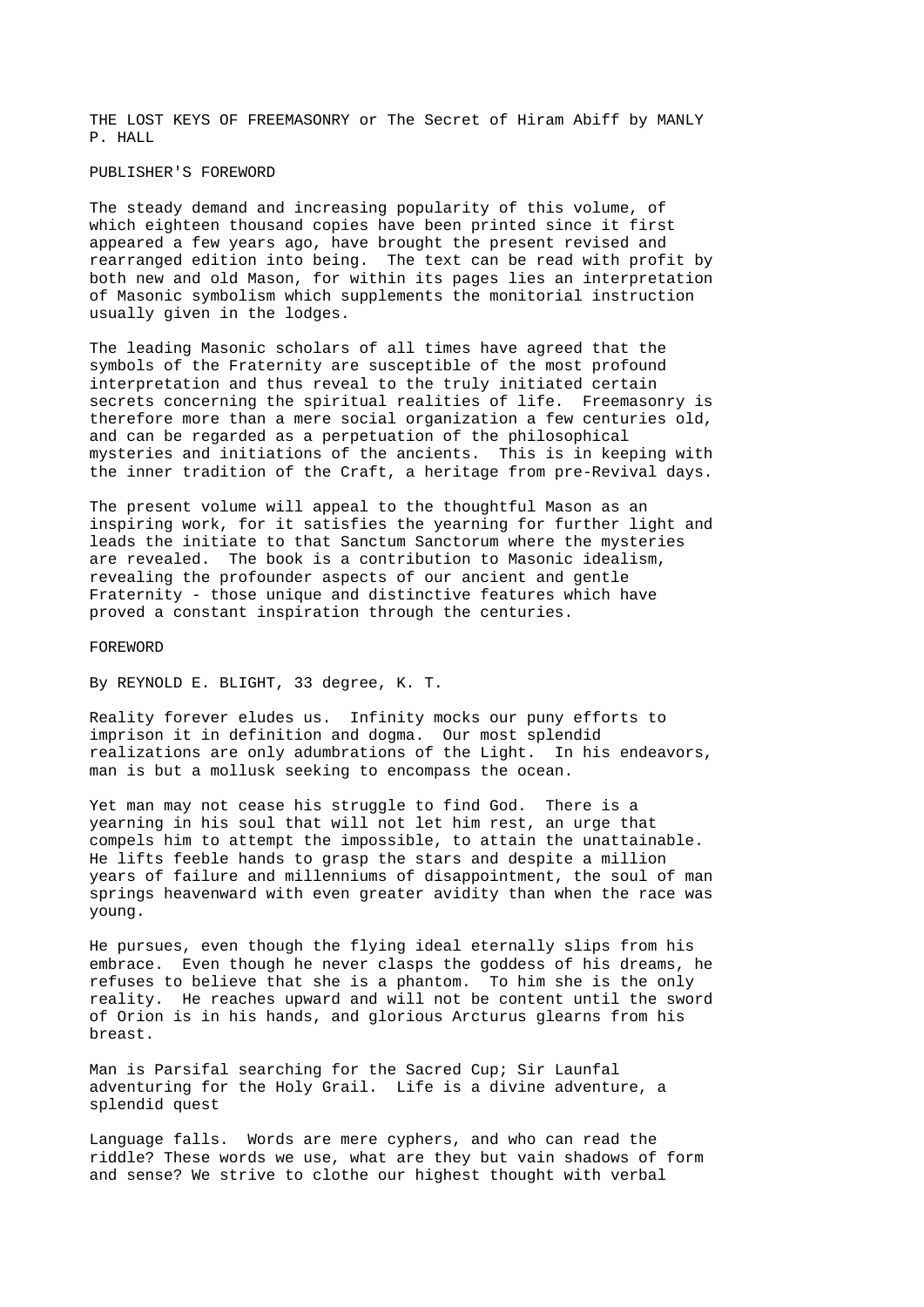THE LOST KEYS OF FREEMASONRY or The Secret of Hiram Abiff by MANLY P. HALL

## PUBLISHER'S FOREWORD

The steady demand and increasing popularity of this volume, of which eighteen thousand copies have been printed since it first appeared a few years ago, have brought the present revised and rearranged edition into being. The text can be read with profit by both new and old Mason, for within its pages lies an interpretation of Masonic symbolism which supplements the monitorial instruction usually given in the lodges.

The leading Masonic scholars of all times have agreed that the symbols of the Fraternity are susceptible of the most profound interpretation and thus reveal to the truly initiated certain secrets concerning the spiritual realities of life. Freemasonry is therefore more than a mere social organization a few centuries old, and can be regarded as a perpetuation of the philosophical mysteries and initiations of the ancients. This is in keeping with the inner tradition of the Craft, a heritage from pre-Revival days.

The present volume will appeal to the thoughtful Mason as an inspiring work, for it satisfies the yearning for further light and leads the initiate to that Sanctum Sanctorum where the mysteries are revealed. The book is a contribution to Masonic idealism, revealing the profounder aspects of our ancient and gentle Fraternity - those unique and distinctive features which have proved a constant inspiration through the centuries.

#### FOREWORD

By REYNOLD E. BLIGHT, 33 degree, K. T.

Reality forever eludes us. Infinity mocks our puny efforts to imprison it in definition and dogma. Our most splendid realizations are only adumbrations of the Light. In his endeavors, man is but a mollusk seeking to encompass the ocean.

Yet man may not cease his struggle to find God. There is a yearning in his soul that will not let him rest, an urge that compels him to attempt the impossible, to attain the unattainable. He lifts feeble hands to grasp the stars and despite a million years of failure and millenniums of disappointment, the soul of man springs heavenward with even greater avidity than when the race was young.

He pursues, even though the flying ideal eternally slips from his embrace. Even though he never clasps the goddess of his dreams, he refuses to believe that she is a phantom. To him she is the only reality. He reaches upward and will not be content until the sword of Orion is in his hands, and glorious Arcturus glearns from his breast.

Man is Parsifal searching for the Sacred Cup; Sir Launfal adventuring for the Holy Grail. Life is a divine adventure, a splendid quest

Language falls. Words are mere cyphers, and who can read the riddle? These words we use, what are they but vain shadows of form and sense? We strive to clothe our highest thought with verbal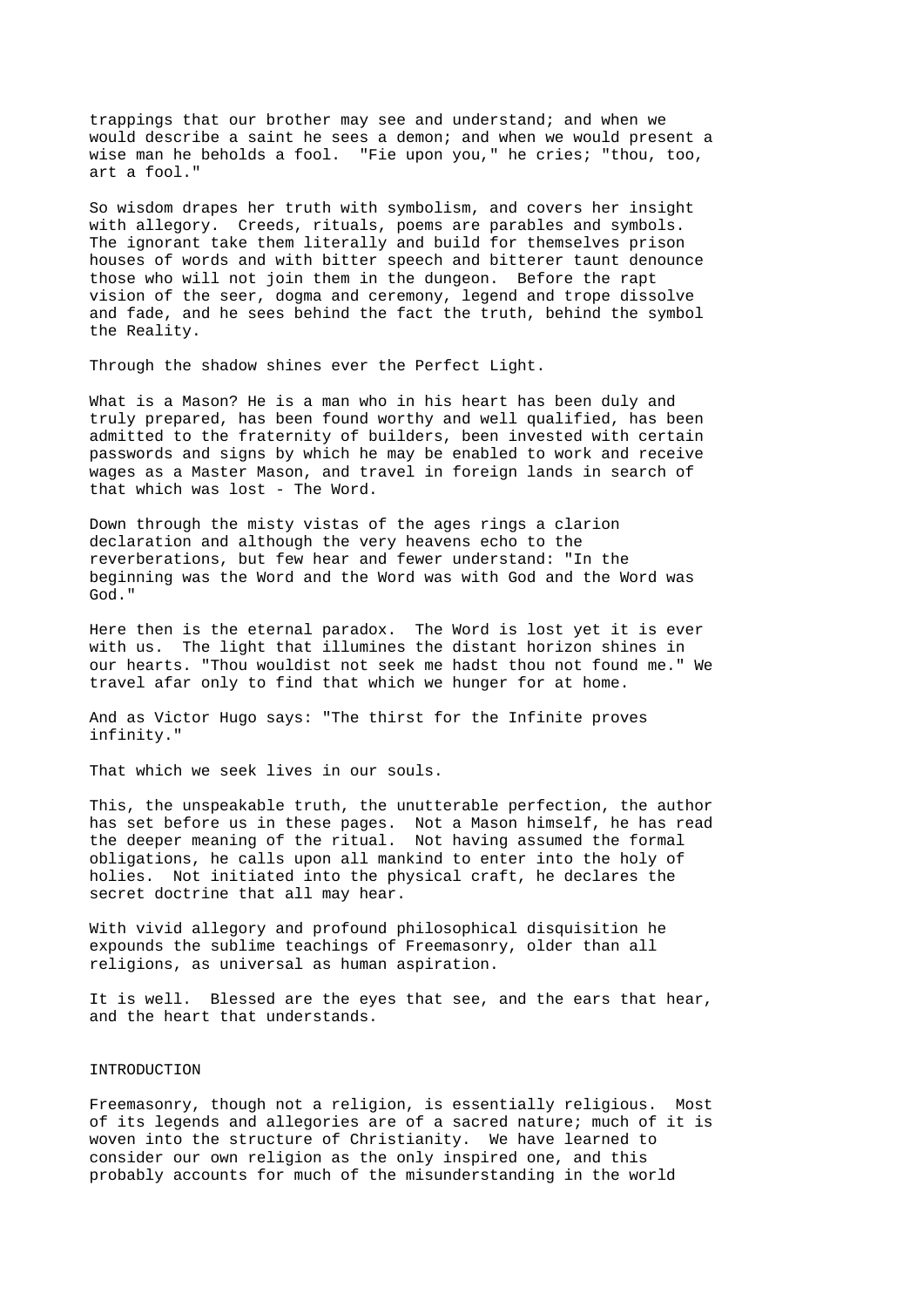trappings that our brother may see and understand; and when we would describe a saint he sees a demon; and when we would present a wise man he beholds a fool. "Fie upon you," he cries; "thou, too, art a fool."

So wisdom drapes her truth with symbolism, and covers her insight with allegory. Creeds, rituals, poems are parables and symbols. The ignorant take them literally and build for themselves prison houses of words and with bitter speech and bitterer taunt denounce those who will not join them in the dungeon. Before the rapt vision of the seer, dogma and ceremony, legend and trope dissolve and fade, and he sees behind the fact the truth, behind the symbol the Reality.

Through the shadow shines ever the Perfect Light.

What is a Mason? He is a man who in his heart has been duly and truly prepared, has been found worthy and well qualified, has been admitted to the fraternity of builders, been invested with certain passwords and signs by which he may be enabled to work and receive wages as a Master Mason, and travel in foreign lands in search of that which was lost - The Word.

Down through the misty vistas of the ages rings a clarion declaration and although the very heavens echo to the reverberations, but few hear and fewer understand: "In the beginning was the Word and the Word was with God and the Word was God."

Here then is the eternal paradox. The Word is lost yet it is ever with us. The light that illumines the distant horizon shines in our hearts. "Thou wouldist not seek me hadst thou not found me." We travel afar only to find that which we hunger for at home.

And as Victor Hugo says: "The thirst for the Infinite proves infinity."

That which we seek lives in our souls.

This, the unspeakable truth, the unutterable perfection, the author has set before us in these pages. Not a Mason himself, he has read the deeper meaning of the ritual. Not having assumed the formal obligations, he calls upon all mankind to enter into the holy of holies. Not initiated into the physical craft, he declares the secret doctrine that all may hear.

With vivid allegory and profound philosophical disquisition he expounds the sublime teachings of Freemasonry, older than all religions, as universal as human aspiration.

It is well. Blessed are the eyes that see, and the ears that hear, and the heart that understands.

# INTRODUCTION

Freemasonry, though not a religion, is essentially religious. Most of its legends and allegories are of a sacred nature; much of it is woven into the structure of Christianity. We have learned to consider our own religion as the only inspired one, and this probably accounts for much of the misunderstanding in the world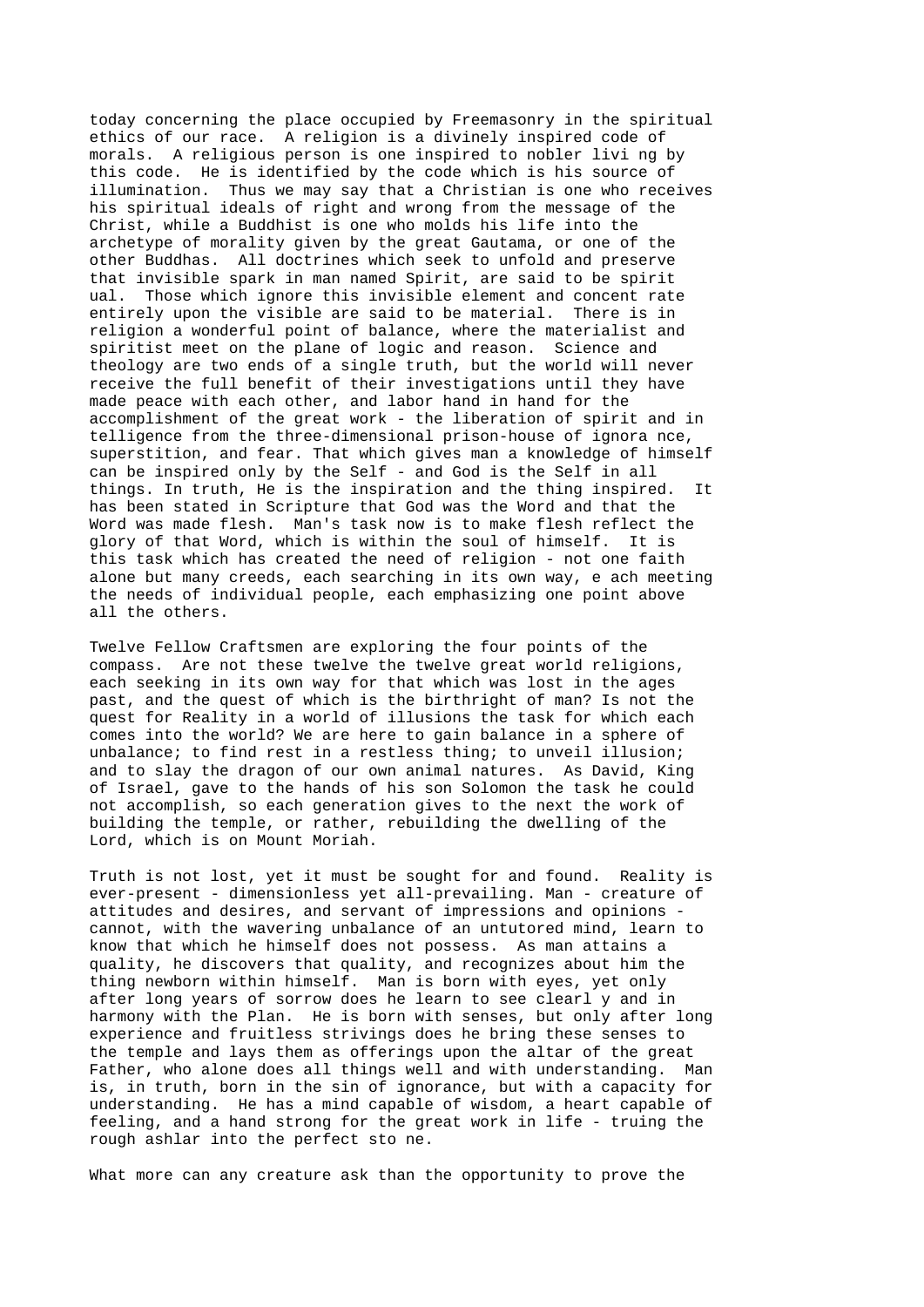today concerning the place occupied by Freemasonry in the spiritual ethics of our race. A religion is a divinely inspired code of morals. A religious person is one inspired to nobler livi ng by this code. He is identified by the code which is his source of illumination. Thus we may say that a Christian is one who receives his spiritual ideals of right and wrong from the message of the Christ, while a Buddhist is one who molds his life into the archetype of morality given by the great Gautama, or one of the other Buddhas. All doctrines which seek to unfold and preserve that invisible spark in man named Spirit, are said to be spirit ual. Those which ignore this invisible element and concent rate entirely upon the visible are said to be material. There is in religion a wonderful point of balance, where the materialist and spiritist meet on the plane of logic and reason. Science and theology are two ends of a single truth, but the world will never receive the full benefit of their investigations until they have made peace with each other, and labor hand in hand for the accomplishment of the great work - the liberation of spirit and in telligence from the three-dimensional prison-house of ignora nce, superstition, and fear. That which gives man a knowledge of himself can be inspired only by the Self - and God is the Self in all things. In truth, He is the inspiration and the thing inspired. It has been stated in Scripture that God was the Word and that the Word was made flesh. Man's task now is to make flesh reflect the glory of that Word, which is within the soul of himself. It is this task which has created the need of religion - not one faith alone but many creeds, each searching in its own way, e ach meeting the needs of individual people, each emphasizing one point above all the others.

Twelve Fellow Craftsmen are exploring the four points of the compass. Are not these twelve the twelve great world religions, each seeking in its own way for that which was lost in the ages past, and the quest of which is the birthright of man? Is not the quest for Reality in a world of illusions the task for which each comes into the world? We are here to gain balance in a sphere of unbalance; to find rest in a restless thing; to unveil illusion; and to slay the dragon of our own animal natures. As David, King of Israel, gave to the hands of his son Solomon the task he could not accomplish, so each generation gives to the next the work of building the temple, or rather, rebuilding the dwelling of the Lord, which is on Mount Moriah.

Truth is not lost, yet it must be sought for and found. Reality is ever-present - dimensionless yet all-prevailing. Man - creature of attitudes and desires, and servant of impressions and opinions cannot, with the wavering unbalance of an untutored mind, learn to know that which he himself does not possess. As man attains a quality, he discovers that quality, and recognizes about him the thing newborn within himself. Man is born with eyes, yet only after long years of sorrow does he learn to see clearl y and in harmony with the Plan. He is born with senses, but only after long experience and fruitless strivings does he bring these senses to the temple and lays them as offerings upon the altar of the great Father, who alone does all things well and with understanding. Man is, in truth, born in the sin of ignorance, but with a capacity for understanding. He has a mind capable of wisdom, a heart capable of feeling, and a hand strong for the great work in life - truing the rough ashlar into the perfect sto ne.

What more can any creature ask than the opportunity to prove the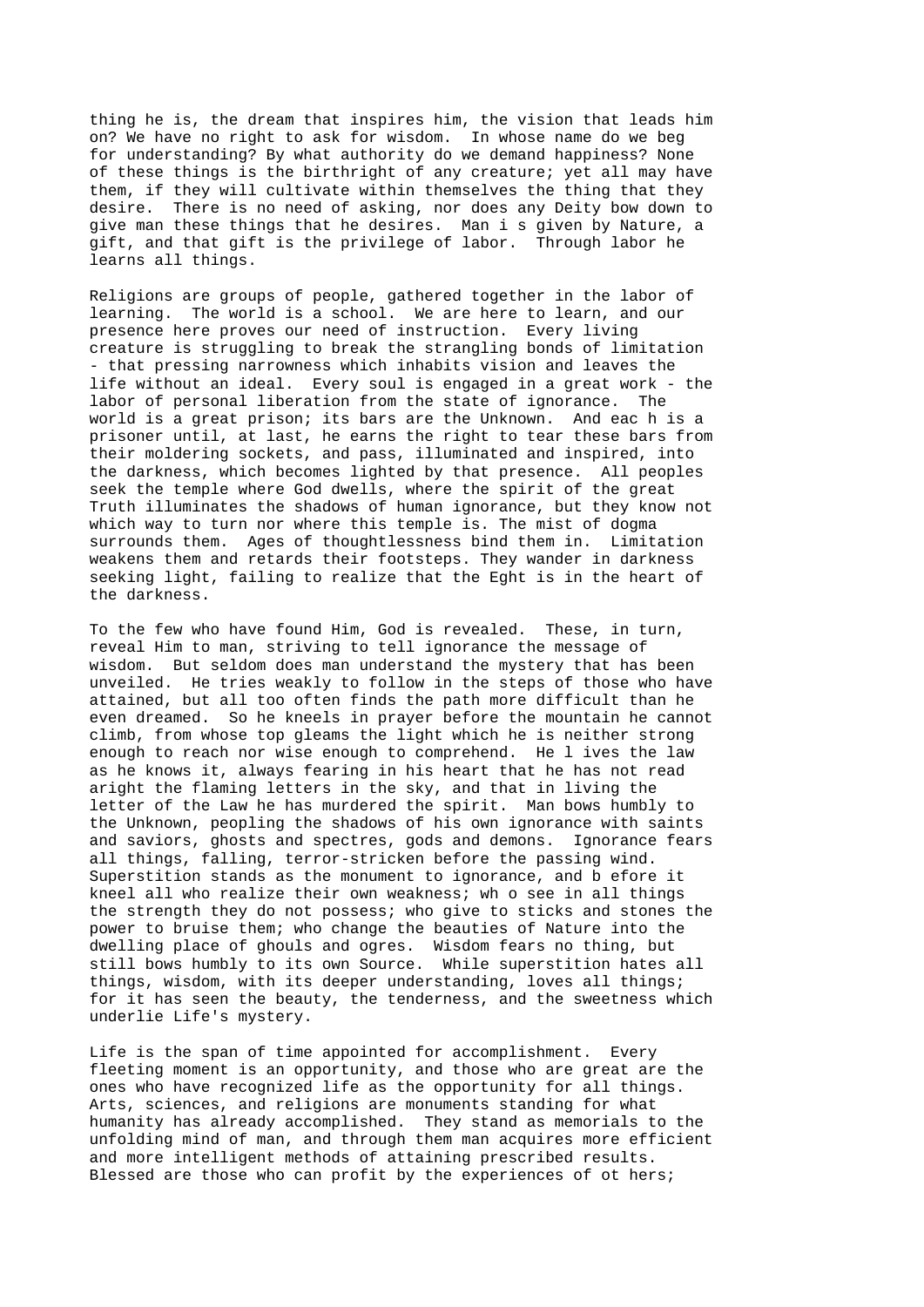thing he is, the dream that inspires him, the vision that leads him on? We have no right to ask for wisdom. In whose name do we beg for understanding? By what authority do we demand happiness? None of these things is the birthright of any creature; yet all may have them, if they will cultivate within themselves the thing that they desire. There is no need of asking, nor does any Deity bow down to give man these things that he desires. Man i s given by Nature, a gift, and that gift is the privilege of labor. Through labor he learns all things.

Religions are groups of people, gathered together in the labor of learning. The world is a school. We are here to learn, and our presence here proves our need of instruction. Every living creature is struggling to break the strangling bonds of limitation - that pressing narrowness which inhabits vision and leaves the life without an ideal. Every soul is engaged in a great work - the labor of personal liberation from the state of ignorance. The world is a great prison; its bars are the Unknown. And eac h is a prisoner until, at last, he earns the right to tear these bars from their moldering sockets, and pass, illuminated and inspired, into the darkness, which becomes lighted by that presence. All peoples seek the temple where God dwells, where the spirit of the great Truth illuminates the shadows of human ignorance, but they know not which way to turn nor where this temple is. The mist of dogma surrounds them. Ages of thoughtlessness bind them in. Limitation weakens them and retards their footsteps. They wander in darkness seeking light, failing to realize that the Eght is in the heart of the darkness.

To the few who have found Him, God is revealed. These, in turn, reveal Him to man, striving to tell ignorance the message of wisdom. But seldom does man understand the mystery that has been unveiled. He tries weakly to follow in the steps of those who have attained, but all too often finds the path more difficult than he even dreamed. So he kneels in prayer before the mountain he cannot climb, from whose top gleams the light which he is neither strong enough to reach nor wise enough to comprehend. He l ives the law as he knows it, always fearing in his heart that he has not read aright the flaming letters in the sky, and that in living the letter of the Law he has murdered the spirit. Man bows humbly to the Unknown, peopling the shadows of his own ignorance with saints and saviors, ghosts and spectres, gods and demons. Ignorance fears all things, falling, terror-stricken before the passing wind. Superstition stands as the monument to ignorance, and b efore it kneel all who realize their own weakness; wh o see in all things the strength they do not possess; who give to sticks and stones the power to bruise them; who change the beauties of Nature into the dwelling place of ghouls and ogres. Wisdom fears no thing, but still bows humbly to its own Source. While superstition hates all things, wisdom, with its deeper understanding, loves all things; for it has seen the beauty, the tenderness, and the sweetness which underlie Life's mystery.

Life is the span of time appointed for accomplishment. Every fleeting moment is an opportunity, and those who are great are the ones who have recognized life as the opportunity for all things. Arts, sciences, and religions are monuments standing for what humanity has already accomplished. They stand as memorials to the unfolding mind of man, and through them man acquires more efficient and more intelligent methods of attaining prescribed results. Blessed are those who can profit by the experiences of ot hers;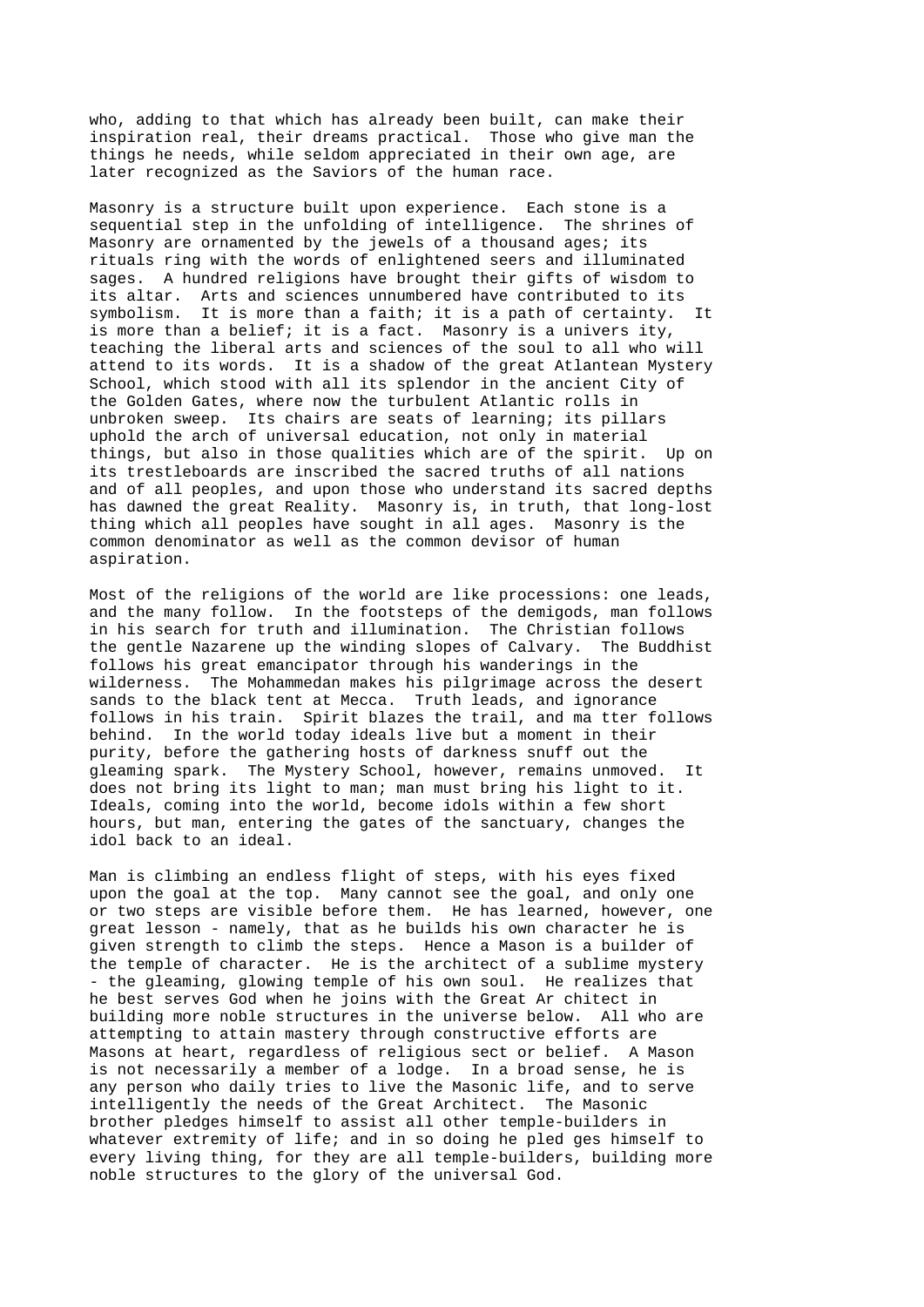who, adding to that which has already been built, can make their inspiration real, their dreams practical. Those who give man the things he needs, while seldom appreciated in their own age, are later recognized as the Saviors of the human race.

Masonry is a structure built upon experience. Each stone is a sequential step in the unfolding of intelligence. The shrines of Masonry are ornamented by the jewels of a thousand ages; its rituals ring with the words of enlightened seers and illuminated sages. A hundred religions have brought their gifts of wisdom to its altar. Arts and sciences unnumbered have contributed to its symbolism. It is more than a faith; it is a path of certainty. It is more than a belief; it is a fact. Masonry is a univers ity, teaching the liberal arts and sciences of the soul to all who will attend to its words. It is a shadow of the great Atlantean Mystery School, which stood with all its splendor in the ancient City of the Golden Gates, where now the turbulent Atlantic rolls in unbroken sweep. Its chairs are seats of learning; its pillars uphold the arch of universal education, not only in material things, but also in those qualities which are of the spirit. Up on its trestleboards are inscribed the sacred truths of all nations and of all peoples, and upon those who understand its sacred depths has dawned the great Reality. Masonry is, in truth, that long-lost thing which all peoples have sought in all ages. Masonry is the common denominator as well as the common devisor of human aspiration.

Most of the religions of the world are like processions: one leads, and the many follow. In the footsteps of the demigods, man follows in his search for truth and illumination. The Christian follows the gentle Nazarene up the winding slopes of Calvary. The Buddhist follows his great emancipator through his wanderings in the wilderness. The Mohammedan makes his pilgrimage across the desert sands to the black tent at Mecca. Truth leads, and ignorance follows in his train. Spirit blazes the trail, and ma tter follows behind. In the world today ideals live but a moment in their purity, before the gathering hosts of darkness snuff out the gleaming spark. The Mystery School, however, remains unmoved. It does not bring its light to man; man must bring his light to it. Ideals, coming into the world, become idols within a few short hours, but man, entering the gates of the sanctuary, changes the idol back to an ideal.

Man is climbing an endless flight of steps, with his eyes fixed upon the goal at the top. Many cannot see the goal, and only one or two steps are visible before them. He has learned, however, one great lesson - namely, that as he builds his own character he is given strength to climb the steps. Hence a Mason is a builder of the temple of character. He is the architect of a sublime mystery - the gleaming, glowing temple of his own soul. He realizes that he best serves God when he joins with the Great Ar chitect in building more noble structures in the universe below. All who are attempting to attain mastery through constructive efforts are Masons at heart, regardless of religious sect or belief. A Mason is not necessarily a member of a lodge. In a broad sense, he is any person who daily tries to live the Masonic life, and to serve intelligently the needs of the Great Architect. The Masonic brother pledges himself to assist all other temple-builders in whatever extremity of life; and in so doing he pled ges himself to every living thing, for they are all temple-builders, building more noble structures to the glory of the universal God.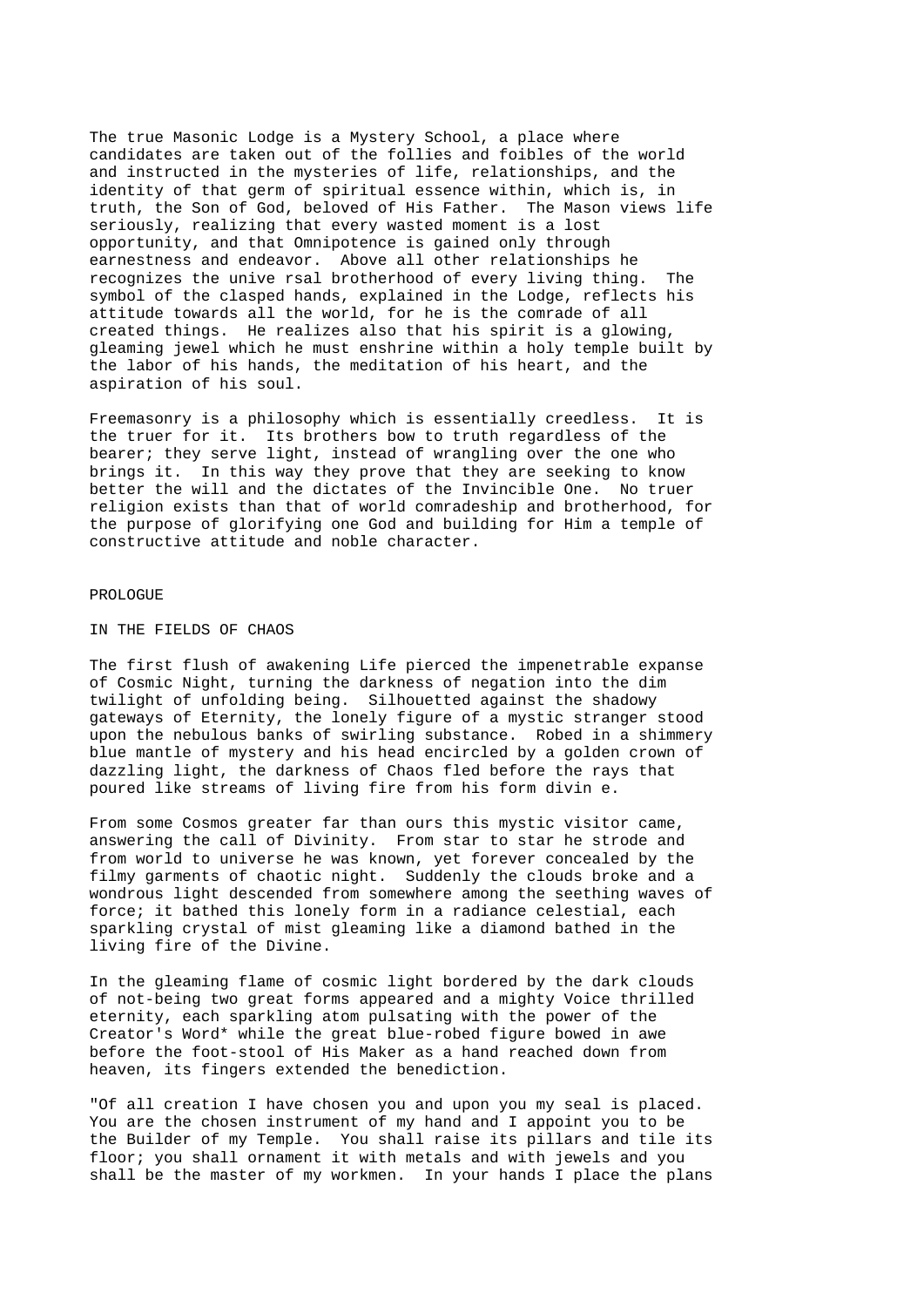The true Masonic Lodge is a Mystery School, a place where candidates are taken out of the follies and foibles of the world and instructed in the mysteries of life, relationships, and the identity of that germ of spiritual essence within, which is, in truth, the Son of God, beloved of His Father. The Mason views life seriously, realizing that every wasted moment is a lost opportunity, and that Omnipotence is gained only through earnestness and endeavor. Above all other relationships he recognizes the unive rsal brotherhood of every living thing. The symbol of the clasped hands, explained in the Lodge, reflects his attitude towards all the world, for he is the comrade of all created things. He realizes also that his spirit is a glowing, gleaming jewel which he must enshrine within a holy temple built by the labor of his hands, the meditation of his heart, and the aspiration of his soul.

Freemasonry is a philosophy which is essentially creedless. It is the truer for it. Its brothers bow to truth regardless of the bearer; they serve light, instead of wrangling over the one who brings it. In this way they prove that they are seeking to know better the will and the dictates of the Invincible One. No truer religion exists than that of world comradeship and brotherhood, for the purpose of glorifying one God and building for Him a temple of constructive attitude and noble character.

#### **PROLOGUE**

## IN THE FIELDS OF CHAOS

The first flush of awakening Life pierced the impenetrable expanse of Cosmic Night, turning the darkness of negation into the dim twilight of unfolding being. Silhouetted against the shadowy gateways of Eternity, the lonely figure of a mystic stranger stood upon the nebulous banks of swirling substance. Robed in a shimmery blue mantle of mystery and his head encircled by a golden crown of dazzling light, the darkness of Chaos fled before the rays that poured like streams of living fire from his form divin e.

From some Cosmos greater far than ours this mystic visitor came, answering the call of Divinity. From star to star he strode and from world to universe he was known, yet forever concealed by the filmy garments of chaotic night. Suddenly the clouds broke and a wondrous light descended from somewhere among the seething waves of force; it bathed this lonely form in a radiance celestial, each sparkling crystal of mist gleaming like a diamond bathed in the living fire of the Divine.

In the gleaming flame of cosmic light bordered by the dark clouds of not-being two great forms appeared and a mighty Voice thrilled eternity, each sparkling atom pulsating with the power of the Creator's Word\* while the great blue-robed figure bowed in awe before the foot-stool of His Maker as a hand reached down from heaven, its fingers extended the benediction.

"Of all creation I have chosen you and upon you my seal is placed. You are the chosen instrument of my hand and I appoint you to be the Builder of my Temple. You shall raise its pillars and tile its floor; you shall ornament it with metals and with jewels and you shall be the master of my workmen. In your hands I place the plans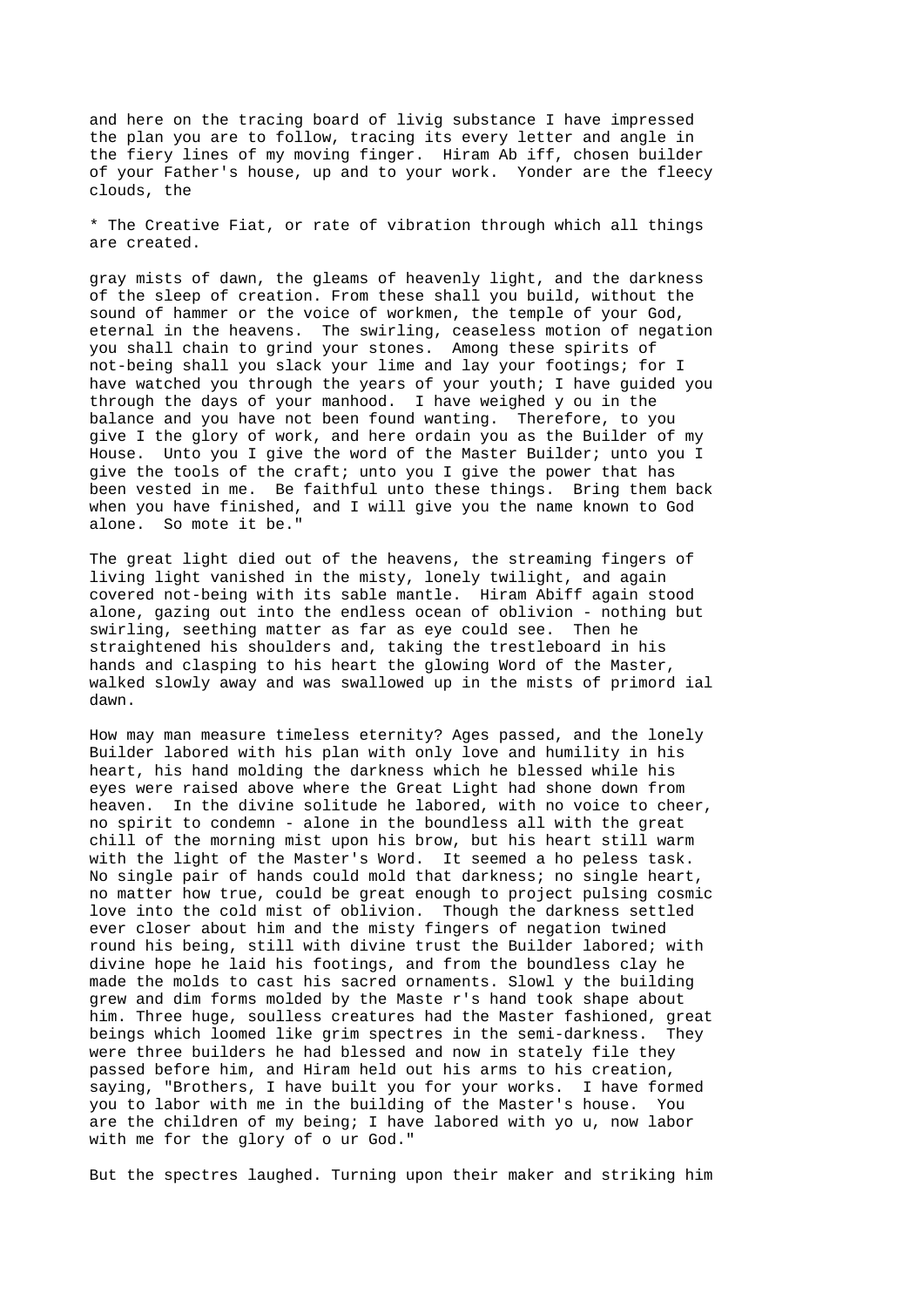and here on the tracing board of livig substance I have impressed the plan you are to follow, tracing its every letter and angle in the fiery lines of my moving finger. Hiram Ab iff, chosen builder of your Father's house, up and to your work. Yonder are the fleecy clouds, the

\* The Creative Fiat, or rate of vibration through which all things are created.

gray mists of dawn, the gleams of heavenly light, and the darkness of the sleep of creation. From these shall you build, without the sound of hammer or the voice of workmen, the temple of your God, eternal in the heavens. The swirling, ceaseless motion of negation you shall chain to grind your stones. Among these spirits of not-being shall you slack your lime and lay your footings; for I have watched you through the years of your youth; I have guided you through the days of your manhood. I have weighed y ou in the balance and you have not been found wanting. Therefore, to you give I the glory of work, and here ordain you as the Builder of my House. Unto you I give the word of the Master Builder; unto you I give the tools of the craft; unto you I give the power that has been vested in me. Be faithful unto these things. Bring them back when you have finished, and I will give you the name known to God alone. So mote it be."

The great light died out of the heavens, the streaming fingers of living light vanished in the misty, lonely twilight, and again covered not-being with its sable mantle. Hiram Abiff again stood alone, gazing out into the endless ocean of oblivion - nothing but swirling, seething matter as far as eye could see. Then he straightened his shoulders and, taking the trestleboard in his hands and clasping to his heart the glowing Word of the Master, walked slowly away and was swallowed up in the mists of primord ial dawn.

How may man measure timeless eternity? Ages passed, and the lonely Builder labored with his plan with only love and humility in his heart, his hand molding the darkness which he blessed while his eyes were raised above where the Great Light had shone down from heaven. In the divine solitude he labored, with no voice to cheer, no spirit to condemn - alone in the boundless all with the great chill of the morning mist upon his brow, but his heart still warm with the light of the Master's Word. It seemed a ho peless task. No single pair of hands could mold that darkness; no single heart, no matter how true, could be great enough to project pulsing cosmic love into the cold mist of oblivion. Though the darkness settled ever closer about him and the misty fingers of negation twined round his being, still with divine trust the Builder labored; with divine hope he laid his footings, and from the boundless clay he made the molds to cast his sacred ornaments. Slowl y the building grew and dim forms molded by the Maste r's hand took shape about him. Three huge, soulless creatures had the Master fashioned, great beings which loomed like grim spectres in the semi-darkness. They were three builders he had blessed and now in stately file they passed before him, and Hiram held out his arms to his creation, saying, "Brothers, I have built you for your works. I have formed you to labor with me in the building of the Master's house. You are the children of my being; I have labored with yo u, now labor with me for the glory of o ur God."

But the spectres laughed. Turning upon their maker and striking him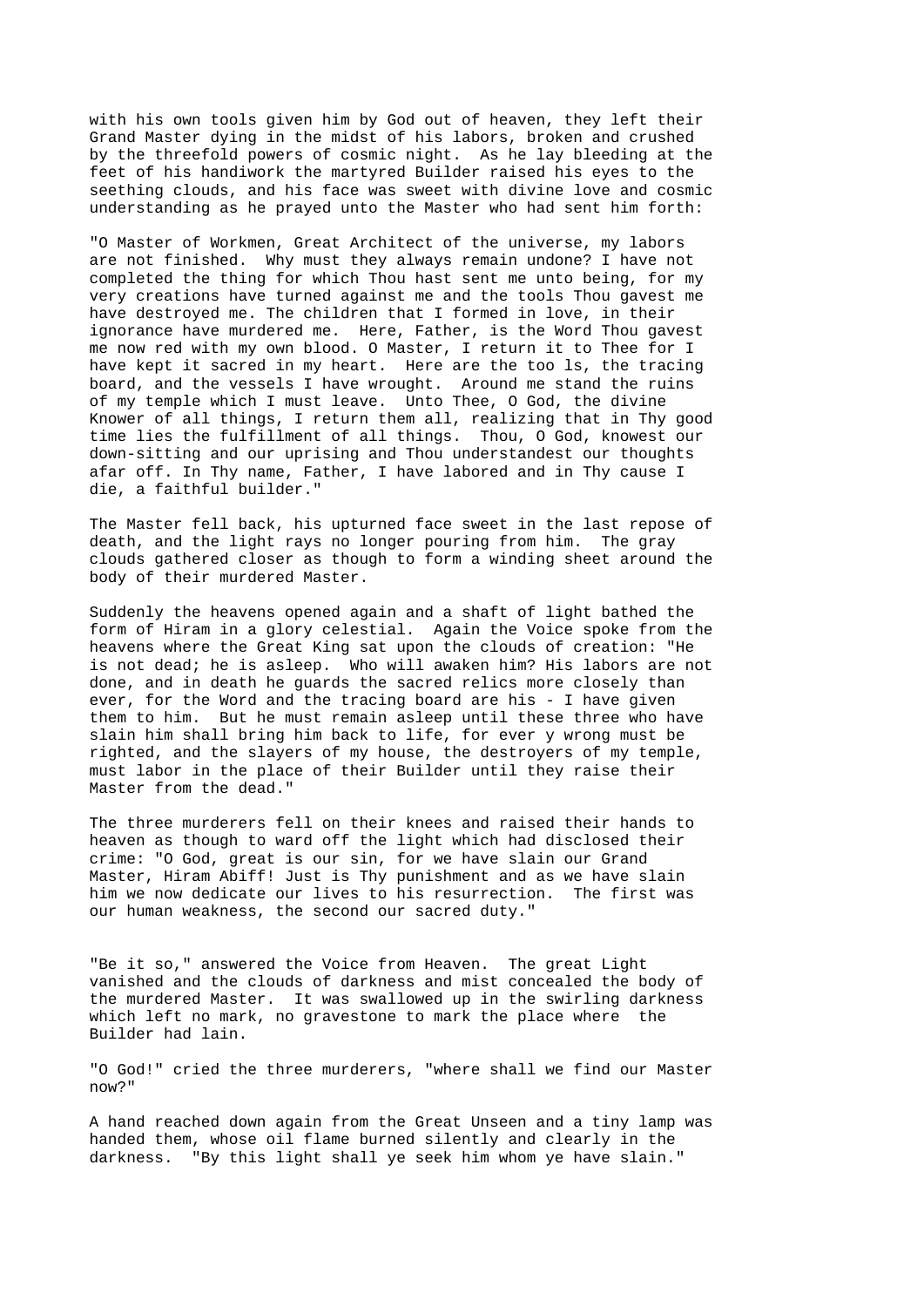with his own tools given him by God out of heaven, they left their Grand Master dying in the midst of his labors, broken and crushed by the threefold powers of cosmic night. As he lay bleeding at the feet of his handiwork the martyred Builder raised his eyes to the seething clouds, and his face was sweet with divine love and cosmic understanding as he prayed unto the Master who had sent him forth:

"O Master of Workmen, Great Architect of the universe, my labors are not finished. Why must they always remain undone? I have not completed the thing for which Thou hast sent me unto being, for my very creations have turned against me and the tools Thou gavest me have destroyed me. The children that I formed in love, in their ignorance have murdered me. Here, Father, is the Word Thou gavest me now red with my own blood. O Master, I return it to Thee for I have kept it sacred in my heart. Here are the too ls, the tracing board, and the vessels I have wrought. Around me stand the ruins of my temple which I must leave. Unto Thee, O God, the divine Knower of all things, I return them all, realizing that in Thy good time lies the fulfillment of all things. Thou, O God, knowest our down-sitting and our uprising and Thou understandest our thoughts afar off. In Thy name, Father, I have labored and in Thy cause I die, a faithful builder."

The Master fell back, his upturned face sweet in the last repose of death, and the light rays no longer pouring from him. The gray clouds gathered closer as though to form a winding sheet around the body of their murdered Master.

Suddenly the heavens opened again and a shaft of light bathed the form of Hiram in a glory celestial. Again the Voice spoke from the heavens where the Great King sat upon the clouds of creation: "He is not dead; he is asleep. Who will awaken him? His labors are not done, and in death he guards the sacred relics more closely than ever, for the Word and the tracing board are his - I have given them to him. But he must remain asleep until these three who have slain him shall bring him back to life, for ever y wrong must be righted, and the slayers of my house, the destroyers of my temple, must labor in the place of their Builder until they raise their Master from the dead."

The three murderers fell on their knees and raised their hands to heaven as though to ward off the light which had disclosed their crime: "O God, great is our sin, for we have slain our Grand Master, Hiram Abiff! Just is Thy punishment and as we have slain him we now dedicate our lives to his resurrection. The first was our human weakness, the second our sacred duty."

"Be it so," answered the Voice from Heaven. The great Light vanished and the clouds of darkness and mist concealed the body of the murdered Master. It was swallowed up in the swirling darkness which left no mark, no gravestone to mark the place where the Builder had lain.

"O God!" cried the three murderers, "where shall we find our Master now?"

A hand reached down again from the Great Unseen and a tiny lamp was handed them, whose oil flame burned silently and clearly in the darkness. "By this light shall ye seek him whom ye have slain."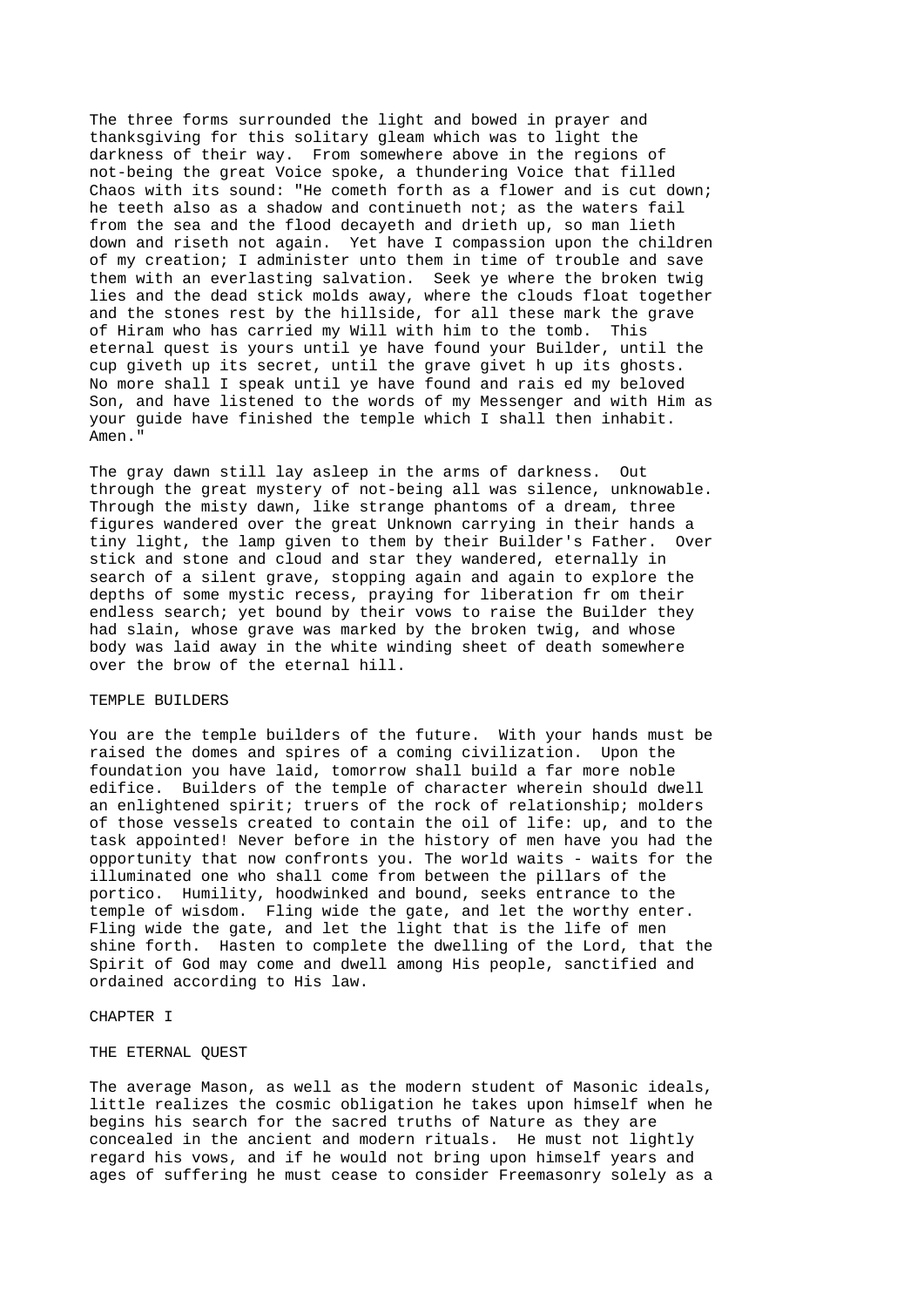The three forms surrounded the light and bowed in prayer and thanksgiving for this solitary gleam which was to light the darkness of their way. From somewhere above in the regions of not-being the great Voice spoke, a thundering Voice that filled Chaos with its sound: "He cometh forth as a flower and is cut down; he teeth also as a shadow and continueth not; as the waters fail from the sea and the flood decayeth and drieth up, so man lieth down and riseth not again. Yet have I compassion upon the children of my creation; I administer unto them in time of trouble and save them with an everlasting salvation. Seek ye where the broken twig lies and the dead stick molds away, where the clouds float together and the stones rest by the hillside, for all these mark the grave of Hiram who has carried my Will with him to the tomb. This eternal quest is yours until ye have found your Builder, until the cup giveth up its secret, until the grave givet h up its ghosts. No more shall I speak until ye have found and rais ed my beloved Son, and have listened to the words of my Messenger and with Him as your guide have finished the temple which I shall then inhabit. Amen."

The gray dawn still lay asleep in the arms of darkness. Out through the great mystery of not-being all was silence, unknowable. Through the misty dawn, like strange phantoms of a dream, three figures wandered over the great Unknown carrying in their hands a tiny light, the lamp given to them by their Builder's Father. Over stick and stone and cloud and star they wandered, eternally in search of a silent grave, stopping again and again to explore the depths of some mystic recess, praying for liberation fr om their endless search; yet bound by their vows to raise the Builder they had slain, whose grave was marked by the broken twig, and whose body was laid away in the white winding sheet of death somewhere over the brow of the eternal hill.

#### TEMPLE BUILDERS

You are the temple builders of the future. With your hands must be raised the domes and spires of a coming civilization. Upon the foundation you have laid, tomorrow shall build a far more noble edifice. Builders of the temple of character wherein should dwell an enlightened spirit; truers of the rock of relationship; molders of those vessels created to contain the oil of life: up, and to the task appointed! Never before in the history of men have you had the opportunity that now confronts you. The world waits - waits for the illuminated one who shall come from between the pillars of the portico. Humility, hoodwinked and bound, seeks entrance to the temple of wisdom. Fling wide the gate, and let the worthy enter. Fling wide the gate, and let the light that is the life of men shine forth. Hasten to complete the dwelling of the Lord, that the Spirit of God may come and dwell among His people, sanctified and ordained according to His law.

CHAPTER I

THE ETERNAL QUEST

The average Mason, as well as the modern student of Masonic ideals, little realizes the cosmic obligation he takes upon himself when he begins his search for the sacred truths of Nature as they are concealed in the ancient and modern rituals. He must not lightly regard his vows, and if he would not bring upon himself years and ages of suffering he must cease to consider Freemasonry solely as a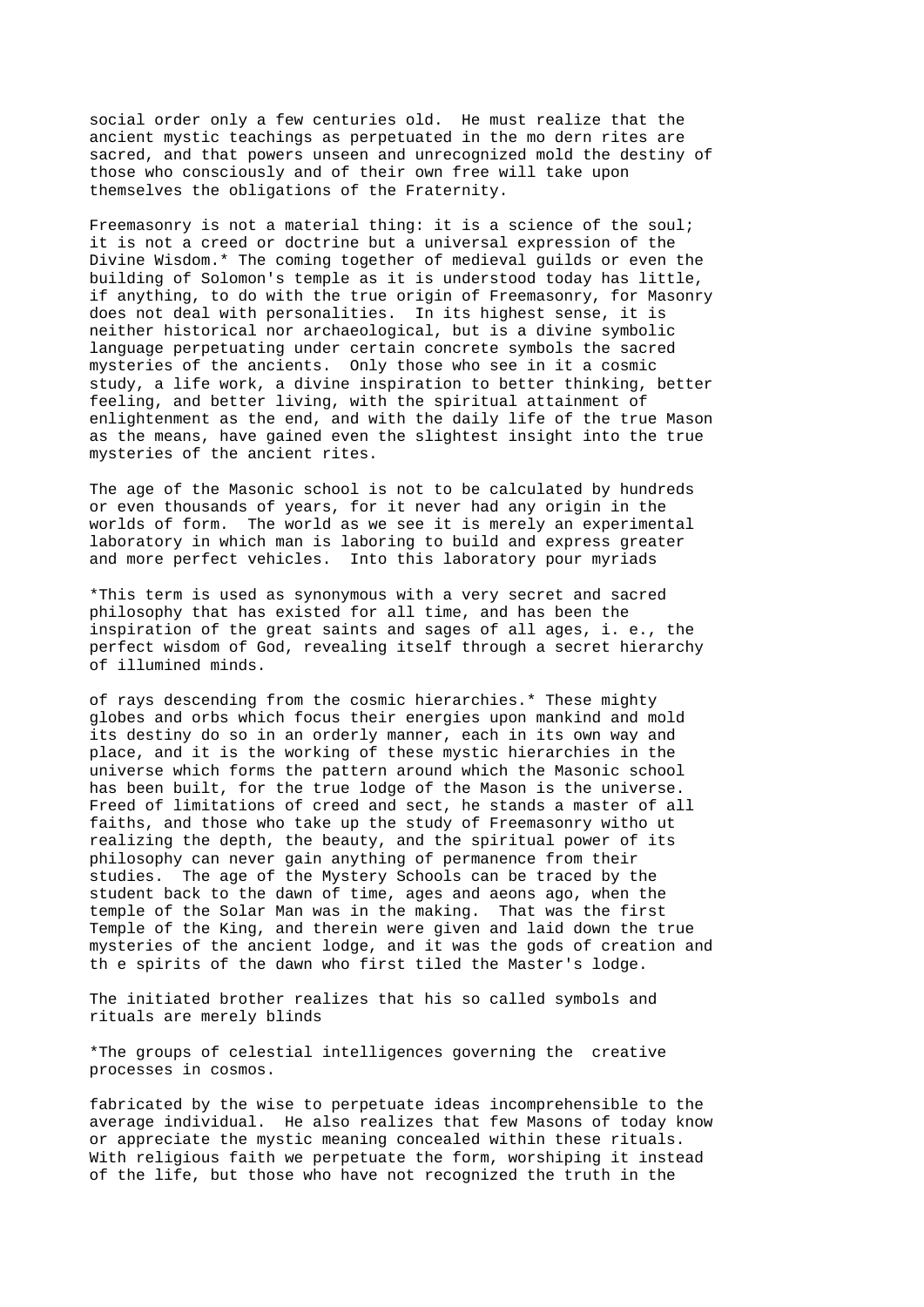social order only a few centuries old. He must realize that the ancient mystic teachings as perpetuated in the mo dern rites are sacred, and that powers unseen and unrecognized mold the destiny of those who consciously and of their own free will take upon themselves the obligations of the Fraternity.

Freemasonry is not a material thing: it is a science of the soul; it is not a creed or doctrine but a universal expression of the Divine Wisdom.\* The coming together of medieval guilds or even the building of Solomon's temple as it is understood today has little, if anything, to do with the true origin of Freemasonry, for Masonry does not deal with personalities. In its highest sense, it is neither historical nor archaeological, but is a divine symbolic language perpetuating under certain concrete symbols the sacred mysteries of the ancients. Only those who see in it a cosmic study, a life work, a divine inspiration to better thinking, better feeling, and better living, with the spiritual attainment of enlightenment as the end, and with the daily life of the true Mason as the means, have gained even the slightest insight into the true mysteries of the ancient rites.

The age of the Masonic school is not to be calculated by hundreds or even thousands of years, for it never had any origin in the worlds of form. The world as we see it is merely an experimental laboratory in which man is laboring to build and express greater and more perfect vehicles. Into this laboratory pour myriads

\*This term is used as synonymous with a very secret and sacred philosophy that has existed for all time, and has been the inspiration of the great saints and sages of all ages, i. e., the perfect wisdom of God, revealing itself through a secret hierarchy of illumined minds.

of rays descending from the cosmic hierarchies.\* These mighty globes and orbs which focus their energies upon mankind and mold its destiny do so in an orderly manner, each in its own way and place, and it is the working of these mystic hierarchies in the universe which forms the pattern around which the Masonic school has been built, for the true lodge of the Mason is the universe. Freed of limitations of creed and sect, he stands a master of all faiths, and those who take up the study of Freemasonry witho ut realizing the depth, the beauty, and the spiritual power of its philosophy can never gain anything of permanence from their studies. The age of the Mystery Schools can be traced by the student back to the dawn of time, ages and aeons ago, when the temple of the Solar Man was in the making. That was the first Temple of the King, and therein were given and laid down the true mysteries of the ancient lodge, and it was the gods of creation and th e spirits of the dawn who first tiled the Master's lodge.

The initiated brother realizes that his so called symbols and rituals are merely blinds

\*The groups of celestial intelligences governing the creative processes in cosmos.

fabricated by the wise to perpetuate ideas incomprehensible to the average individual. He also realizes that few Masons of today know or appreciate the mystic meaning concealed within these rituals. With religious faith we perpetuate the form, worshiping it instead of the life, but those who have not recognized the truth in the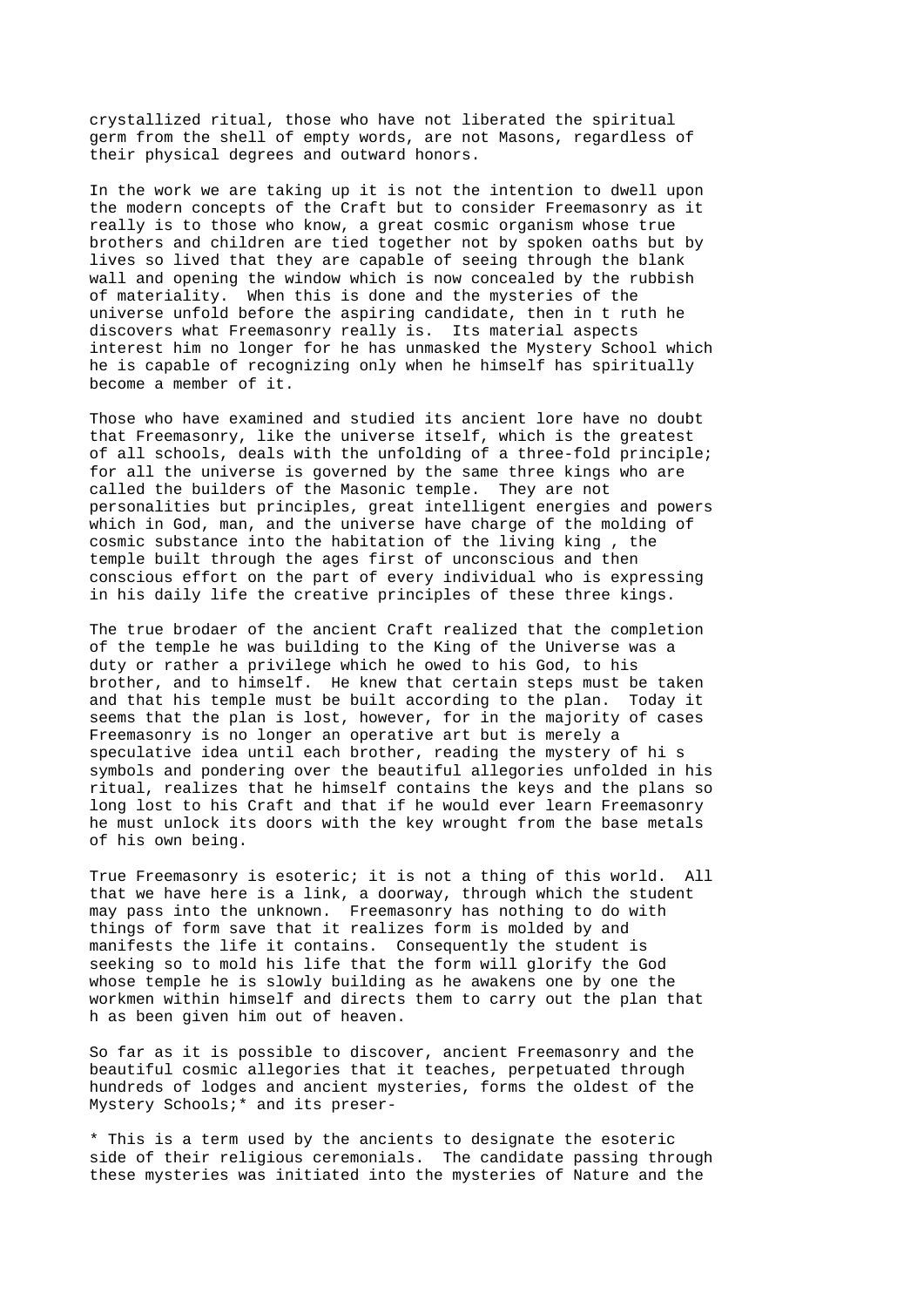crystallized ritual, those who have not liberated the spiritual germ from the shell of empty words, are not Masons, regardless of their physical degrees and outward honors.

In the work we are taking up it is not the intention to dwell upon the modern concepts of the Craft but to consider Freemasonry as it really is to those who know, a great cosmic organism whose true brothers and children are tied together not by spoken oaths but by lives so lived that they are capable of seeing through the blank wall and opening the window which is now concealed by the rubbish of materiality. When this is done and the mysteries of the universe unfold before the aspiring candidate, then in t ruth he discovers what Freemasonry really is. Its material aspects interest him no longer for he has unmasked the Mystery School which he is capable of recognizing only when he himself has spiritually become a member of it.

Those who have examined and studied its ancient lore have no doubt that Freemasonry, like the universe itself, which is the greatest of all schools, deals with the unfolding of a three-fold principle; for all the universe is governed by the same three kings who are called the builders of the Masonic temple. They are not personalities but principles, great intelligent energies and powers which in God, man, and the universe have charge of the molding of cosmic substance into the habitation of the living king , the temple built through the ages first of unconscious and then conscious effort on the part of every individual who is expressing in his daily life the creative principles of these three kings.

The true brodaer of the ancient Craft realized that the completion of the temple he was building to the King of the Universe was a duty or rather a privilege which he owed to his God, to his brother, and to himself. He knew that certain steps must be taken and that his temple must be built according to the plan. Today it seems that the plan is lost, however, for in the majority of cases Freemasonry is no longer an operative art but is merely a speculative idea until each brother, reading the mystery of hi s symbols and pondering over the beautiful allegories unfolded in his ritual, realizes that he himself contains the keys and the plans so long lost to his Craft and that if he would ever learn Freemasonry he must unlock its doors with the key wrought from the base metals of his own being.

True Freemasonry is esoteric; it is not a thing of this world. All that we have here is a link, a doorway, through which the student may pass into the unknown. Freemasonry has nothing to do with things of form save that it realizes form is molded by and manifests the life it contains. Consequently the student is seeking so to mold his life that the form will glorify the God whose temple he is slowly building as he awakens one by one the workmen within himself and directs them to carry out the plan that h as been given him out of heaven.

So far as it is possible to discover, ancient Freemasonry and the beautiful cosmic allegories that it teaches, perpetuated through hundreds of lodges and ancient mysteries, forms the oldest of the Mystery Schools;\* and its preser-

\* This is a term used by the ancients to designate the esoteric side of their religious ceremonials. The candidate passing through these mysteries was initiated into the mysteries of Nature and the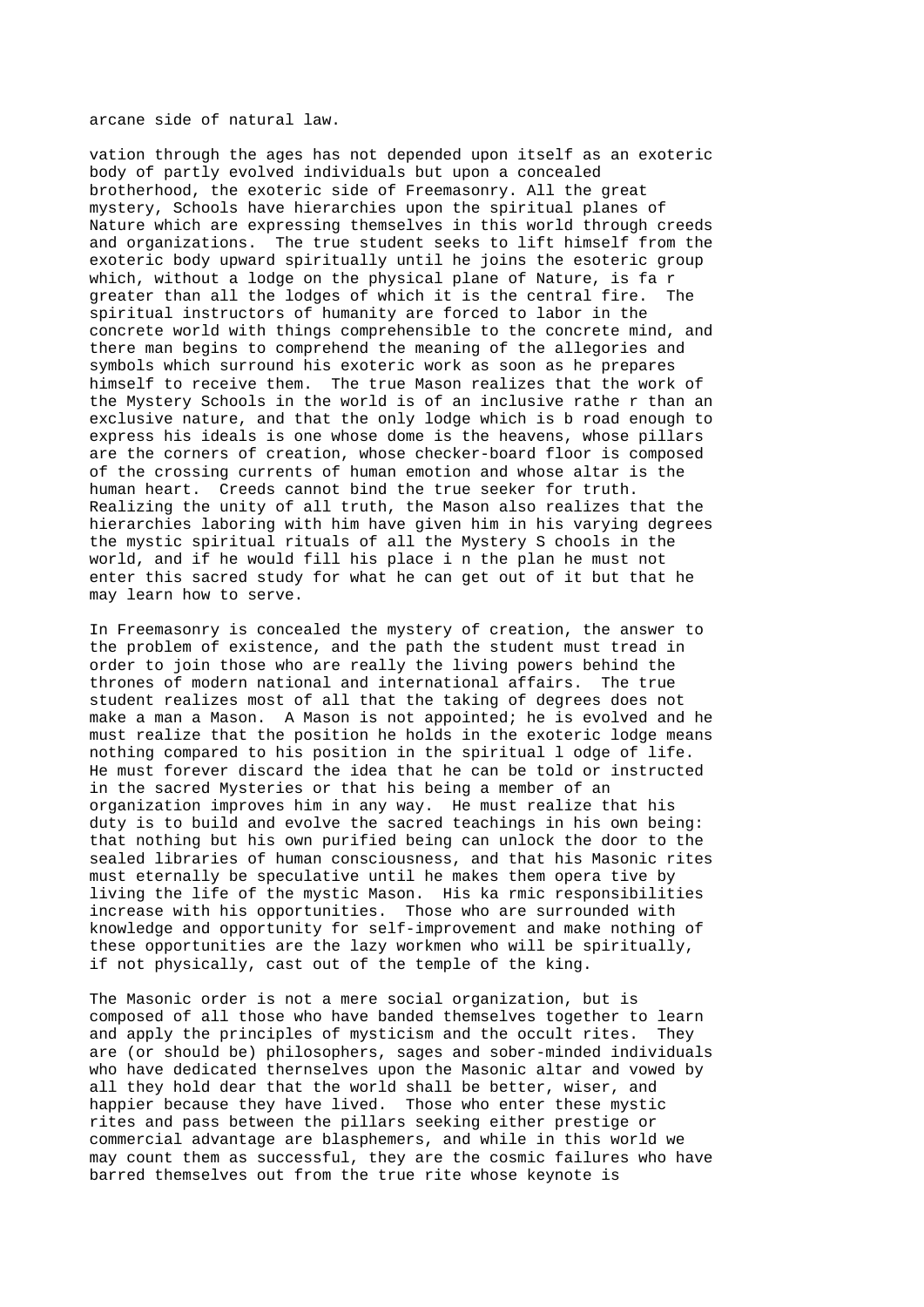arcane side of natural law.

vation through the ages has not depended upon itself as an exoteric body of partly evolved individuals but upon a concealed brotherhood, the exoteric side of Freemasonry. All the great mystery, Schools have hierarchies upon the spiritual planes of Nature which are expressing themselves in this world through creeds and organizations. The true student seeks to lift himself from the exoteric body upward spiritually until he joins the esoteric group which, without a lodge on the physical plane of Nature, is fa r greater than all the lodges of which it is the central fire. The spiritual instructors of humanity are forced to labor in the concrete world with things comprehensible to the concrete mind, and there man begins to comprehend the meaning of the allegories and symbols which surround his exoteric work as soon as he prepares himself to receive them. The true Mason realizes that the work of the Mystery Schools in the world is of an inclusive rathe r than an exclusive nature, and that the only lodge which is b road enough to express his ideals is one whose dome is the heavens, whose pillars are the corners of creation, whose checker-board floor is composed of the crossing currents of human emotion and whose altar is the human heart. Creeds cannot bind the true seeker for truth. Realizing the unity of all truth, the Mason also realizes that the hierarchies laboring with him have given him in his varying degrees the mystic spiritual rituals of all the Mystery S chools in the world, and if he would fill his place i n the plan he must not enter this sacred study for what he can get out of it but that he may learn how to serve.

In Freemasonry is concealed the mystery of creation, the answer to the problem of existence, and the path the student must tread in order to join those who are really the living powers behind the thrones of modern national and international affairs. The true student realizes most of all that the taking of degrees does not make a man a Mason. A Mason is not appointed; he is evolved and he must realize that the position he holds in the exoteric lodge means nothing compared to his position in the spiritual l odge of life. He must forever discard the idea that he can be told or instructed in the sacred Mysteries or that his being a member of an organization improves him in any way. He must realize that his duty is to build and evolve the sacred teachings in his own being: that nothing but his own purified being can unlock the door to the sealed libraries of human consciousness, and that his Masonic rites must eternally be speculative until he makes them opera tive by living the life of the mystic Mason. His ka rmic responsibilities increase with his opportunities. Those who are surrounded with knowledge and opportunity for self-improvement and make nothing of these opportunities are the lazy workmen who will be spiritually, if not physically, cast out of the temple of the king.

The Masonic order is not a mere social organization, but is composed of all those who have banded themselves together to learn and apply the principles of mysticism and the occult rites. They are (or should be) philosophers, sages and sober-minded individuals who have dedicated thernselves upon the Masonic altar and vowed by all they hold dear that the world shall be better, wiser, and happier because they have lived. Those who enter these mystic rites and pass between the pillars seeking either prestige or commercial advantage are blasphemers, and while in this world we may count them as successful, they are the cosmic failures who have barred themselves out from the true rite whose keynote is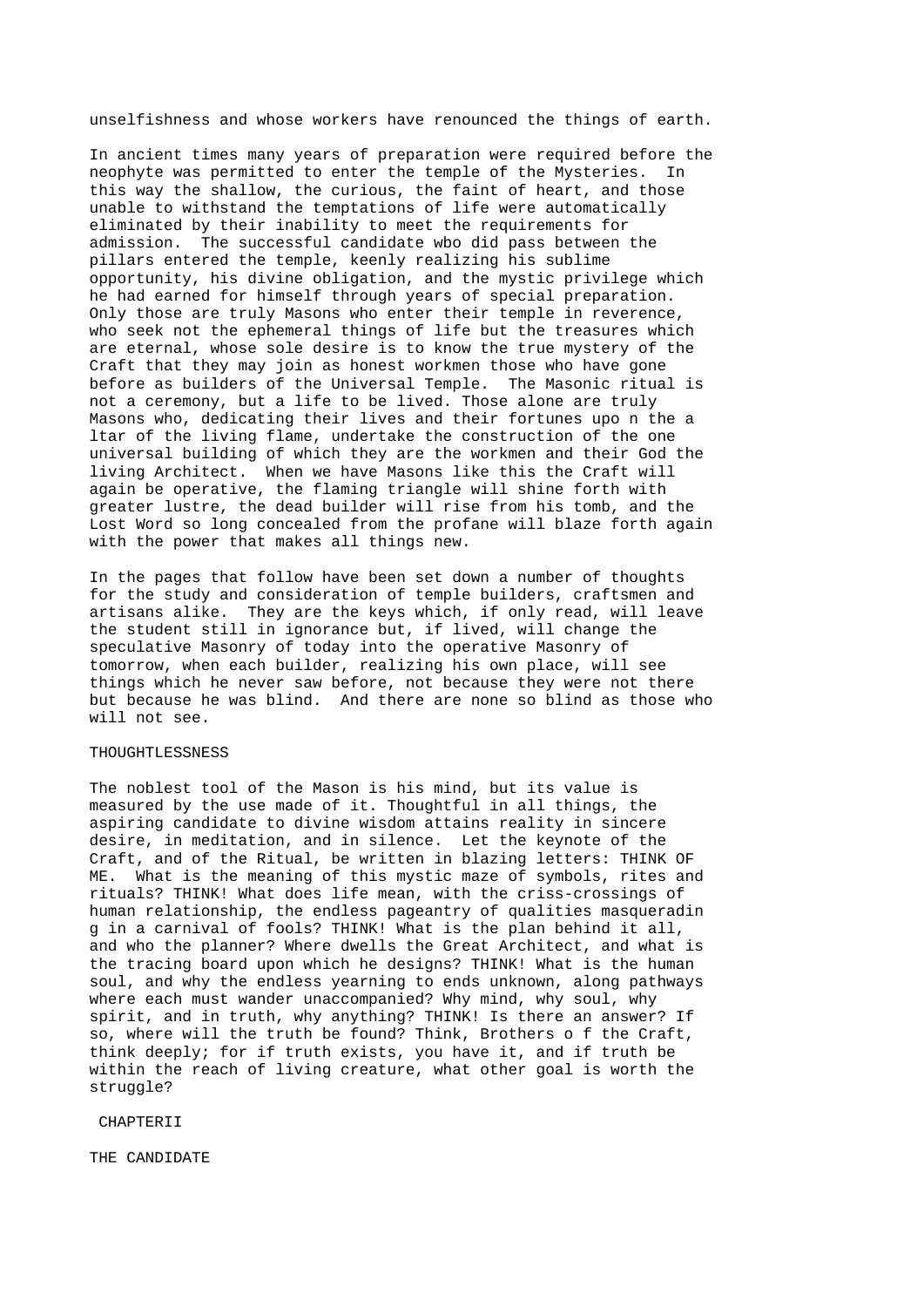unselfishness and whose workers have renounced the things of earth.

In ancient times many years of preparation were required before the neophyte was permitted to enter the temple of the Mysteries. In this way the shallow, the curious, the faint of heart, and those unable to withstand the temptations of life were automatically eliminated by their inability to meet the requirements for admission. The successful candidate wbo did pass between the pillars entered the temple, keenly realizing his sublime opportunity, his divine obligation, and the mystic privilege which he had earned for himself through years of special preparation. Only those are truly Masons who enter their temple in reverence, who seek not the ephemeral things of life but the treasures which are eternal, whose sole desire is to know the true mystery of the Craft that they may join as honest workmen those who have gone before as builders of the Universal Temple. The Masonic ritual is not a ceremony, but a life to be lived. Those alone are truly Masons who, dedicating their lives and their fortunes upo n the a ltar of the living flame, undertake the construction of the one universal building of which they are the workmen and their God the living Architect. When we have Masons like this the Craft will again be operative, the flaming triangle will shine forth with greater lustre, the dead builder will rise from his tomb, and the Lost Word so long concealed from the profane will blaze forth again with the power that makes all things new.

In the pages that follow have been set down a number of thoughts for the study and consideration of temple builders, craftsmen and artisans alike. They are the keys which, if only read, will leave the student still in ignorance but, if lived, will change the speculative Masonry of today into the operative Masonry of tomorrow, when each builder, realizing his own place, will see things which he never saw before, not because they were not there but because he was blind. And there are none so blind as those who will not see.

# THOUGHTLESSNESS

The noblest tool of the Mason is his mind, but its value is measured by the use made of it. Thoughtful in all things, the aspiring candidate to divine wisdom attains reality in sincere desire, in meditation, and in silence. Let the keynote of the Craft, and of the Ritual, be written in blazing letters: THINK OF ME. What is the meaning of this mystic maze of symbols, rites and rituals? THINK! What does life mean, with the criss-crossings of human relationship, the endless pageantry of qualities masqueradin g in a carnival of fools? THINK! What is the plan behind it all, and who the planner? Where dwells the Great Architect, and what is the tracing board upon which he designs? THINK! What is the human soul, and why the endless yearning to ends unknown, along pathways where each must wander unaccompanied? Why mind, why soul, why spirit, and in truth, why anything? THINK! Is there an answer? If so, where will the truth be found? Think, Brothers o f the Craft, think deeply; for if truth exists, you have it, and if truth be within the reach of living creature, what other goal is worth the struggle?

CHAPTERII

THE CANDIDATE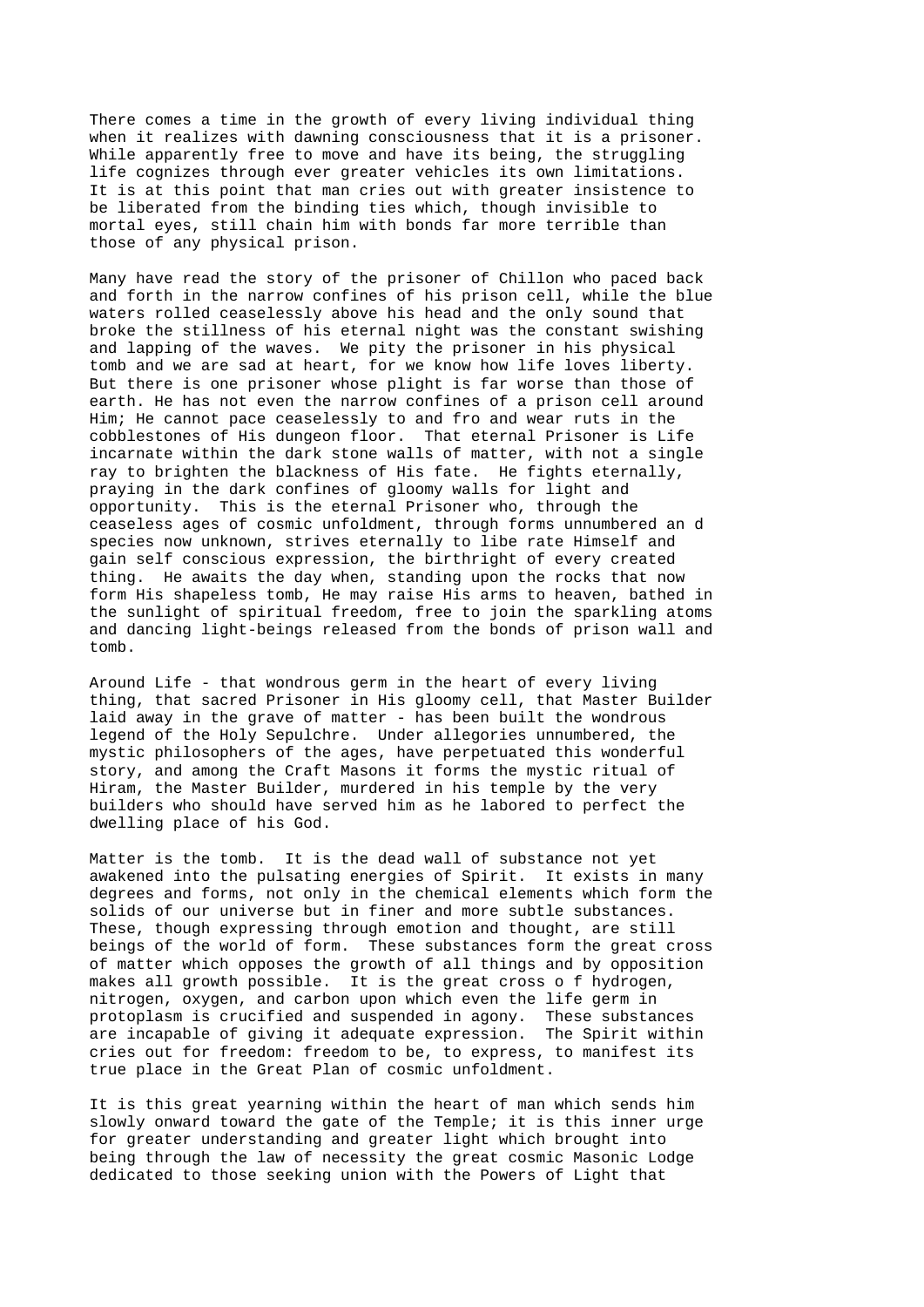There comes a time in the growth of every living individual thing when it realizes with dawning consciousness that it is a prisoner. While apparently free to move and have its being, the struggling life cognizes through ever greater vehicles its own limitations. It is at this point that man cries out with greater insistence to be liberated from the binding ties which, though invisible to mortal eyes, still chain him with bonds far more terrible than those of any physical prison.

Many have read the story of the prisoner of Chillon who paced back and forth in the narrow confines of his prison cell, while the blue waters rolled ceaselessly above his head and the only sound that broke the stillness of his eternal night was the constant swishing and lapping of the waves. We pity the prisoner in his physical tomb and we are sad at heart, for we know how life loves liberty. But there is one prisoner whose plight is far worse than those of earth. He has not even the narrow confines of a prison cell around Him; He cannot pace ceaselessly to and fro and wear ruts in the cobblestones of His dungeon floor. That eternal Prisoner is Life incarnate within the dark stone walls of matter, with not a single ray to brighten the blackness of His fate. He fights eternally, praying in the dark confines of gloomy walls for light and opportunity. This is the eternal Prisoner who, through the ceaseless ages of cosmic unfoldment, through forms unnumbered an d species now unknown, strives eternally to libe rate Himself and gain self conscious expression, the birthright of every created thing. He awaits the day when, standing upon the rocks that now form His shapeless tomb, He may raise His arms to heaven, bathed in the sunlight of spiritual freedom, free to join the sparkling atoms and dancing light-beings released from the bonds of prison wall and tomb.

Around Life - that wondrous germ in the heart of every living thing, that sacred Prisoner in His gloomy cell, that Master Builder laid away in the grave of matter - has been built the wondrous legend of the Holy Sepulchre. Under allegories unnumbered, the mystic philosophers of the ages, have perpetuated this wonderful story, and among the Craft Masons it forms the mystic ritual of Hiram, the Master Builder, murdered in his temple by the very builders who should have served him as he labored to perfect the dwelling place of his God.

Matter is the tomb. It is the dead wall of substance not yet awakened into the pulsating energies of Spirit. It exists in many degrees and forms, not only in the chemical elements which form the solids of our universe but in finer and more subtle substances. These, though expressing through emotion and thought, are still beings of the world of form. These substances form the great cross of matter which opposes the growth of all things and by opposition makes all growth possible. It is the great cross o f hydrogen, nitrogen, oxygen, and carbon upon which even the life germ in protoplasm is crucified and suspended in agony. These substances are incapable of giving it adequate expression. The Spirit within cries out for freedom: freedom to be, to express, to manifest its true place in the Great Plan of cosmic unfoldment.

It is this great yearning within the heart of man which sends him slowly onward toward the gate of the Temple; it is this inner urge for greater understanding and greater light which brought into being through the law of necessity the great cosmic Masonic Lodge dedicated to those seeking union with the Powers of Light that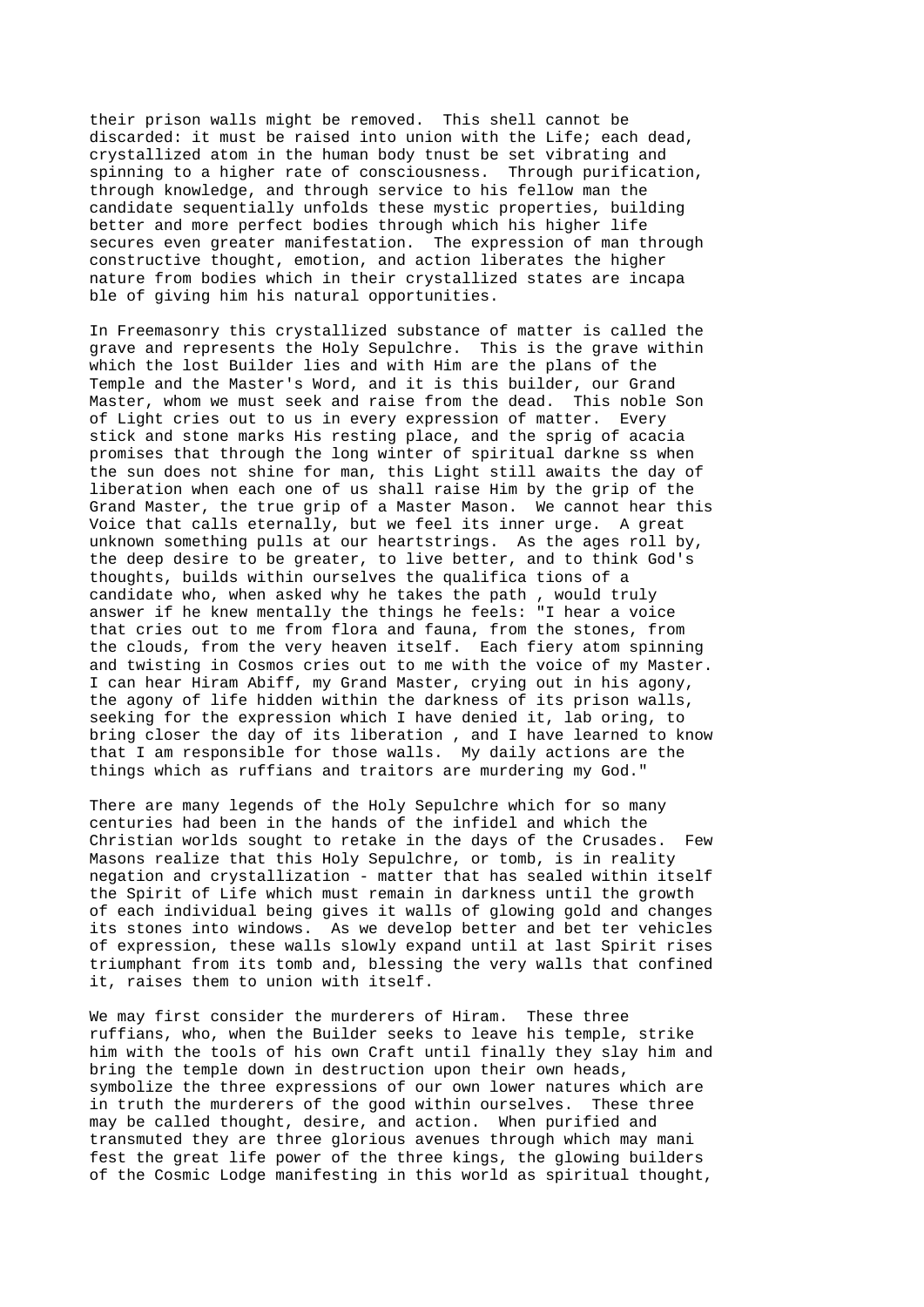their prison walls might be removed. This shell cannot be discarded: it must be raised into union with the Life; each dead, crystallized atom in the human body tnust be set vibrating and spinning to a higher rate of consciousness. Through purification, through knowledge, and through service to his fellow man the candidate sequentially unfolds these mystic properties, building better and more perfect bodies through which his higher life secures even greater manifestation. The expression of man through constructive thought, emotion, and action liberates the higher nature from bodies which in their crystallized states are incapa ble of giving him his natural opportunities.

In Freemasonry this crystallized substance of matter is called the grave and represents the Holy Sepulchre. This is the grave within which the lost Builder lies and with Him are the plans of the Temple and the Master's Word, and it is this builder, our Grand Master, whom we must seek and raise from the dead. This noble Son of Light cries out to us in every expression of matter. Every stick and stone marks His resting place, and the sprig of acacia promises that through the long winter of spiritual darkne ss when the sun does not shine for man, this Light still awaits the day of liberation when each one of us shall raise Him by the grip of the Grand Master, the true grip of a Master Mason. We cannot hear this Voice that calls eternally, but we feel its inner urge. A great unknown something pulls at our heartstrings. As the ages roll by, the deep desire to be greater, to live better, and to think God's thoughts, builds within ourselves the qualifica tions of a candidate who, when asked why he takes the path , would truly answer if he knew mentally the things he feels: "I hear a voice that cries out to me from flora and fauna, from the stones, from the clouds, from the very heaven itself. Each fiery atom spinning and twisting in Cosmos cries out to me with the voice of my Master. I can hear Hiram Abiff, my Grand Master, crying out in his agony, the agony of life hidden within the darkness of its prison walls, seeking for the expression which I have denied it, lab oring, to bring closer the day of its liberation , and I have learned to know that I am responsible for those walls. My daily actions are the things which as ruffians and traitors are murdering my God."

There are many legends of the Holy Sepulchre which for so many centuries had been in the hands of the infidel and which the Christian worlds sought to retake in the days of the Crusades. Few Masons realize that this Holy Sepulchre, or tomb, is in reality negation and crystallization - matter that has sealed within itself the Spirit of Life which must remain in darkness until the growth of each individual being gives it walls of glowing gold and changes its stones into windows. As we develop better and bet ter vehicles of expression, these walls slowly expand until at last Spirit rises triumphant from its tomb and, blessing the very walls that confined it, raises them to union with itself.

We may first consider the murderers of Hiram. These three ruffians, who, when the Builder seeks to leave his temple, strike him with the tools of his own Craft until finally they slay him and bring the temple down in destruction upon their own heads, symbolize the three expressions of our own lower natures which are in truth the murderers of the good within ourselves. These three may be called thought, desire, and action. When purified and transmuted they are three glorious avenues through which may mani fest the great life power of the three kings, the glowing builders of the Cosmic Lodge manifesting in this world as spiritual thought,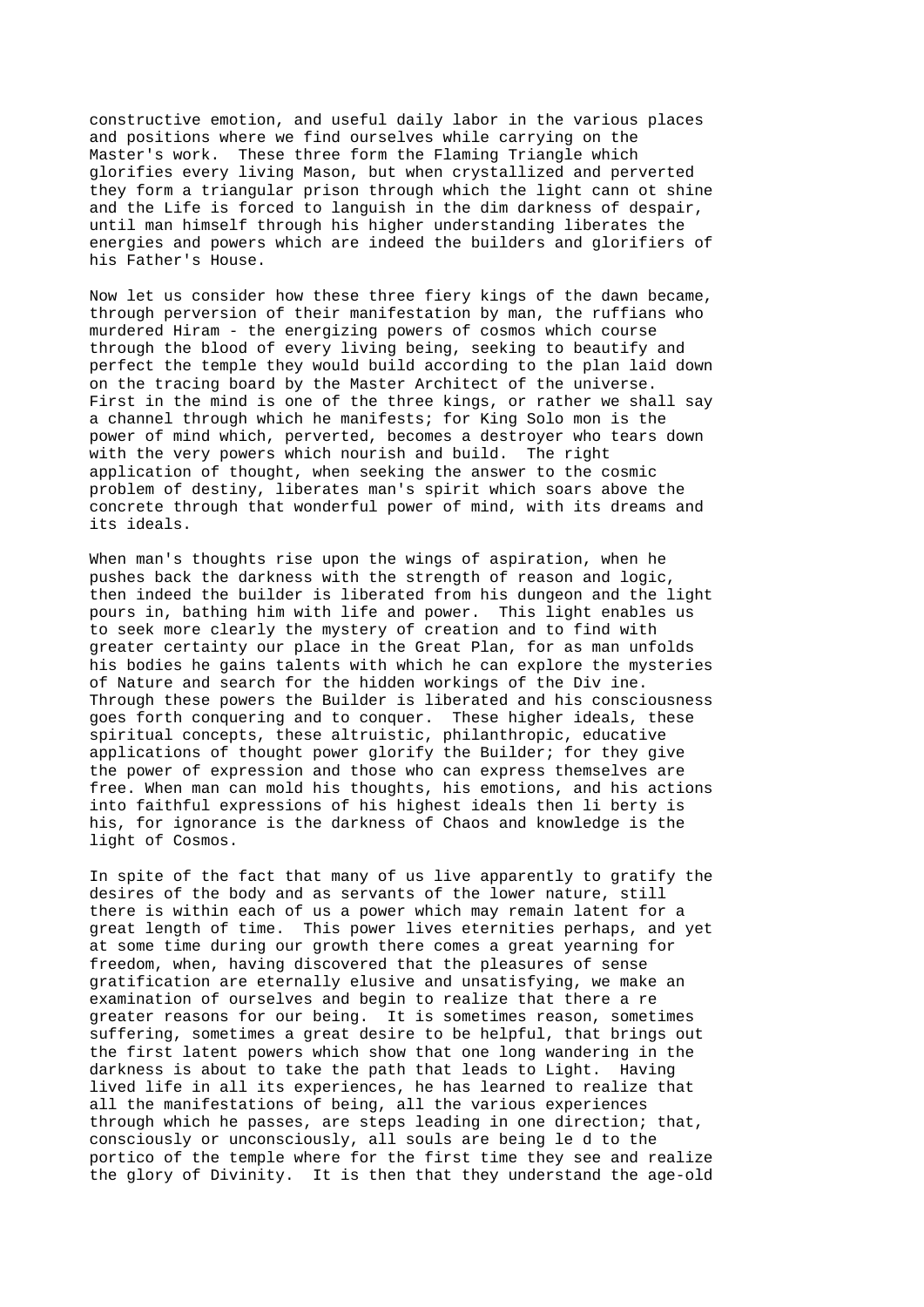constructive emotion, and useful daily labor in the various places and positions where we find ourselves while carrying on the Master's work. These three form the Flaming Triangle which glorifies every living Mason, but when crystallized and perverted they form a triangular prison through which the light cann ot shine and the Life is forced to languish in the dim darkness of despair, until man himself through his higher understanding liberates the energies and powers which are indeed the builders and glorifiers of his Father's House.

Now let us consider how these three fiery kings of the dawn became, through perversion of their manifestation by man, the ruffians who murdered Hiram - the energizing powers of cosmos which course through the blood of every living being, seeking to beautify and perfect the temple they would build according to the plan laid down on the tracing board by the Master Architect of the universe. First in the mind is one of the three kings, or rather we shall say a channel through which he manifests; for King Solo mon is the power of mind which, perverted, becomes a destroyer who tears down with the very powers which nourish and build. The right application of thought, when seeking the answer to the cosmic problem of destiny, liberates man's spirit which soars above the concrete through that wonderful power of mind, with its dreams and its ideals.

When man's thoughts rise upon the wings of aspiration, when he pushes back the darkness with the strength of reason and logic, then indeed the builder is liberated from his dungeon and the light pours in, bathing him with life and power. This light enables us to seek more clearly the mystery of creation and to find with greater certainty our place in the Great Plan, for as man unfolds his bodies he gains talents with which he can explore the mysteries of Nature and search for the hidden workings of the Div ine. Through these powers the Builder is liberated and his consciousness goes forth conquering and to conquer. These higher ideals, these spiritual concepts, these altruistic, philanthropic, educative applications of thought power glorify the Builder; for they give the power of expression and those who can express themselves are free. When man can mold his thoughts, his emotions, and his actions into faithful expressions of his highest ideals then li berty is his, for ignorance is the darkness of Chaos and knowledge is the light of Cosmos.

In spite of the fact that many of us live apparently to gratify the desires of the body and as servants of the lower nature, still there is within each of us a power which may remain latent for a great length of time. This power lives eternities perhaps, and yet at some time during our growth there comes a great yearning for freedom, when, having discovered that the pleasures of sense gratification are eternally elusive and unsatisfying, we make an examination of ourselves and begin to realize that there a re greater reasons for our being. It is sometimes reason, sometimes suffering, sometimes a great desire to be helpful, that brings out the first latent powers which show that one long wandering in the darkness is about to take the path that leads to Light. Having lived life in all its experiences, he has learned to realize that all the manifestations of being, all the various experiences through which he passes, are steps leading in one direction; that, consciously or unconsciously, all souls are being le d to the portico of the temple where for the first time they see and realize the glory of Divinity. It is then that they understand the age-old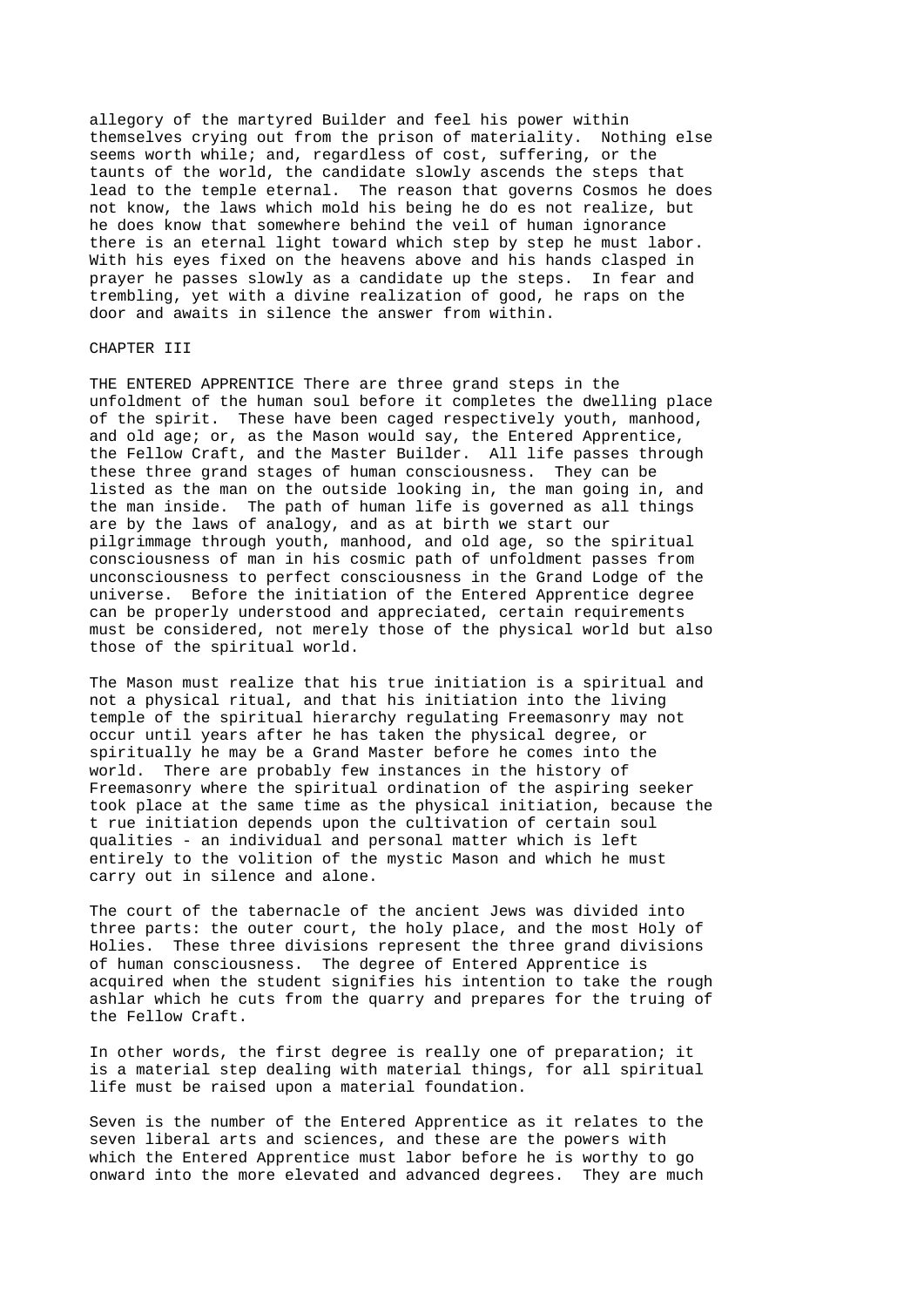allegory of the martyred Builder and feel his power within themselves crying out from the prison of materiality. Nothing else seems worth while; and, regardless of cost, suffering, or the taunts of the world, the candidate slowly ascends the steps that lead to the temple eternal. The reason that governs Cosmos he does not know, the laws which mold his being he do es not realize, but he does know that somewhere behind the veil of human ignorance there is an eternal light toward which step by step he must labor. With his eyes fixed on the heavens above and his hands clasped in prayer he passes slowly as a candidate up the steps. In fear and trembling, yet with a divine realization of good, he raps on the door and awaits in silence the answer from within.

### CHAPTER III

THE ENTERED APPRENTICE There are three grand steps in the unfoldment of the human soul before it completes the dwelling place of the spirit. These have been caged respectively youth, manhood, and old age; or, as the Mason would say, the Entered Apprentice, the Fellow Craft, and the Master Builder. All life passes through these three grand stages of human consciousness. They can be listed as the man on the outside looking in, the man going in, and the man inside. The path of human life is governed as all things are by the laws of analogy, and as at birth we start our pilgrimmage through youth, manhood, and old age, so the spiritual consciousness of man in his cosmic path of unfoldment passes from unconsciousness to perfect consciousness in the Grand Lodge of the universe. Before the initiation of the Entered Apprentice degree can be properly understood and appreciated, certain requirements must be considered, not merely those of the physical world but also those of the spiritual world.

The Mason must realize that his true initiation is a spiritual and not a physical ritual, and that his initiation into the living temple of the spiritual hierarchy regulating Freemasonry may not occur until years after he has taken the physical degree, or spiritually he may be a Grand Master before he comes into the world. There are probably few instances in the history of Freemasonry where the spiritual ordination of the aspiring seeker took place at the same time as the physical initiation, because the t rue initiation depends upon the cultivation of certain soul qualities - an individual and personal matter which is left entirely to the volition of the mystic Mason and which he must carry out in silence and alone.

The court of the tabernacle of the ancient Jews was divided into three parts: the outer court, the holy place, and the most Holy of Holies. These three divisions represent the three grand divisions of human consciousness. The degree of Entered Apprentice is acquired when the student signifies his intention to take the rough ashlar which he cuts from the quarry and prepares for the truing of the Fellow Craft.

In other words, the first degree is really one of preparation; it is a material step dealing with material things, for all spiritual life must be raised upon a material foundation.

Seven is the number of the Entered Apprentice as it relates to the seven liberal arts and sciences, and these are the powers with which the Entered Apprentice must labor before he is worthy to go onward into the more elevated and advanced degrees. They are much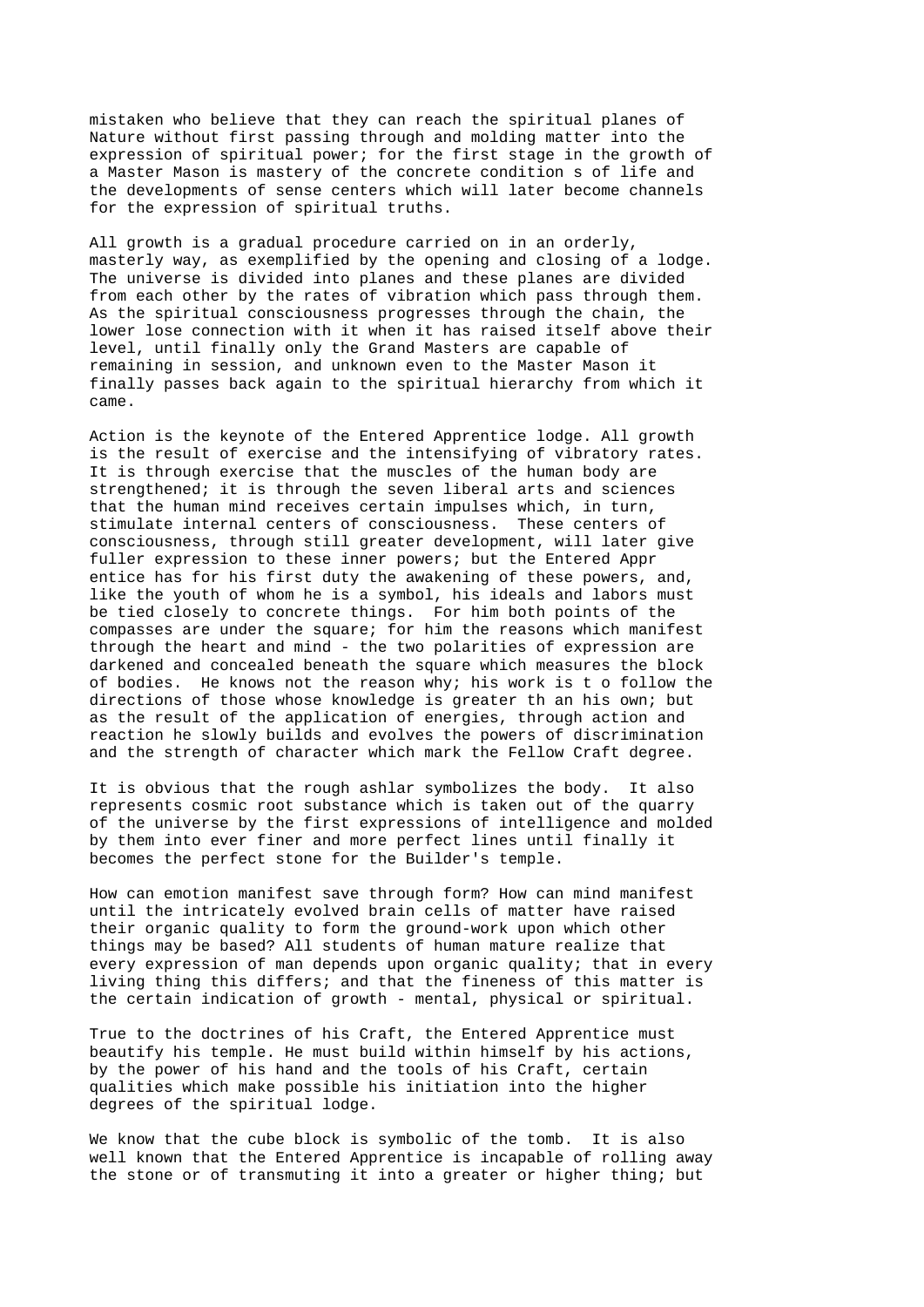mistaken who believe that they can reach the spiritual planes of Nature without first passing through and molding matter into the expression of spiritual power; for the first stage in the growth of a Master Mason is mastery of the concrete condition s of life and the developments of sense centers which will later become channels for the expression of spiritual truths.

All growth is a gradual procedure carried on in an orderly, masterly way, as exemplified by the opening and closing of a lodge. The universe is divided into planes and these planes are divided from each other by the rates of vibration which pass through them. As the spiritual consciousness progresses through the chain, the lower lose connection with it when it has raised itself above their level, until finally only the Grand Masters are capable of remaining in session, and unknown even to the Master Mason it finally passes back again to the spiritual hierarchy from which it came.

Action is the keynote of the Entered Apprentice lodge. All growth is the result of exercise and the intensifying of vibratory rates. It is through exercise that the muscles of the human body are strengthened; it is through the seven liberal arts and sciences that the human mind receives certain impulses which, in turn, stimulate internal centers of consciousness. These centers of consciousness, through still greater development, will later give fuller expression to these inner powers; but the Entered Appr entice has for his first duty the awakening of these powers, and, like the youth of whom he is a symbol, his ideals and labors must be tied closely to concrete things. For him both points of the compasses are under the square; for him the reasons which manifest through the heart and mind - the two polarities of expression are darkened and concealed beneath the square which measures the block of bodies. He knows not the reason why; his work is t o follow the directions of those whose knowledge is greater th an his own; but as the result of the application of energies, through action and reaction he slowly builds and evolves the powers of discrimination and the strength of character which mark the Fellow Craft degree.

It is obvious that the rough ashlar symbolizes the body. It also represents cosmic root substance which is taken out of the quarry of the universe by the first expressions of intelligence and molded by them into ever finer and more perfect lines until finally it becomes the perfect stone for the Builder's temple.

How can emotion manifest save through form? How can mind manifest until the intricately evolved brain cells of matter have raised their organic quality to form the ground-work upon which other things may be based? All students of human mature realize that every expression of man depends upon organic quality; that in every living thing this differs; and that the fineness of this matter is the certain indication of growth - mental, physical or spiritual.

True to the doctrines of his Craft, the Entered Apprentice must beautify his temple. He must build within himself by his actions, by the power of his hand and the tools of his Craft, certain qualities which make possible his initiation into the higher degrees of the spiritual lodge.

We know that the cube block is symbolic of the tomb. It is also well known that the Entered Apprentice is incapable of rolling away the stone or of transmuting it into a greater or higher thing; but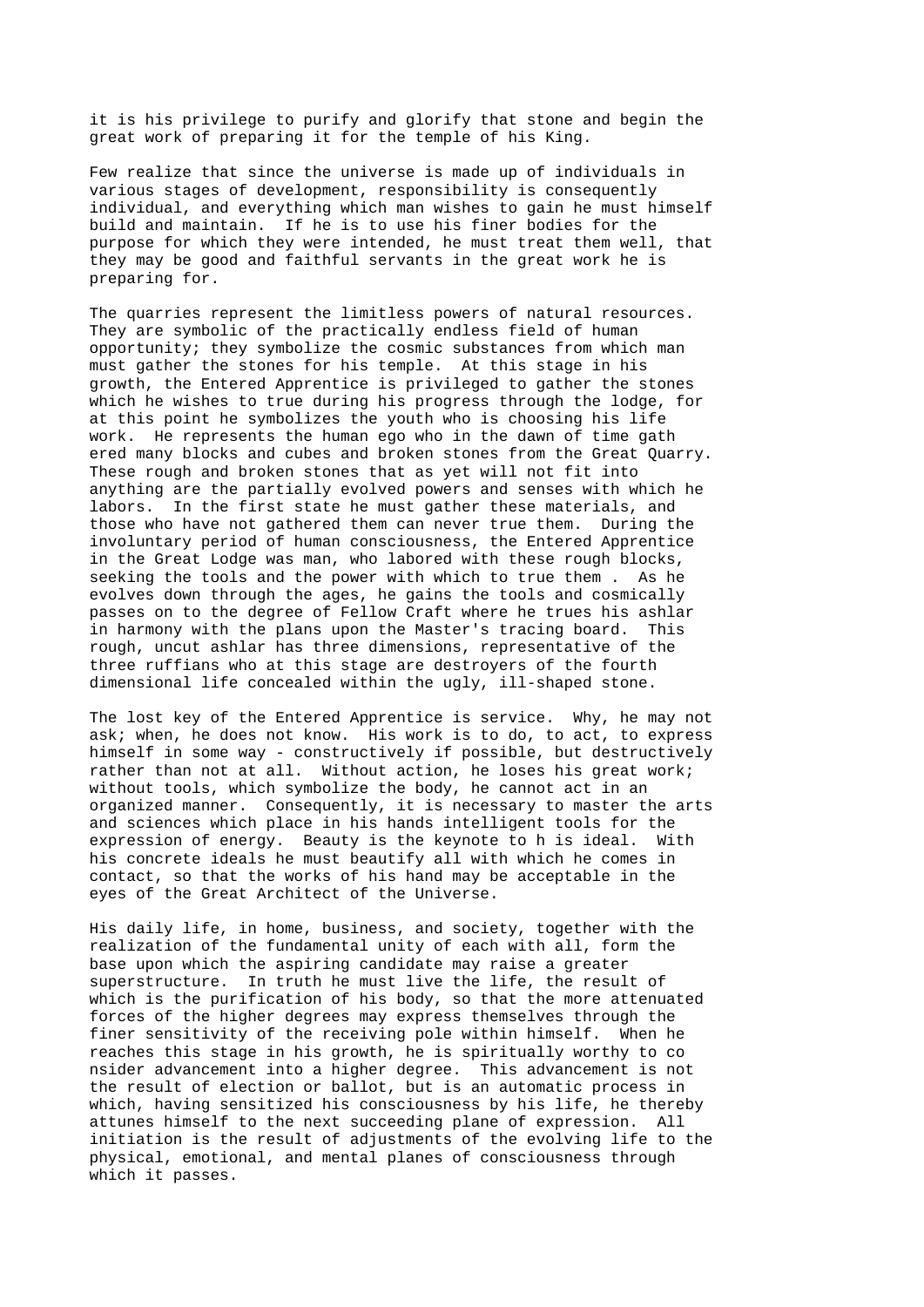it is his privilege to purify and glorify that stone and begin the great work of preparing it for the temple of his King.

Few realize that since the universe is made up of individuals in various stages of development, responsibility is consequently individual, and everything which man wishes to gain he must himself build and maintain. If he is to use his finer bodies for the purpose for which they were intended, he must treat them well, that they may be good and faithful servants in the great work he is preparing for.

The quarries represent the limitless powers of natural resources. They are symbolic of the practically endless field of human opportunity; they symbolize the cosmic substances from which man must gather the stones for his temple. At this stage in his growth, the Entered Apprentice is privileged to gather the stones which he wishes to true during his progress through the lodge, for at this point he symbolizes the youth who is choosing his life work. He represents the human ego who in the dawn of time gath ered many blocks and cubes and broken stones from the Great Quarry. These rough and broken stones that as yet will not fit into anything are the partially evolved powers and senses with which he labors. In the first state he must gather these materials, and those who have not gathered them can never true them. During the involuntary period of human consciousness, the Entered Apprentice in the Great Lodge was man, who labored with these rough blocks, seeking the tools and the power with which to true them . As he evolves down through the ages, he gains the tools and cosmically passes on to the degree of Fellow Craft where he trues his ashlar in harmony with the plans upon the Master's tracing board. This rough, uncut ashlar has three dimensions, representative of the three ruffians who at this stage are destroyers of the fourth dimensional life concealed within the ugly, ill-shaped stone.

The lost key of the Entered Apprentice is service. Why, he may not ask; when, he does not know. His work is to do, to act, to express himself in some way - constructively if possible, but destructively rather than not at all. Without action, he loses his great work; without tools, which symbolize the body, he cannot act in an organized manner. Consequently, it is necessary to master the arts and sciences which place in his hands intelligent tools for the expression of energy. Beauty is the keynote to h is ideal. With his concrete ideals he must beautify all with which he comes in contact, so that the works of his hand may be acceptable in the eyes of the Great Architect of the Universe.

His daily life, in home, business, and society, together with the realization of the fundamental unity of each with all, form the base upon which the aspiring candidate may raise a greater superstructure. In truth he must live the life, the result of which is the purification of his body, so that the more attenuated forces of the higher degrees may express themselves through the finer sensitivity of the receiving pole within himself. When he reaches this stage in his growth, he is spiritually worthy to co nsider advancement into a higher degree. This advancement is not the result of election or ballot, but is an automatic process in which, having sensitized his consciousness by his life, he thereby attunes himself to the next succeeding plane of expression. All initiation is the result of adjustments of the evolving life to the physical, emotional, and mental planes of consciousness through which it passes.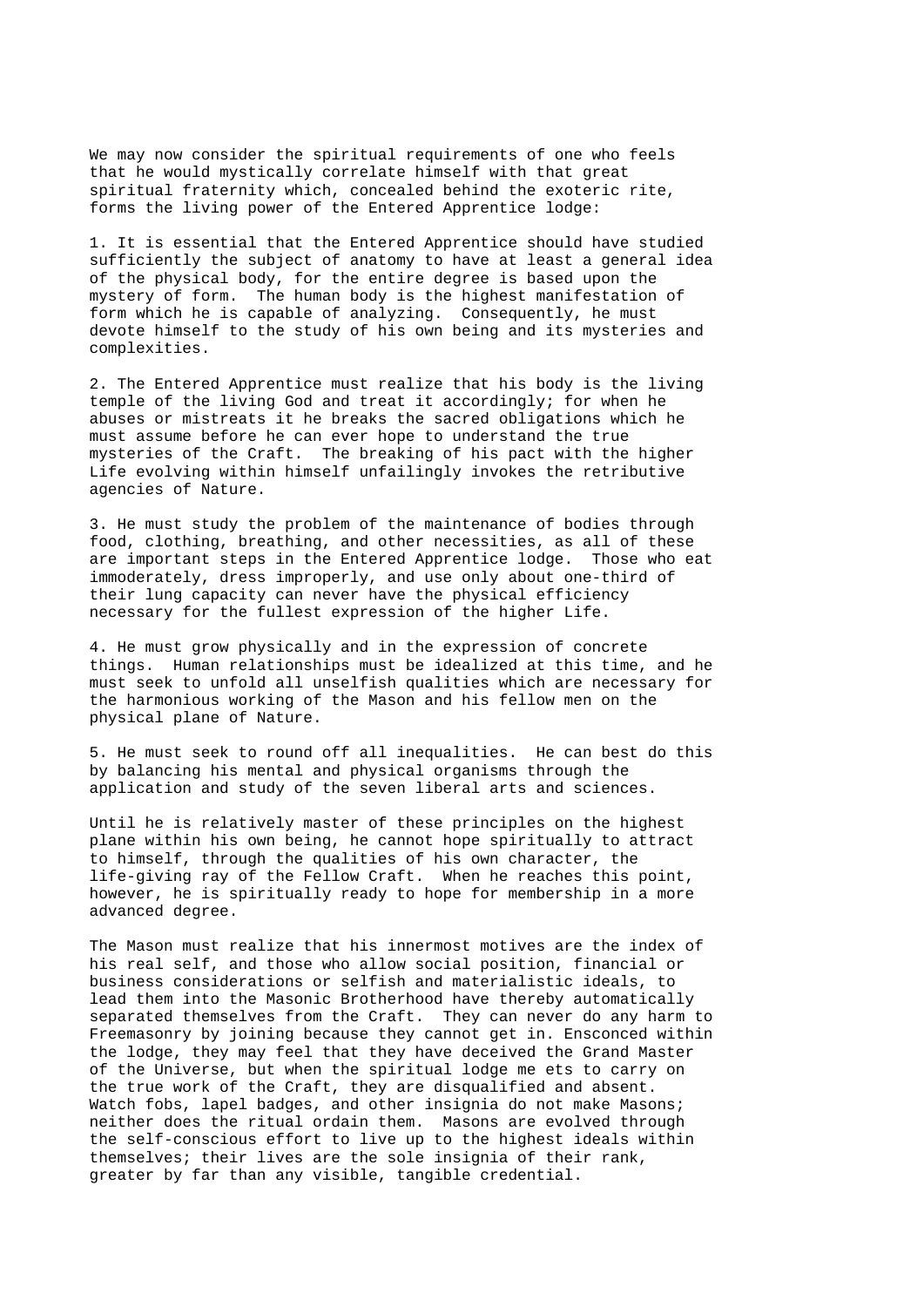We may now consider the spiritual requirements of one who feels that he would mystically correlate himself with that great spiritual fraternity which, concealed behind the exoteric rite, forms the living power of the Entered Apprentice lodge:

1. It is essential that the Entered Apprentice should have studied sufficiently the subject of anatomy to have at least a general idea of the physical body, for the entire degree is based upon the mystery of form. The human body is the highest manifestation of form which he is capable of analyzing. Consequently, he must devote himself to the study of his own being and its mysteries and complexities.

2. The Entered Apprentice must realize that his body is the living temple of the living God and treat it accordingly; for when he abuses or mistreats it he breaks the sacred obligations which he must assume before he can ever hope to understand the true mysteries of the Craft. The breaking of his pact with the higher Life evolving within himself unfailingly invokes the retributive agencies of Nature.

3. He must study the problem of the maintenance of bodies through food, clothing, breathing, and other necessities, as all of these are important steps in the Entered Apprentice lodge. Those who eat immoderately, dress improperly, and use only about one-third of their lung capacity can never have the physical efficiency necessary for the fullest expression of the higher Life.

4. He must grow physically and in the expression of concrete things. Human relationships must be idealized at this time, and he must seek to unfold all unselfish qualities which are necessary for the harmonious working of the Mason and his fellow men on the physical plane of Nature.

5. He must seek to round off all inequalities. He can best do this by balancing his mental and physical organisms through the application and study of the seven liberal arts and sciences.

Until he is relatively master of these principles on the highest plane within his own being, he cannot hope spiritually to attract to himself, through the qualities of his own character, the life-giving ray of the Fellow Craft. When he reaches this point, however, he is spiritually ready to hope for membership in a more advanced degree.

The Mason must realize that his innermost motives are the index of his real self, and those who allow social position, financial or business considerations or selfish and materialistic ideals, to lead them into the Masonic Brotherhood have thereby automatically separated themselves from the Craft. They can never do any harm to Freemasonry by joining because they cannot get in. Ensconced within the lodge, they may feel that they have deceived the Grand Master of the Universe, but when the spiritual lodge me ets to carry on the true work of the Craft, they are disqualified and absent. Watch fobs, lapel badges, and other insignia do not make Masons; neither does the ritual ordain them. Masons are evolved through the self-conscious effort to live up to the highest ideals within themselves; their lives are the sole insignia of their rank, greater by far than any visible, tangible credential.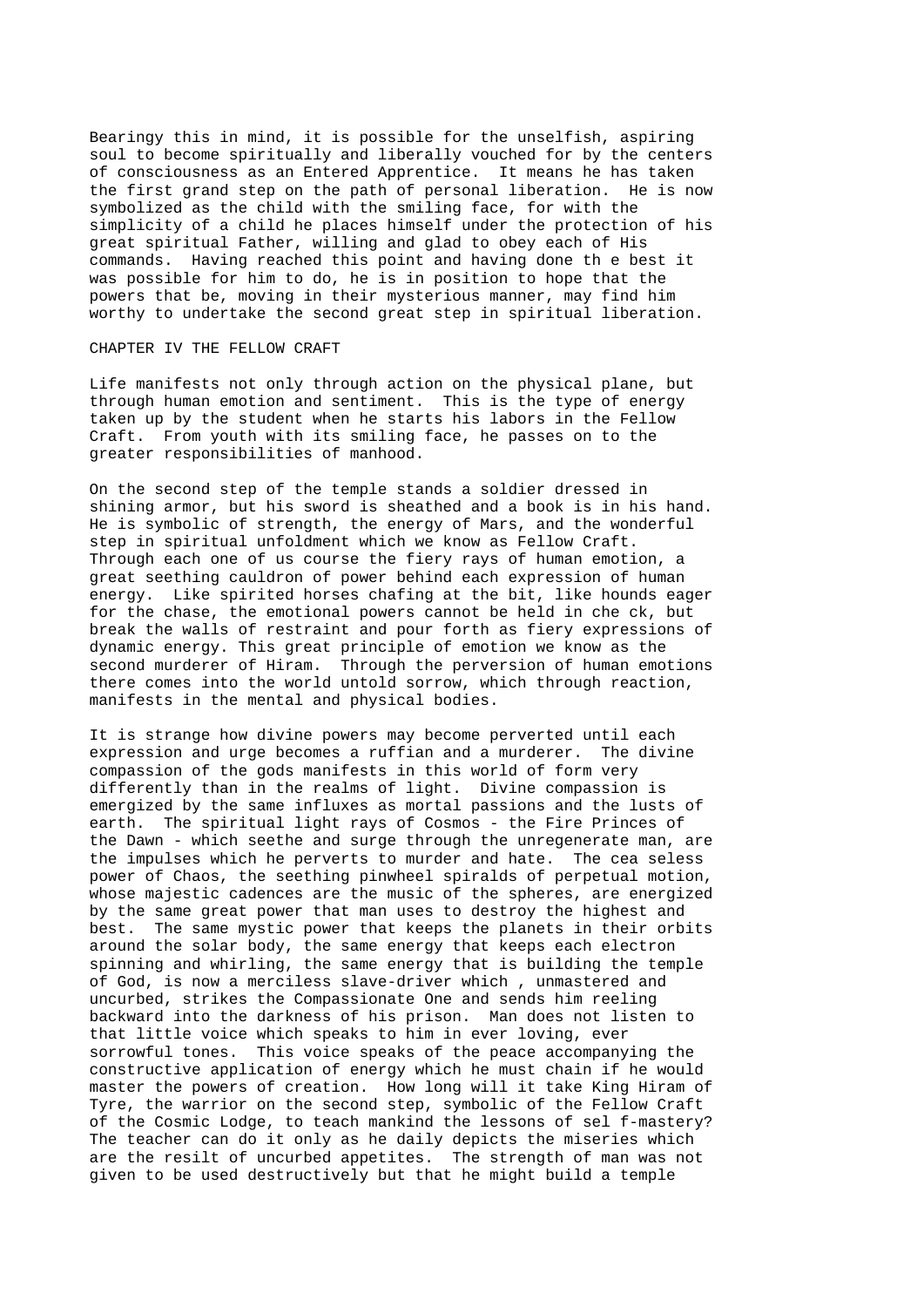Bearingy this in mind, it is possible for the unselfish, aspiring soul to become spiritually and liberally vouched for by the centers of consciousness as an Entered Apprentice. It means he has taken the first grand step on the path of personal liberation. He is now symbolized as the child with the smiling face, for with the simplicity of a child he places himself under the protection of his great spiritual Father, willing and glad to obey each of His commands. Having reached this point and having done th e best it was possible for him to do, he is in position to hope that the powers that be, moving in their mysterious manner, may find him worthy to undertake the second great step in spiritual liberation.

# CHAPTER IV THE FELLOW CRAFT

Life manifests not only through action on the physical plane, but through human emotion and sentiment. This is the type of energy taken up by the student when he starts his labors in the Fellow Craft. From youth with its smiling face, he passes on to the greater responsibilities of manhood.

On the second step of the temple stands a soldier dressed in shining armor, but his sword is sheathed and a book is in his hand. He is symbolic of strength, the energy of Mars, and the wonderful step in spiritual unfoldment which we know as Fellow Craft. Through each one of us course the fiery rays of human emotion, a great seething cauldron of power behind each expression of human energy. Like spirited horses chafing at the bit, like hounds eager for the chase, the emotional powers cannot be held in che ck, but break the walls of restraint and pour forth as fiery expressions of dynamic energy. This great principle of emotion we know as the second murderer of Hiram. Through the perversion of human emotions there comes into the world untold sorrow, which through reaction, manifests in the mental and physical bodies.

It is strange how divine powers may become perverted until each expression and urge becomes a ruffian and a murderer. The divine compassion of the gods manifests in this world of form very differently than in the realms of light. Divine compassion is emergized by the same influxes as mortal passions and the lusts of earth. The spiritual light rays of Cosmos - the Fire Princes of the Dawn - which seethe and surge through the unregenerate man, are the impulses which he perverts to murder and hate. The cea seless power of Chaos, the seething pinwheel spiralds of perpetual motion, whose majestic cadences are the music of the spheres, are energized by the same great power that man uses to destroy the highest and best. The same mystic power that keeps the planets in their orbits around the solar body, the same energy that keeps each electron spinning and whirling, the same energy that is building the temple of God, is now a merciless slave-driver which , unmastered and uncurbed, strikes the Compassionate One and sends him reeling backward into the darkness of his prison. Man does not listen to that little voice which speaks to him in ever loving, ever sorrowful tones. This voice speaks of the peace accompanying the constructive application of energy which he must chain if he would master the powers of creation. How long will it take King Hiram of Tyre, the warrior on the second step, symbolic of the Fellow Craft of the Cosmic Lodge, to teach mankind the lessons of sel f-mastery? The teacher can do it only as he daily depicts the miseries which are the resilt of uncurbed appetites. The strength of man was not given to be used destructively but that he might build a temple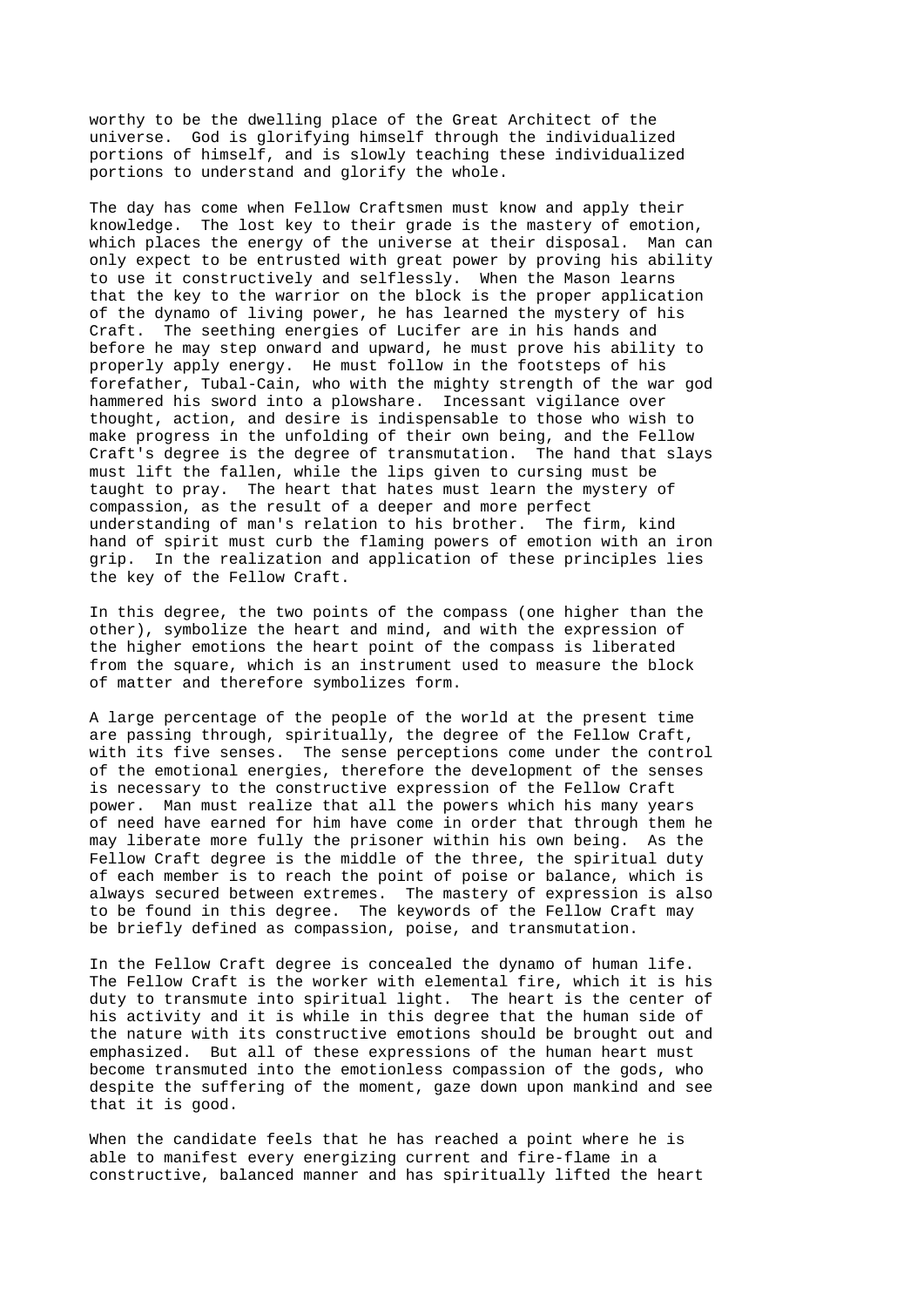worthy to be the dwelling place of the Great Architect of the universe. God is glorifying himself through the individualized portions of himself, and is slowly teaching these individualized portions to understand and glorify the whole.

The day has come when Fellow Craftsmen must know and apply their knowledge. The lost key to their grade is the mastery of emotion, which places the energy of the universe at their disposal. Man can only expect to be entrusted with great power by proving his ability to use it constructively and selflessly. When the Mason learns that the key to the warrior on the block is the proper application of the dynamo of living power, he has learned the mystery of his Craft. The seething energies of Lucifer are in his hands and before he may step onward and upward, he must prove his ability to properly apply energy. He must follow in the footsteps of his forefather, Tubal-Cain, who with the mighty strength of the war god hammered his sword into a plowshare. Incessant vigilance over thought, action, and desire is indispensable to those who wish to make progress in the unfolding of their own being, and the Fellow Craft's degree is the degree of transmutation. The hand that slays must lift the fallen, while the lips given to cursing must be taught to pray. The heart that hates must learn the mystery of compassion, as the result of a deeper and more perfect understanding of man's relation to his brother. The firm, kind hand of spirit must curb the flaming powers of emotion with an iron grip. In the realization and application of these principles lies the key of the Fellow Craft.

In this degree, the two points of the compass (one higher than the other), symbolize the heart and mind, and with the expression of the higher emotions the heart point of the compass is liberated from the square, which is an instrument used to measure the block of matter and therefore symbolizes form.

A large percentage of the people of the world at the present time are passing through, spiritually, the degree of the Fellow Craft, with its five senses. The sense perceptions come under the control of the emotional energies, therefore the development of the senses is necessary to the constructive expression of the Fellow Craft power. Man must realize that all the powers which his many years of need have earned for him have come in order that through them he may liberate more fully the prisoner within his own being. As the Fellow Craft degree is the middle of the three, the spiritual duty of each member is to reach the point of poise or balance, which is always secured between extremes. The mastery of expression is also to be found in this degree. The keywords of the Fellow Craft may be briefly defined as compassion, poise, and transmutation.

In the Fellow Craft degree is concealed the dynamo of human life. The Fellow Craft is the worker with elemental fire, which it is his duty to transmute into spiritual light. The heart is the center of his activity and it is while in this degree that the human side of the nature with its constructive emotions should be brought out and emphasized. But all of these expressions of the human heart must become transmuted into the emotionless compassion of the gods, who despite the suffering of the moment, gaze down upon mankind and see that it is good.

When the candidate feels that he has reached a point where he is able to manifest every energizing current and fire-flame in a constructive, balanced manner and has spiritually lifted the heart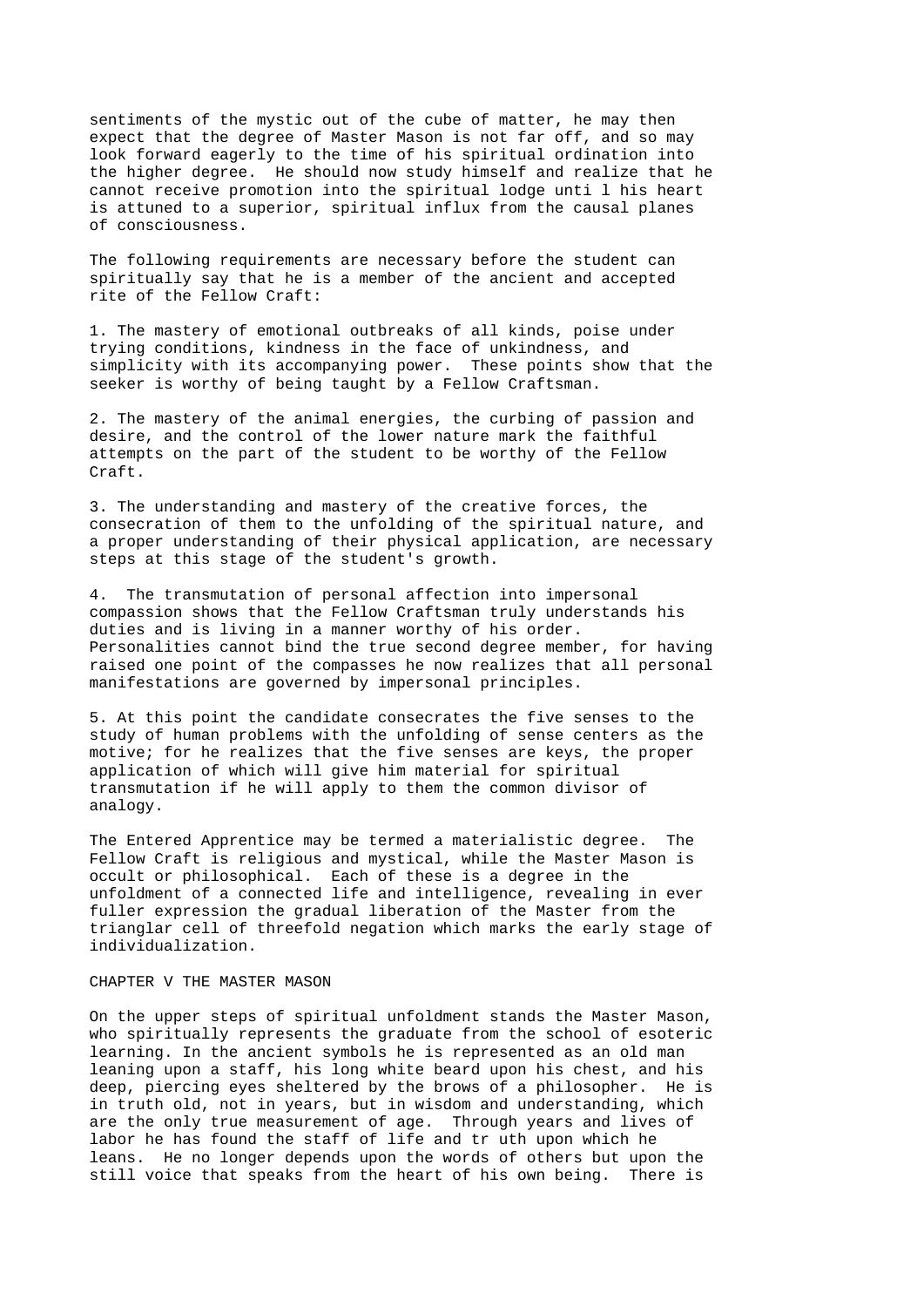sentiments of the mystic out of the cube of matter, he may then expect that the degree of Master Mason is not far off, and so may look forward eagerly to the time of his spiritual ordination into the higher degree. He should now study himself and realize that he cannot receive promotion into the spiritual lodge unti l his heart is attuned to a superior, spiritual influx from the causal planes of consciousness.

The following requirements are necessary before the student can spiritually say that he is a member of the ancient and accepted rite of the Fellow Craft:

1. The mastery of emotional outbreaks of all kinds, poise under trying conditions, kindness in the face of unkindness, and simplicity with its accompanying power. These points show that the seeker is worthy of being taught by a Fellow Craftsman.

2. The mastery of the animal energies, the curbing of passion and desire, and the control of the lower nature mark the faithful attempts on the part of the student to be worthy of the Fellow Craft.

3. The understanding and mastery of the creative forces, the consecration of them to the unfolding of the spiritual nature, and a proper understanding of their physical application, are necessary steps at this stage of the student's growth.

4. The transmutation of personal affection into impersonal compassion shows that the Fellow Craftsman truly understands his duties and is living in a manner worthy of his order. Personalities cannot bind the true second degree member, for having raised one point of the compasses he now realizes that all personal manifestations are governed by impersonal principles.

5. At this point the candidate consecrates the five senses to the study of human problems with the unfolding of sense centers as the motive; for he realizes that the five senses are keys, the proper application of which will give him material for spiritual transmutation if he will apply to them the common divisor of analogy.

The Entered Apprentice may be termed a materialistic degree. The Fellow Craft is religious and mystical, while the Master Mason is occult or philosophical. Each of these is a degree in the unfoldment of a connected life and intelligence, revealing in ever fuller expression the gradual liberation of the Master from the trianglar cell of threefold negation which marks the early stage of individualization.

# CHAPTER V THE MASTER MASON

On the upper steps of spiritual unfoldment stands the Master Mason, who spiritually represents the graduate from the school of esoteric learning. In the ancient symbols he is represented as an old man leaning upon a staff, his long white beard upon his chest, and his deep, piercing eyes sheltered by the brows of a philosopher. He is in truth old, not in years, but in wisdom and understanding, which are the only true measurement of age. Through years and lives of labor he has found the staff of life and tr uth upon which he leans. He no longer depends upon the words of others but upon the still voice that speaks from the heart of his own being. There is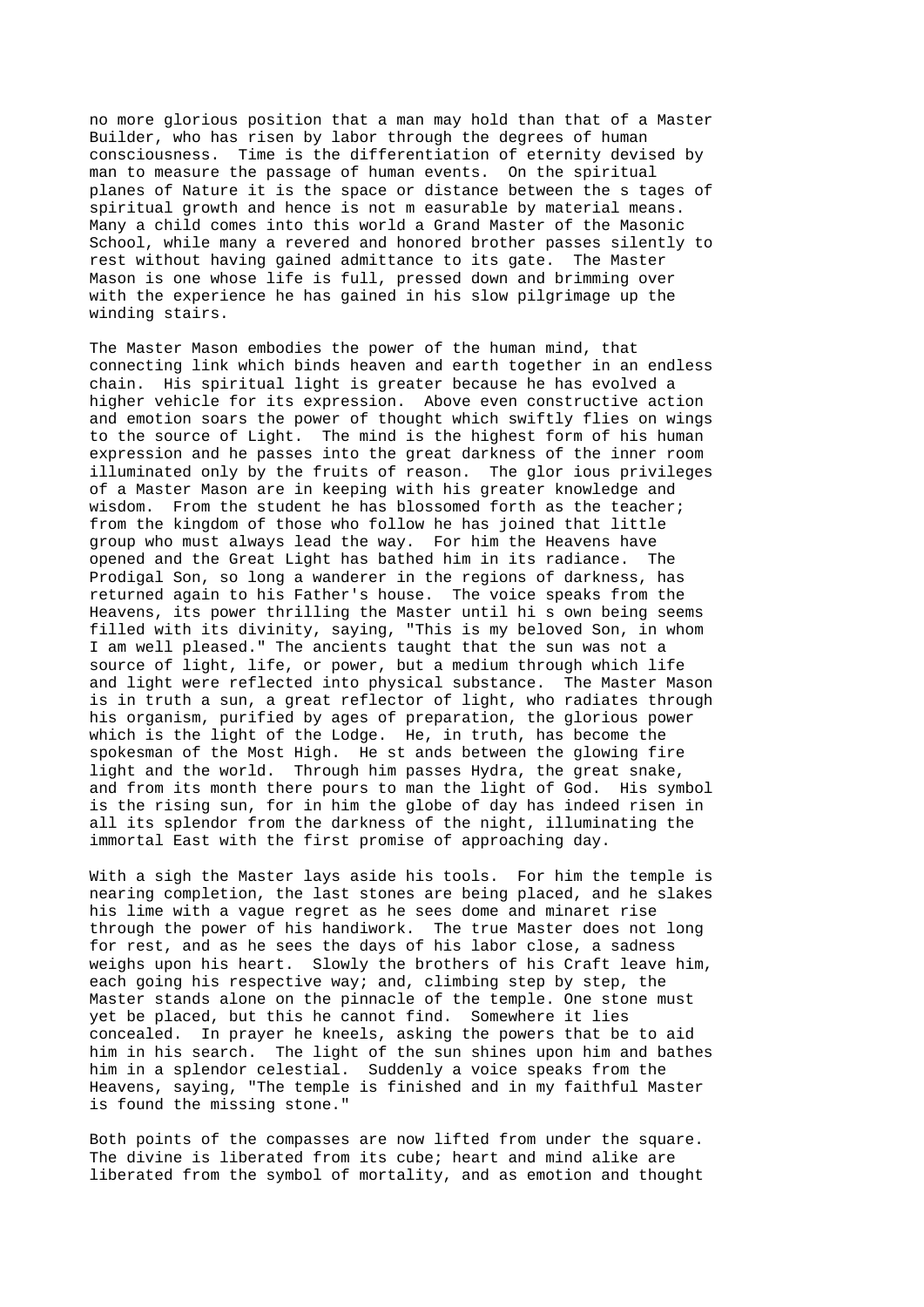no more glorious position that a man may hold than that of a Master Builder, who has risen by labor through the degrees of human consciousness. Time is the differentiation of eternity devised by man to measure the passage of human events. On the spiritual planes of Nature it is the space or distance between the s tages of spiritual growth and hence is not m easurable by material means. Many a child comes into this world a Grand Master of the Masonic School, while many a revered and honored brother passes silently to rest without having gained admittance to its gate. The Master Mason is one whose life is full, pressed down and brimming over with the experience he has gained in his slow pilgrimage up the winding stairs.

The Master Mason embodies the power of the human mind, that connecting link which binds heaven and earth together in an endless chain. His spiritual light is greater because he has evolved a higher vehicle for its expression. Above even constructive action and emotion soars the power of thought which swiftly flies on wings to the source of Light. The mind is the highest form of his human expression and he passes into the great darkness of the inner room illuminated only by the fruits of reason. The glor ious privileges of a Master Mason are in keeping with his greater knowledge and wisdom. From the student he has blossomed forth as the teacher; from the kingdom of those who follow he has joined that little group who must always lead the way. For him the Heavens have opened and the Great Light has bathed him in its radiance. The Prodigal Son, so long a wanderer in the regions of darkness, has returned again to his Father's house. The voice speaks from the Heavens, its power thrilling the Master until hi s own being seems filled with its divinity, saying, "This is my beloved Son, in whom I am well pleased." The ancients taught that the sun was not a source of light, life, or power, but a medium through which life and light were reflected into physical substance. The Master Mason is in truth a sun, a great reflector of light, who radiates through his organism, purified by ages of preparation, the glorious power which is the light of the Lodge. He, in truth, has become the spokesman of the Most High. He st ands between the glowing fire light and the world. Through him passes Hydra, the great snake, and from its month there pours to man the light of God. His symbol is the rising sun, for in him the globe of day has indeed risen in all its splendor from the darkness of the night, illuminating the immortal East with the first promise of approaching day.

With a sigh the Master lays aside his tools. For him the temple is nearing completion, the last stones are being placed, and he slakes his lime with a vague regret as he sees dome and minaret rise through the power of his handiwork. The true Master does not long for rest, and as he sees the days of his labor close, a sadness weighs upon his heart. Slowly the brothers of his Craft leave him, each going his respective way; and, climbing step by step, the Master stands alone on the pinnacle of the temple. One stone must yet be placed, but this he cannot find. Somewhere it lies concealed. In prayer he kneels, asking the powers that be to aid him in his search. The light of the sun shines upon him and bathes him in a splendor celestial. Suddenly a voice speaks from the Heavens, saying, "The temple is finished and in my faithful Master is found the missing stone."

Both points of the compasses are now lifted from under the square. The divine is liberated from its cube; heart and mind alike are liberated from the symbol of mortality, and as emotion and thought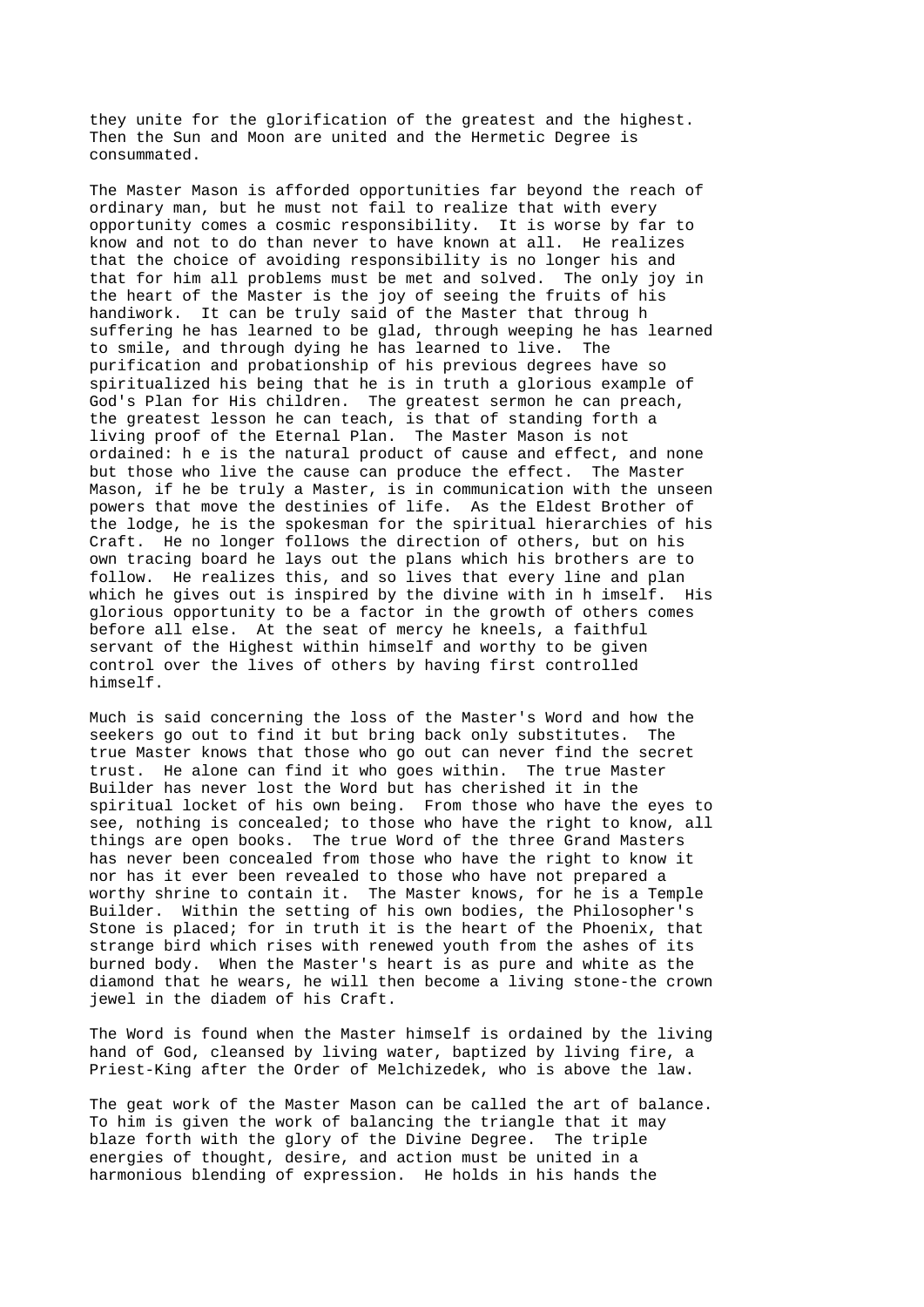they unite for the glorification of the greatest and the highest. Then the Sun and Moon are united and the Hermetic Degree is consummated.

The Master Mason is afforded opportunities far beyond the reach of ordinary man, but he must not fail to realize that with every opportunity comes a cosmic responsibility. It is worse by far to know and not to do than never to have known at all. He realizes that the choice of avoiding responsibility is no longer his and that for him all problems must be met and solved. The only joy in the heart of the Master is the joy of seeing the fruits of his handiwork. It can be truly said of the Master that throug h suffering he has learned to be glad, through weeping he has learned to smile, and through dying he has learned to live. The purification and probationship of his previous degrees have so spiritualized his being that he is in truth a glorious example of God's Plan for His children. The greatest sermon he can preach, the greatest lesson he can teach, is that of standing forth a living proof of the Eternal Plan. The Master Mason is not ordained: h e is the natural product of cause and effect, and none but those who live the cause can produce the effect. The Master Mason, if he be truly a Master, is in communication with the unseen powers that move the destinies of life. As the Eldest Brother of the lodge, he is the spokesman for the spiritual hierarchies of his Craft. He no longer follows the direction of others, but on his own tracing board he lays out the plans which his brothers are to follow. He realizes this, and so lives that every line and plan which he gives out is inspired by the divine with in h imself. His glorious opportunity to be a factor in the growth of others comes before all else. At the seat of mercy he kneels, a faithful servant of the Highest within himself and worthy to be given control over the lives of others by having first controlled himself.

Much is said concerning the loss of the Master's Word and how the seekers go out to find it but bring back only substitutes. The true Master knows that those who go out can never find the secret trust. He alone can find it who goes within. The true Master Builder has never lost the Word but has cherished it in the spiritual locket of his own being. From those who have the eyes to see, nothing is concealed; to those who have the right to know, all things are open books. The true Word of the three Grand Masters has never been concealed from those who have the right to know it nor has it ever been revealed to those who have not prepared a worthy shrine to contain it. The Master knows, for he is a Temple Builder. Within the setting of his own bodies, the Philosopher's Stone is placed; for in truth it is the heart of the Phoenix, that strange bird which rises with renewed youth from the ashes of its burned body. When the Master's heart is as pure and white as the diamond that he wears, he will then become a living stone-the crown jewel in the diadem of his Craft.

The Word is found when the Master himself is ordained by the living hand of God, cleansed by living water, baptized by living fire, a Priest-King after the Order of Melchizedek, who is above the law.

The geat work of the Master Mason can be called the art of balance. To him is given the work of balancing the triangle that it may blaze forth with the glory of the Divine Degree. The triple energies of thought, desire, and action must be united in a harmonious blending of expression. He holds in his hands the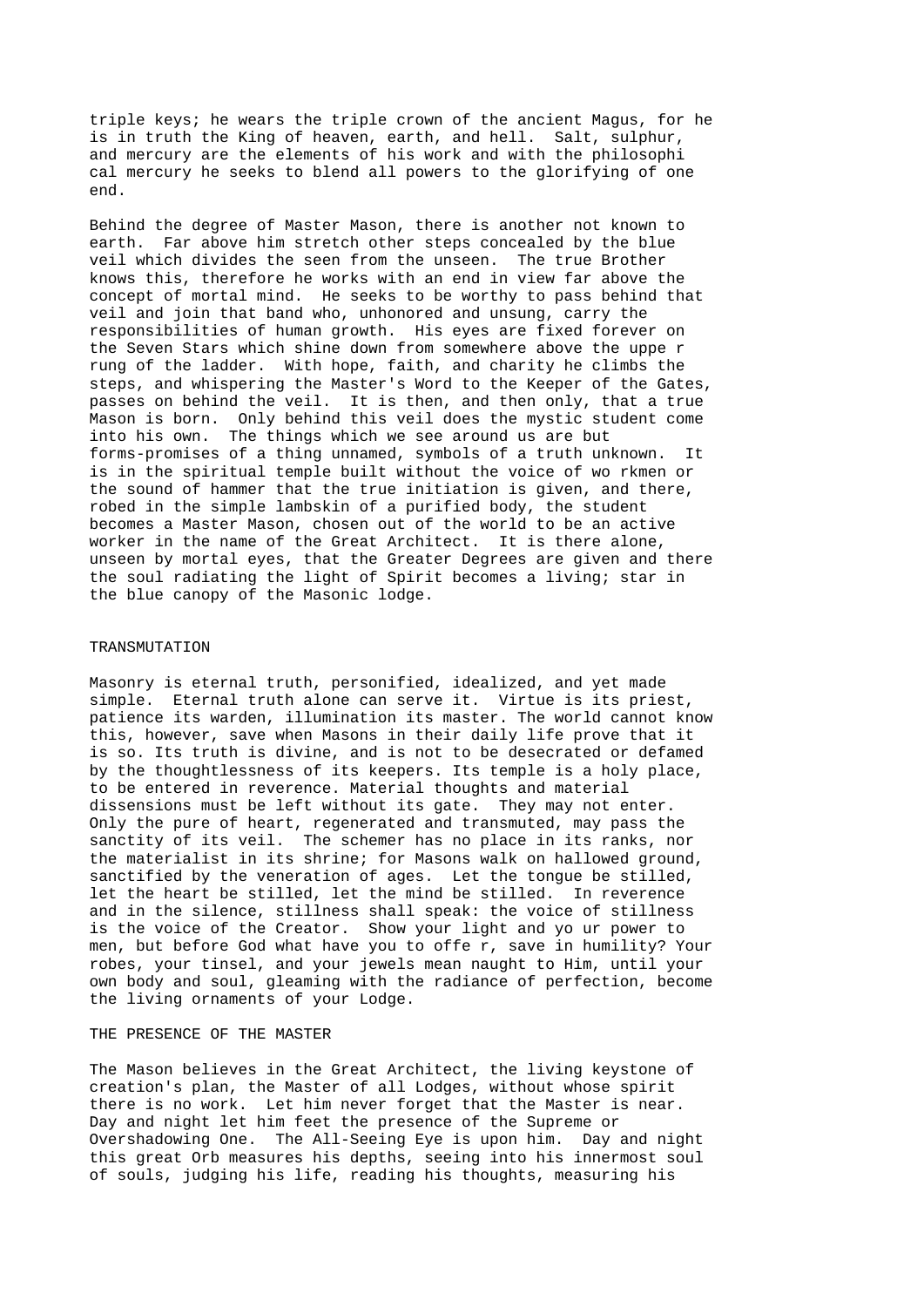triple keys; he wears the triple crown of the ancient Magus, for he is in truth the King of heaven, earth, and hell. Salt, sulphur, and mercury are the elements of his work and with the philosophi cal mercury he seeks to blend all powers to the glorifying of one end.

Behind the degree of Master Mason, there is another not known to earth. Far above him stretch other steps concealed by the blue veil which divides the seen from the unseen. The true Brother knows this, therefore he works with an end in view far above the concept of mortal mind. He seeks to be worthy to pass behind that veil and join that band who, unhonored and unsung, carry the responsibilities of human growth. His eyes are fixed forever on the Seven Stars which shine down from somewhere above the uppe r rung of the ladder. With hope, faith, and charity he climbs the steps, and whispering the Master's Word to the Keeper of the Gates, passes on behind the veil. It is then, and then only, that a true Mason is born. Only behind this veil does the mystic student come into his own. The things which we see around us are but forms-promises of a thing unnamed, symbols of a truth unknown. It is in the spiritual temple built without the voice of wo rkmen or the sound of hammer that the true initiation is given, and there, robed in the simple lambskin of a purified body, the student becomes a Master Mason, chosen out of the world to be an active worker in the name of the Great Architect. It is there alone, unseen by mortal eyes, that the Greater Degrees are given and there the soul radiating the light of Spirit becomes a living; star in the blue canopy of the Masonic lodge.

### TRANSMUTATION

Masonry is eternal truth, personified, idealized, and yet made simple. Eternal truth alone can serve it. Virtue is its priest, patience its warden, illumination its master. The world cannot know this, however, save when Masons in their daily life prove that it is so. Its truth is divine, and is not to be desecrated or defamed by the thoughtlessness of its keepers. Its temple is a holy place, to be entered in reverence. Material thoughts and material dissensions must be left without its gate. They may not enter. Only the pure of heart, regenerated and transmuted, may pass the sanctity of its veil. The schemer has no place in its ranks, nor the materialist in its shrine; for Masons walk on hallowed ground, sanctified by the veneration of ages. Let the tongue be stilled, let the heart be stilled, let the mind be stilled. In reverence and in the silence, stillness shall speak: the voice of stillness is the voice of the Creator. Show your light and yo ur power to men, but before God what have you to offe r, save in humility? Your robes, your tinsel, and your jewels mean naught to Him, until your own body and soul, gleaming with the radiance of perfection, become the living ornaments of your Lodge.

# THE PRESENCE OF THE MASTER

The Mason believes in the Great Architect, the living keystone of creation's plan, the Master of all Lodges, without whose spirit there is no work. Let him never forget that the Master is near. Day and night let him feet the presence of the Supreme or Overshadowing One. The All-Seeing Eye is upon him. Day and night this great Orb measures his depths, seeing into his innermost soul of souls, judging his life, reading his thoughts, measuring his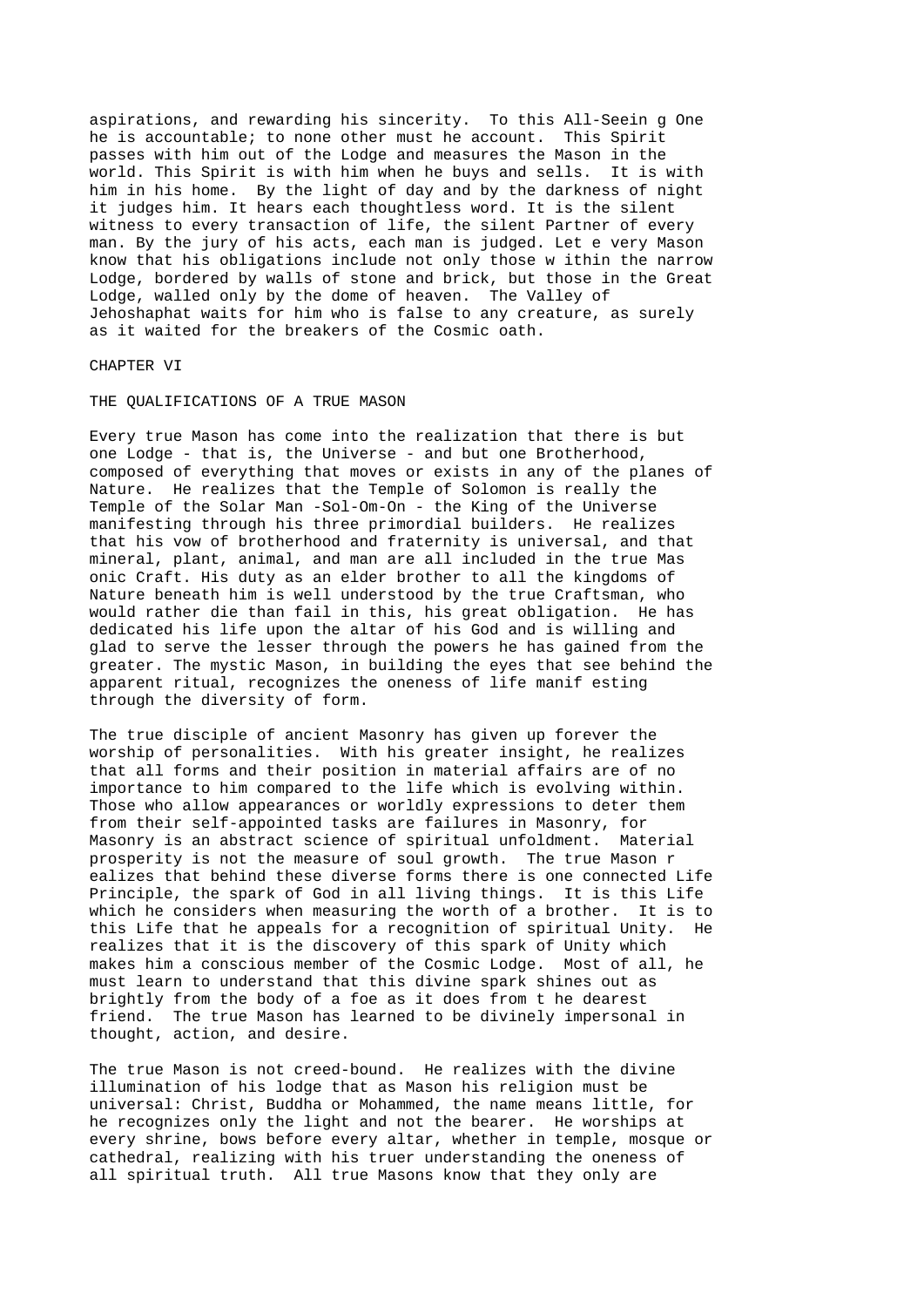aspirations, and rewarding his sincerity. To this All-Seein g One he is accountable; to none other must he account. This Spirit passes with him out of the Lodge and measures the Mason in the world. This Spirit is with him when he buys and sells. It is with him in his home. By the light of day and by the darkness of night it judges him. It hears each thoughtless word. It is the silent witness to every transaction of life, the silent Partner of every man. By the jury of his acts, each man is judged. Let e very Mason know that his obligations include not only those w ithin the narrow Lodge, bordered by walls of stone and brick, but those in the Great Lodge, walled only by the dome of heaven. The Valley of Jehoshaphat waits for him who is false to any creature, as surely as it waited for the breakers of the Cosmic oath.

CHAPTER VI

# THE QUALIFICATIONS OF A TRUE MASON

Every true Mason has come into the realization that there is but one Lodge - that is, the Universe - and but one Brotherhood, composed of everything that moves or exists in any of the planes of Nature. He realizes that the Temple of Solomon is really the Temple of the Solar Man -Sol-Om-On - the King of the Universe manifesting through his three primordial builders. He realizes that his vow of brotherhood and fraternity is universal, and that mineral, plant, animal, and man are all included in the true Mas onic Craft. His duty as an elder brother to all the kingdoms of Nature beneath him is well understood by the true Craftsman, who would rather die than fail in this, his great obligation. He has dedicated his life upon the altar of his God and is willing and glad to serve the lesser through the powers he has gained from the greater. The mystic Mason, in building the eyes that see behind the apparent ritual, recognizes the oneness of life manif esting through the diversity of form.

The true disciple of ancient Masonry has given up forever the worship of personalities. With his greater insight, he realizes that all forms and their position in material affairs are of no importance to him compared to the life which is evolving within. Those who allow appearances or worldly expressions to deter them from their self-appointed tasks are failures in Masonry, for Masonry is an abstract science of spiritual unfoldment. Material prosperity is not the measure of soul growth. The true Mason r ealizes that behind these diverse forms there is one connected Life Principle, the spark of God in all living things. It is this Life which he considers when measuring the worth of a brother. It is to this Life that he appeals for a recognition of spiritual Unity. He realizes that it is the discovery of this spark of Unity which makes him a conscious member of the Cosmic Lodge. Most of all, he must learn to understand that this divine spark shines out as brightly from the body of a foe as it does from t he dearest friend. The true Mason has learned to be divinely impersonal in thought, action, and desire.

The true Mason is not creed-bound. He realizes with the divine illumination of his lodge that as Mason his religion must be universal: Christ, Buddha or Mohammed, the name means little, for he recognizes only the light and not the bearer. He worships at every shrine, bows before every altar, whether in temple, mosque or cathedral, realizing with his truer understanding the oneness of all spiritual truth. All true Masons know that they only are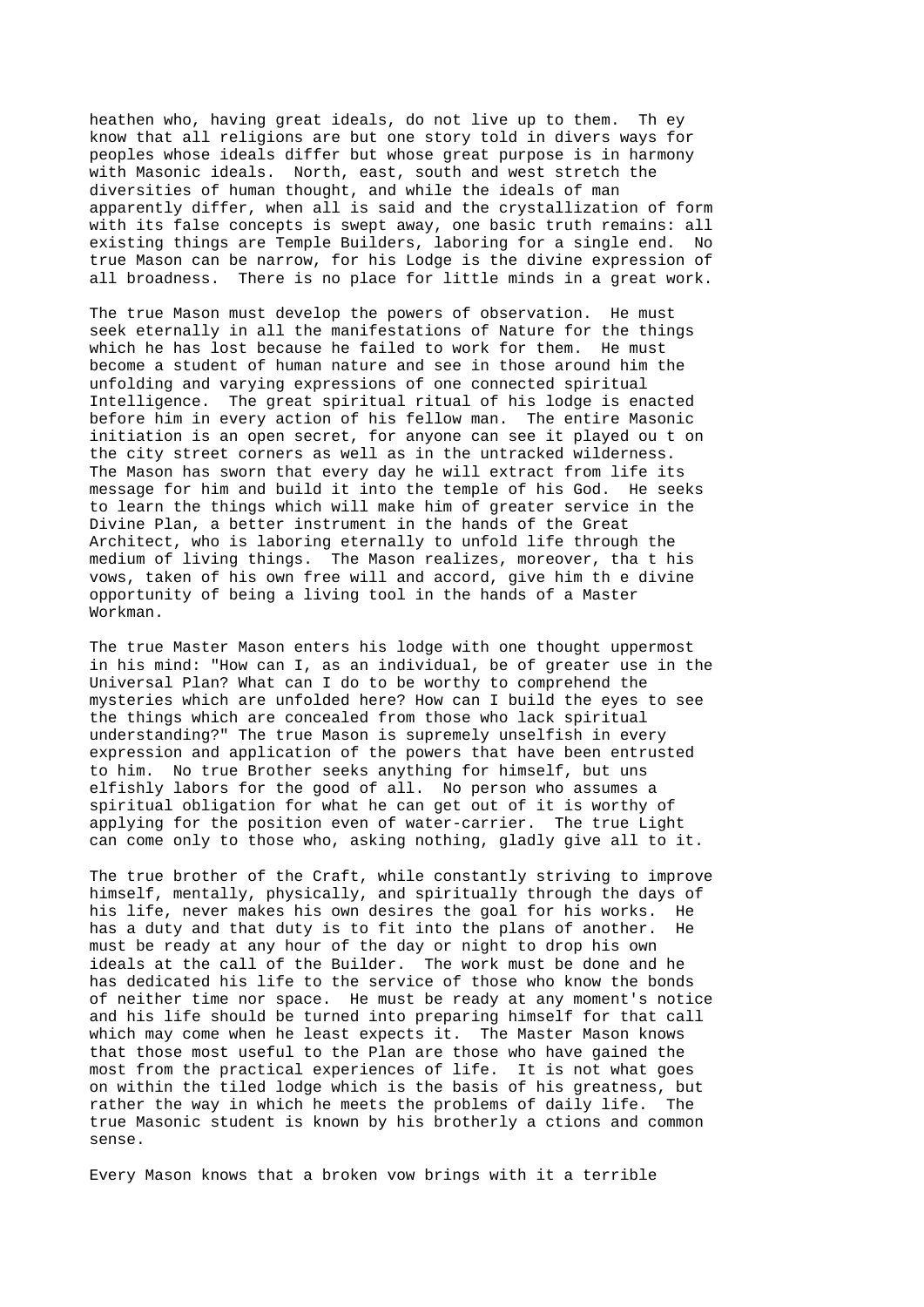heathen who, having great ideals, do not live up to them. Th ey know that all religions are but one story told in divers ways for peoples whose ideals differ but whose great purpose is in harmony with Masonic ideals. North, east, south and west stretch the diversities of human thought, and while the ideals of man apparently differ, when all is said and the crystallization of form with its false concepts is swept away, one basic truth remains: all existing things are Temple Builders, laboring for a single end. No true Mason can be narrow, for his Lodge is the divine expression of all broadness. There is no place for little minds in a great work.

The true Mason must develop the powers of observation. He must seek eternally in all the manifestations of Nature for the things which he has lost because he failed to work for them. He must become a student of human nature and see in those around him the unfolding and varying expressions of one connected spiritual Intelligence. The great spiritual ritual of his lodge is enacted before him in every action of his fellow man. The entire Masonic initiation is an open secret, for anyone can see it played ou t on the city street corners as well as in the untracked wilderness. The Mason has sworn that every day he will extract from life its message for him and build it into the temple of his God. He seeks to learn the things which will make him of greater service in the Divine Plan, a better instrument in the hands of the Great Architect, who is laboring eternally to unfold life through the medium of living things. The Mason realizes, moreover, tha t his vows, taken of his own free will and accord, give him th e divine opportunity of being a living tool in the hands of a Master Workman.

The true Master Mason enters his lodge with one thought uppermost in his mind: "How can I, as an individual, be of greater use in the Universal Plan? What can I do to be worthy to comprehend the mysteries which are unfolded here? How can I build the eyes to see the things which are concealed from those who lack spiritual understanding?" The true Mason is supremely unselfish in every expression and application of the powers that have been entrusted to him. No true Brother seeks anything for himself, but uns elfishly labors for the good of all. No person who assumes a spiritual obligation for what he can get out of it is worthy of applying for the position even of water-carrier. The true Light can come only to those who, asking nothing, gladly give all to it.

The true brother of the Craft, while constantly striving to improve himself, mentally, physically, and spiritually through the days of his life, never makes his own desires the goal for his works. He has a duty and that duty is to fit into the plans of another. He must be ready at any hour of the day or night to drop his own ideals at the call of the Builder. The work must be done and he has dedicated his life to the service of those who know the bonds of neither time nor space. He must be ready at any moment's notice and his life should be turned into preparing himself for that call which may come when he least expects it. The Master Mason knows that those most useful to the Plan are those who have gained the most from the practical experiences of life. It is not what goes on within the tiled lodge which is the basis of his greatness, but rather the way in which he meets the problems of daily life. The true Masonic student is known by his brotherly a ctions and common sense.

Every Mason knows that a broken vow brings with it a terrible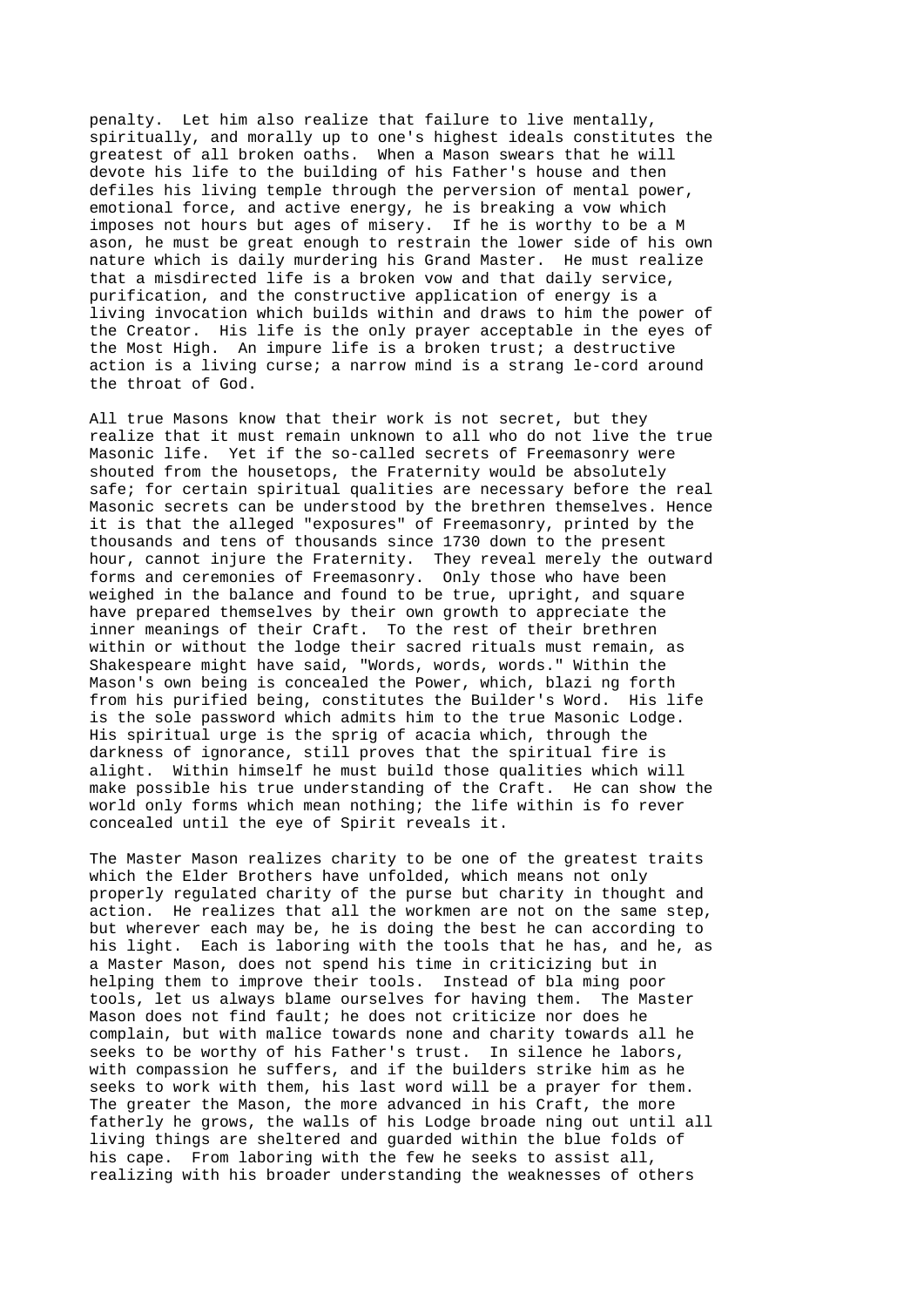penalty. Let him also realize that failure to live mentally, spiritually, and morally up to one's highest ideals constitutes the greatest of all broken oaths. When a Mason swears that he will devote his life to the building of his Father's house and then defiles his living temple through the perversion of mental power, emotional force, and active energy, he is breaking a vow which imposes not hours but ages of misery. If he is worthy to be a M ason, he must be great enough to restrain the lower side of his own nature which is daily murdering his Grand Master. He must realize that a misdirected life is a broken vow and that daily service, purification, and the constructive application of energy is a living invocation which builds within and draws to him the power of the Creator. His life is the only prayer acceptable in the eyes of the Most High. An impure life is a broken trust; a destructive action is a living curse; a narrow mind is a strang le-cord around the throat of God.

All true Masons know that their work is not secret, but they realize that it must remain unknown to all who do not live the true Masonic life. Yet if the so-called secrets of Freemasonry were shouted from the housetops, the Fraternity would be absolutely safe; for certain spiritual qualities are necessary before the real Masonic secrets can be understood by the brethren themselves. Hence it is that the alleged "exposures" of Freemasonry, printed by the thousands and tens of thousands since 1730 down to the present hour, cannot injure the Fraternity. They reveal merely the outward forms and ceremonies of Freemasonry. Only those who have been weighed in the balance and found to be true, upright, and square have prepared themselves by their own growth to appreciate the inner meanings of their Craft. To the rest of their brethren within or without the lodge their sacred rituals must remain, as Shakespeare might have said, "Words, words, words." Within the Mason's own being is concealed the Power, which, blazi ng forth from his purified being, constitutes the Builder's Word. His life is the sole password which admits him to the true Masonic Lodge. His spiritual urge is the sprig of acacia which, through the darkness of ignorance, still proves that the spiritual fire is alight. Within himself he must build those qualities which will make possible his true understanding of the Craft. He can show the world only forms which mean nothing; the life within is fo rever concealed until the eye of Spirit reveals it.

The Master Mason realizes charity to be one of the greatest traits which the Elder Brothers have unfolded, which means not only properly regulated charity of the purse but charity in thought and action. He realizes that all the workmen are not on the same step, but wherever each may be, he is doing the best he can according to his light. Each is laboring with the tools that he has, and he, as a Master Mason, does not spend his time in criticizing but in helping them to improve their tools. Instead of bla ming poor tools, let us always blame ourselves for having them. The Master Mason does not find fault; he does not criticize nor does he complain, but with malice towards none and charity towards all he seeks to be worthy of his Father's trust. In silence he labors, with compassion he suffers, and if the builders strike him as he seeks to work with them, his last word will be a prayer for them. The greater the Mason, the more advanced in his Craft, the more fatherly he grows, the walls of his Lodge broade ning out until all living things are sheltered and guarded within the blue folds of his cape. From laboring with the few he seeks to assist all, realizing with his broader understanding the weaknesses of others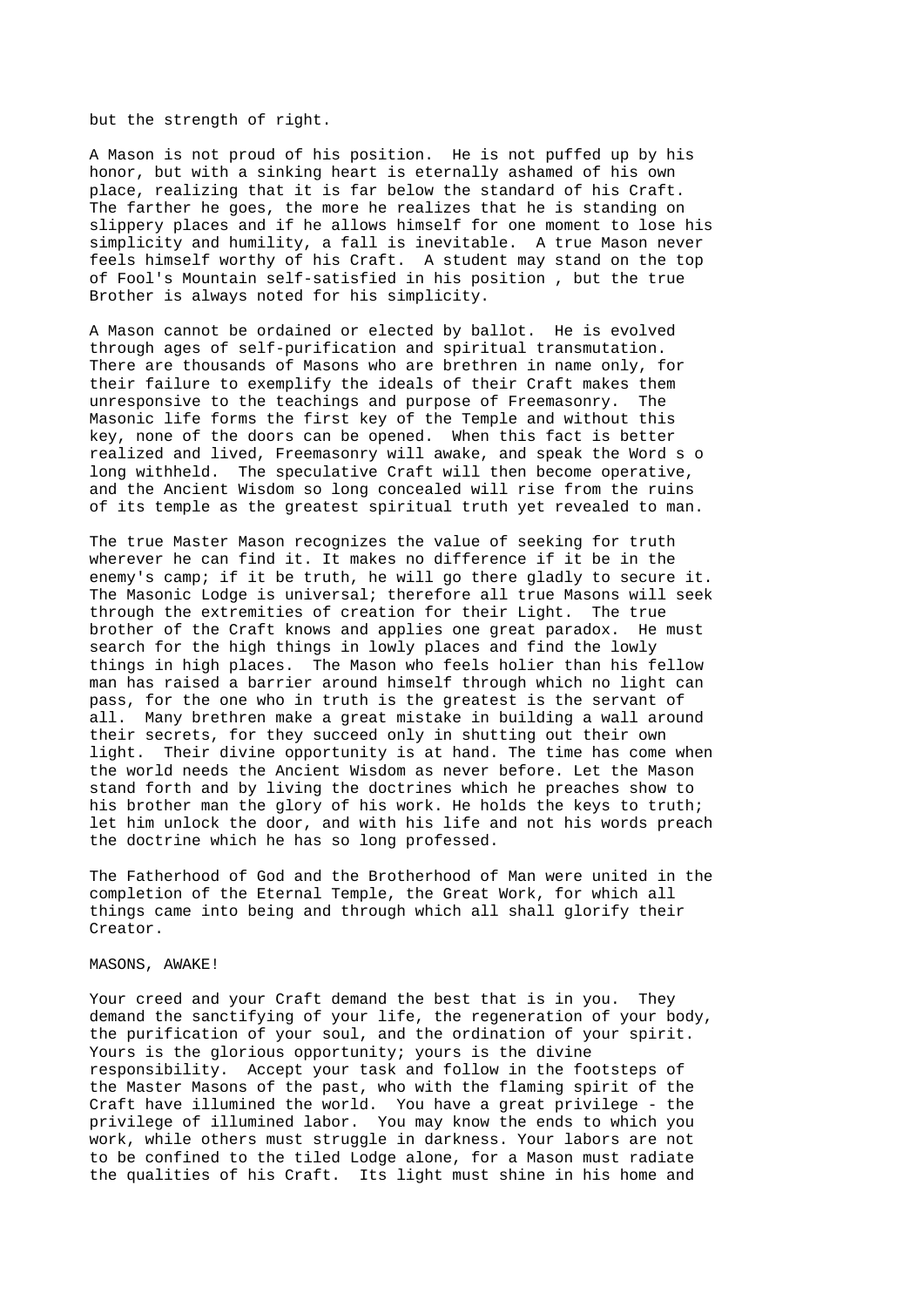but the strength of right.

A Mason is not proud of his position. He is not puffed up by his honor, but with a sinking heart is eternally ashamed of his own place, realizing that it is far below the standard of his Craft. The farther he goes, the more he realizes that he is standing on slippery places and if he allows himself for one moment to lose his simplicity and humility, a fall is inevitable. A true Mason never feels himself worthy of his Craft. A student may stand on the top of Fool's Mountain self-satisfied in his position , but the true Brother is always noted for his simplicity.

A Mason cannot be ordained or elected by ballot. He is evolved through ages of self-purification and spiritual transmutation. There are thousands of Masons who are brethren in name only, for their failure to exemplify the ideals of their Craft makes them unresponsive to the teachings and purpose of Freemasonry. The Masonic life forms the first key of the Temple and without this key, none of the doors can be opened. When this fact is better realized and lived, Freemasonry will awake, and speak the Word s o long withheld. The speculative Craft will then become operative, and the Ancient Wisdom so long concealed will rise from the ruins of its temple as the greatest spiritual truth yet revealed to man.

The true Master Mason recognizes the value of seeking for truth wherever he can find it. It makes no difference if it be in the enemy's camp; if it be truth, he will go there gladly to secure it. The Masonic Lodge is universal; therefore all true Masons will seek through the extremities of creation for their Light. The true brother of the Craft knows and applies one great paradox. He must search for the high things in lowly places and find the lowly things in high places. The Mason who feels holier than his fellow man has raised a barrier around himself through which no light can pass, for the one who in truth is the greatest is the servant of all. Many brethren make a great mistake in building a wall around their secrets, for they succeed only in shutting out their own light. Their divine opportunity is at hand. The time has come when the world needs the Ancient Wisdom as never before. Let the Mason stand forth and by living the doctrines which he preaches show to his brother man the glory of his work. He holds the keys to truth; let him unlock the door, and with his life and not his words preach the doctrine which he has so long professed.

The Fatherhood of God and the Brotherhood of Man were united in the completion of the Eternal Temple, the Great Work, for which all things came into being and through which all shall glorify their Creator.

# MASONS, AWAKE!

Your creed and your Craft demand the best that is in you. They demand the sanctifying of your life, the regeneration of your body, the purification of your soul, and the ordination of your spirit. Yours is the glorious opportunity; yours is the divine responsibility. Accept your task and follow in the footsteps of the Master Masons of the past, who with the flaming spirit of the Craft have illumined the world. You have a great privilege - the privilege of illumined labor. You may know the ends to which you work, while others must struggle in darkness. Your labors are not to be confined to the tiled Lodge alone, for a Mason must radiate the qualities of his Craft. Its light must shine in his home and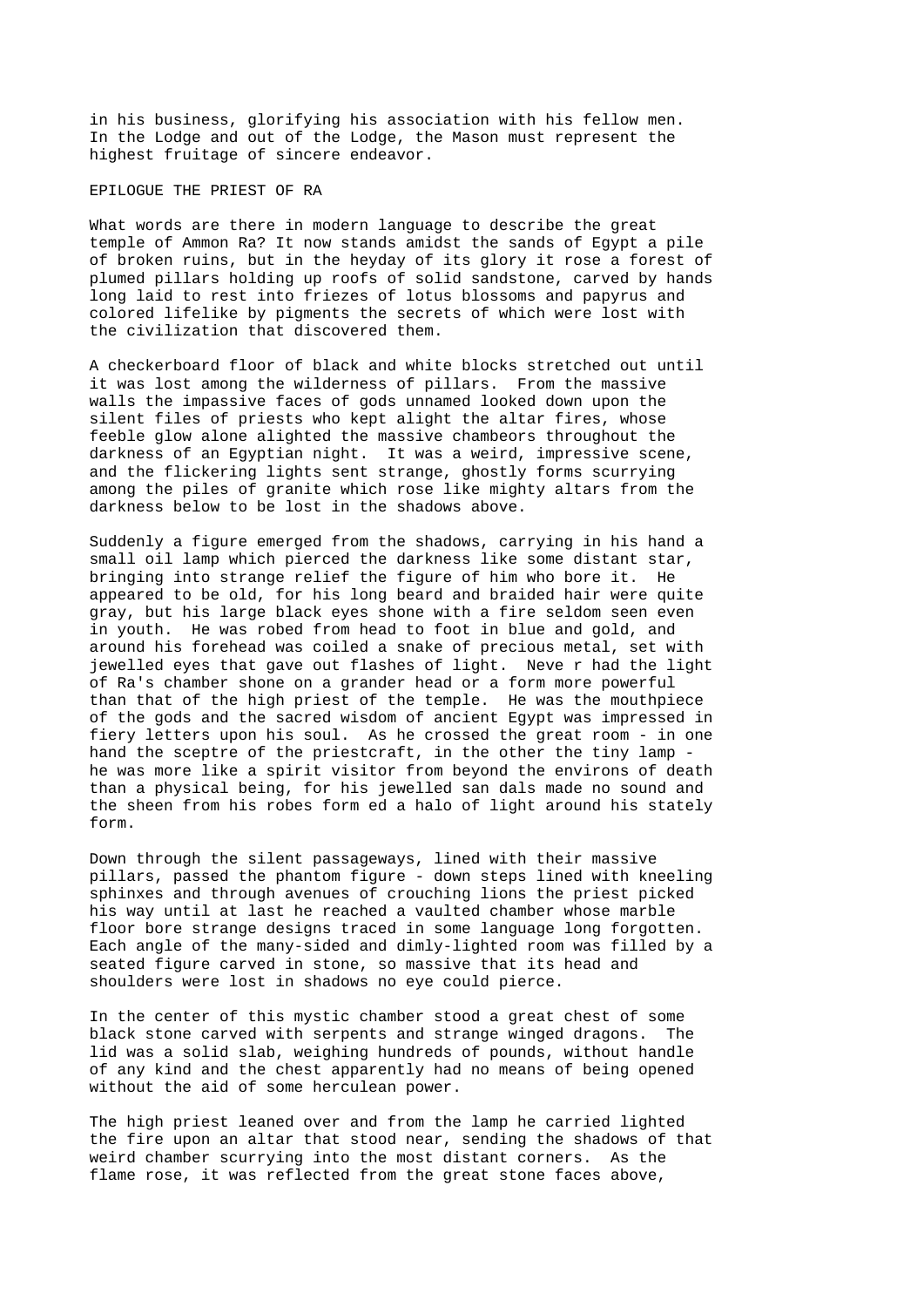in his business, glorifying his association with his fellow men. In the Lodge and out of the Lodge, the Mason must represent the highest fruitage of sincere endeavor.

# EPILOGUE THE PRIEST OF RA

What words are there in modern language to describe the great temple of Ammon Ra? It now stands amidst the sands of Egypt a pile of broken ruins, but in the heyday of its glory it rose a forest of plumed pillars holding up roofs of solid sandstone, carved by hands long laid to rest into friezes of lotus blossoms and papyrus and colored lifelike by pigments the secrets of which were lost with the civilization that discovered them.

A checkerboard floor of black and white blocks stretched out until it was lost among the wilderness of pillars. From the massive walls the impassive faces of gods unnamed looked down upon the silent files of priests who kept alight the altar fires, whose feeble glow alone alighted the massive chambeors throughout the darkness of an Egyptian night. It was a weird, impressive scene, and the flickering lights sent strange, ghostly forms scurrying among the piles of granite which rose like mighty altars from the darkness below to be lost in the shadows above.

Suddenly a figure emerged from the shadows, carrying in his hand a small oil lamp which pierced the darkness like some distant star, bringing into strange relief the figure of him who bore it. He appeared to be old, for his long beard and braided hair were quite gray, but his large black eyes shone with a fire seldom seen even in youth. He was robed from head to foot in blue and gold, and around his forehead was coiled a snake of precious metal, set with jewelled eyes that gave out flashes of light. Neve r had the light of Ra's chamber shone on a grander head or a form more powerful than that of the high priest of the temple. He was the mouthpiece of the gods and the sacred wisdom of ancient Egypt was impressed in fiery letters upon his soul. As he crossed the great room - in one hand the sceptre of the priestcraft, in the other the tiny lamp he was more like a spirit visitor from beyond the environs of death than a physical being, for his jewelled san dals made no sound and the sheen from his robes form ed a halo of light around his stately form.

Down through the silent passageways, lined with their massive pillars, passed the phantom figure - down steps lined with kneeling sphinxes and through avenues of crouching lions the priest picked his way until at last he reached a vaulted chamber whose marble floor bore strange designs traced in some language long forgotten. Each angle of the many-sided and dimly-lighted room was filled by a seated figure carved in stone, so massive that its head and shoulders were lost in shadows no eye could pierce.

In the center of this mystic chamber stood a great chest of some black stone carved with serpents and strange winged dragons. The lid was a solid slab, weighing hundreds of pounds, without handle of any kind and the chest apparently had no means of being opened without the aid of some herculean power.

The high priest leaned over and from the lamp he carried lighted the fire upon an altar that stood near, sending the shadows of that weird chamber scurrying into the most distant corners. As the flame rose, it was reflected from the great stone faces above,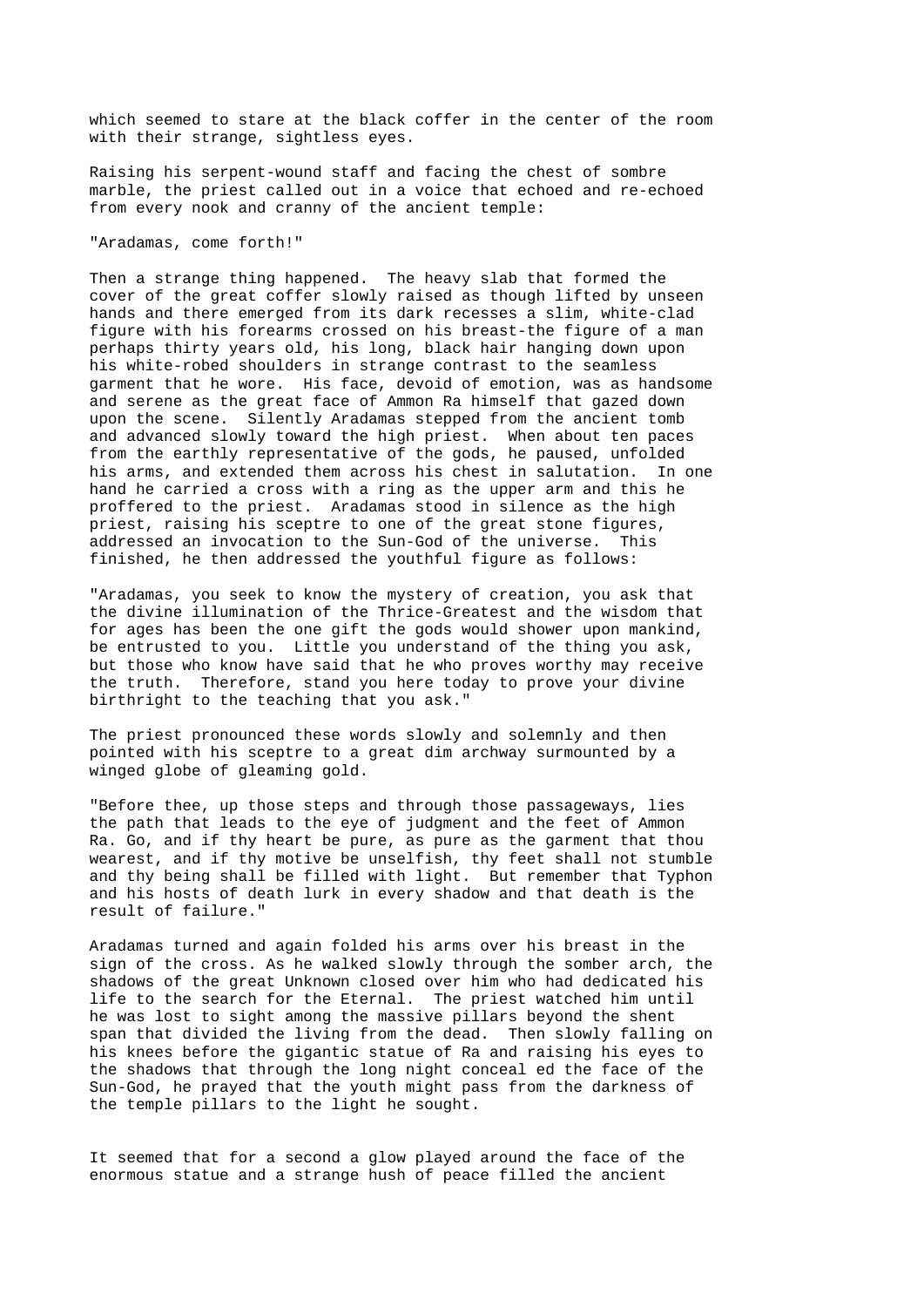which seemed to stare at the black coffer in the center of the room with their strange, sightless eyes.

Raising his serpent-wound staff and facing the chest of sombre marble, the priest called out in a voice that echoed and re-echoed from every nook and cranny of the ancient temple:

"Aradamas, come forth!"

Then a strange thing happened. The heavy slab that formed the cover of the great coffer slowly raised as though lifted by unseen hands and there emerged from its dark recesses a slim, white-clad figure with his forearms crossed on his breast-the figure of a man perhaps thirty years old, his long, black hair hanging down upon his white-robed shoulders in strange contrast to the seamless garment that he wore. His face, devoid of emotion, was as handsome and serene as the great face of Ammon Ra himself that gazed down upon the scene. Silently Aradamas stepped from the ancient tomb and advanced slowly toward the high priest. When about ten paces from the earthly representative of the gods, he paused, unfolded his arms, and extended them across his chest in salutation. In one hand he carried a cross with a ring as the upper arm and this he proffered to the priest. Aradamas stood in silence as the high priest, raising his sceptre to one of the great stone figures, addressed an invocation to the Sun-God of the universe. This finished, he then addressed the youthful figure as follows:

"Aradamas, you seek to know the mystery of creation, you ask that the divine illumination of the Thrice-Greatest and the wisdom that for ages has been the one gift the gods would shower upon mankind, be entrusted to you. Little you understand of the thing you ask, but those who know have said that he who proves worthy may receive the truth. Therefore, stand you here today to prove your divine birthright to the teaching that you ask."

The priest pronounced these words slowly and solemnly and then pointed with his sceptre to a great dim archway surmounted by a winged globe of gleaming gold.

"Before thee, up those steps and through those passageways, lies the path that leads to the eye of judgment and the feet of Ammon Ra. Go, and if thy heart be pure, as pure as the garment that thou wearest, and if thy motive be unselfish, thy feet shall not stumble and thy being shall be filled with light. But remember that Typhon and his hosts of death lurk in every shadow and that death is the result of failure."

Aradamas turned and again folded his arms over his breast in the sign of the cross. As he walked slowly through the somber arch, the shadows of the great Unknown closed over him who had dedicated his life to the search for the Eternal. The priest watched him until he was lost to sight among the massive pillars beyond the shent span that divided the living from the dead. Then slowly falling on his knees before the gigantic statue of Ra and raising his eyes to the shadows that through the long night conceal ed the face of the Sun-God, he prayed that the youth might pass from the darkness of the temple pillars to the light he sought.

It seemed that for a second a glow played around the face of the enormous statue and a strange hush of peace filled the ancient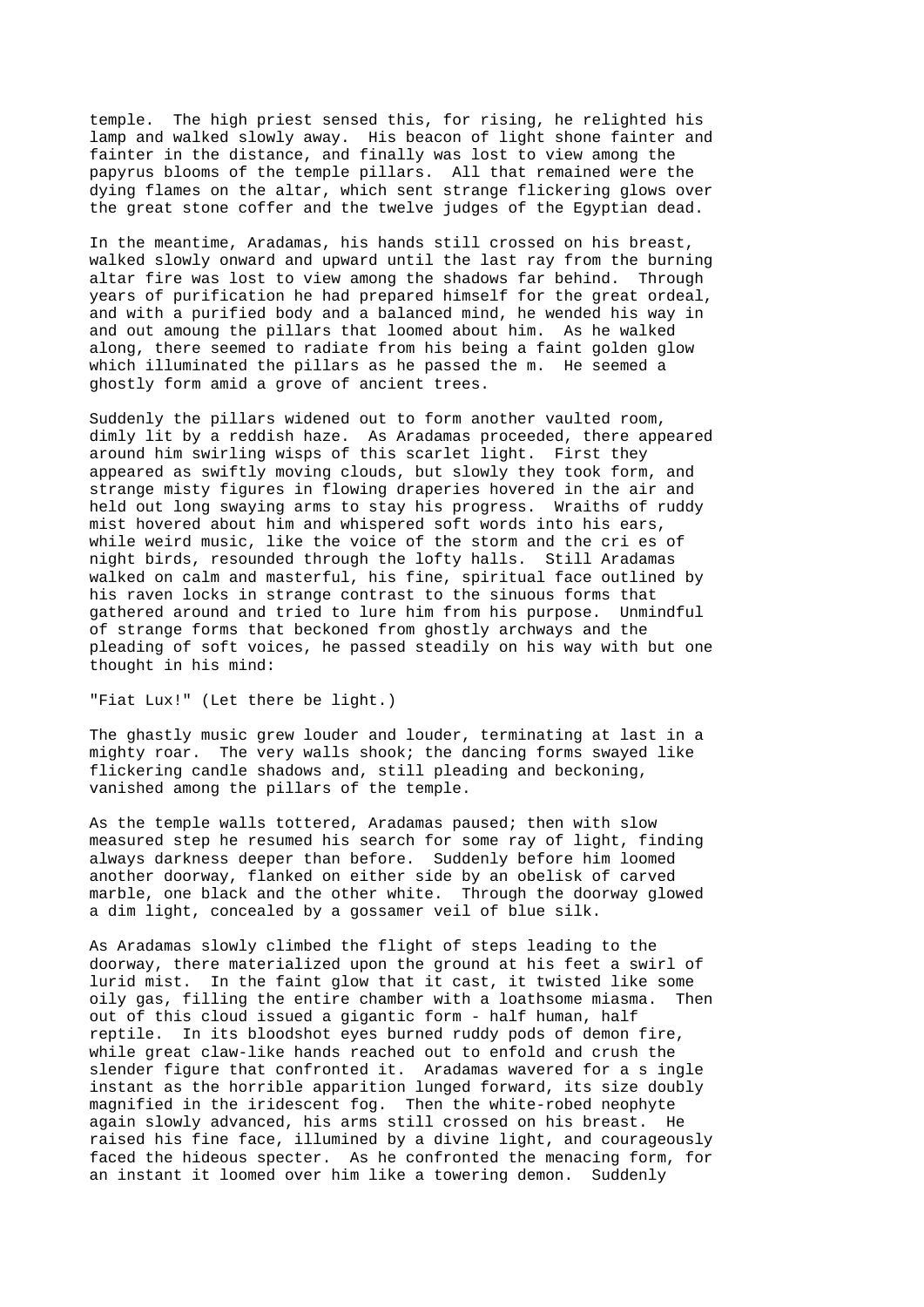temple. The high priest sensed this, for rising, he relighted his lamp and walked slowly away. His beacon of light shone fainter and fainter in the distance, and finally was lost to view among the papyrus blooms of the temple pillars. All that remained were the dying flames on the altar, which sent strange flickering glows over the great stone coffer and the twelve judges of the Egyptian dead.

In the meantime, Aradamas, his hands still crossed on his breast, walked slowly onward and upward until the last ray from the burning altar fire was lost to view among the shadows far behind. Through years of purification he had prepared himself for the great ordeal, and with a purified body and a balanced mind, he wended his way in and out amoung the pillars that loomed about him. As he walked along, there seemed to radiate from his being a faint golden glow which illuminated the pillars as he passed the m. He seemed a ghostly form amid a grove of ancient trees.

Suddenly the pillars widened out to form another vaulted room, dimly lit by a reddish haze. As Aradamas proceeded, there appeared around him swirling wisps of this scarlet light. First they appeared as swiftly moving clouds, but slowly they took form, and strange misty figures in flowing draperies hovered in the air and held out long swaying arms to stay his progress. Wraiths of ruddy mist hovered about him and whispered soft words into his ears, while weird music, like the voice of the storm and the cri es of night birds, resounded through the lofty halls. Still Aradamas walked on calm and masterful, his fine, spiritual face outlined by his raven locks in strange contrast to the sinuous forms that gathered around and tried to lure him from his purpose. Unmindful of strange forms that beckoned from ghostly archways and the pleading of soft voices, he passed steadily on his way with but one thought in his mind:

### "Fiat Lux!" (Let there be light.)

The ghastly music grew louder and louder, terminating at last in a mighty roar. The very walls shook; the dancing forms swayed like flickering candle shadows and, still pleading and beckoning, vanished among the pillars of the temple.

As the temple walls tottered, Aradamas paused; then with slow measured step he resumed his search for some ray of light, finding always darkness deeper than before. Suddenly before him loomed another doorway, flanked on either side by an obelisk of carved marble, one black and the other white. Through the doorway glowed a dim light, concealed by a gossamer veil of blue silk.

As Aradamas slowly climbed the flight of steps leading to the doorway, there materialized upon the ground at his feet a swirl of lurid mist. In the faint glow that it cast, it twisted like some oily gas, filling the entire chamber with a loathsome miasma. Then out of this cloud issued a gigantic form - half human, half reptile. In its bloodshot eyes burned ruddy pods of demon fire, while great claw-like hands reached out to enfold and crush the slender figure that confronted it. Aradamas wavered for a s ingle instant as the horrible apparition lunged forward, its size doubly magnified in the iridescent fog. Then the white-robed neophyte again slowly advanced, his arms still crossed on his breast. He raised his fine face, illumined by a divine light, and courageously faced the hideous specter. As he confronted the menacing form, for an instant it loomed over him like a towering demon. Suddenly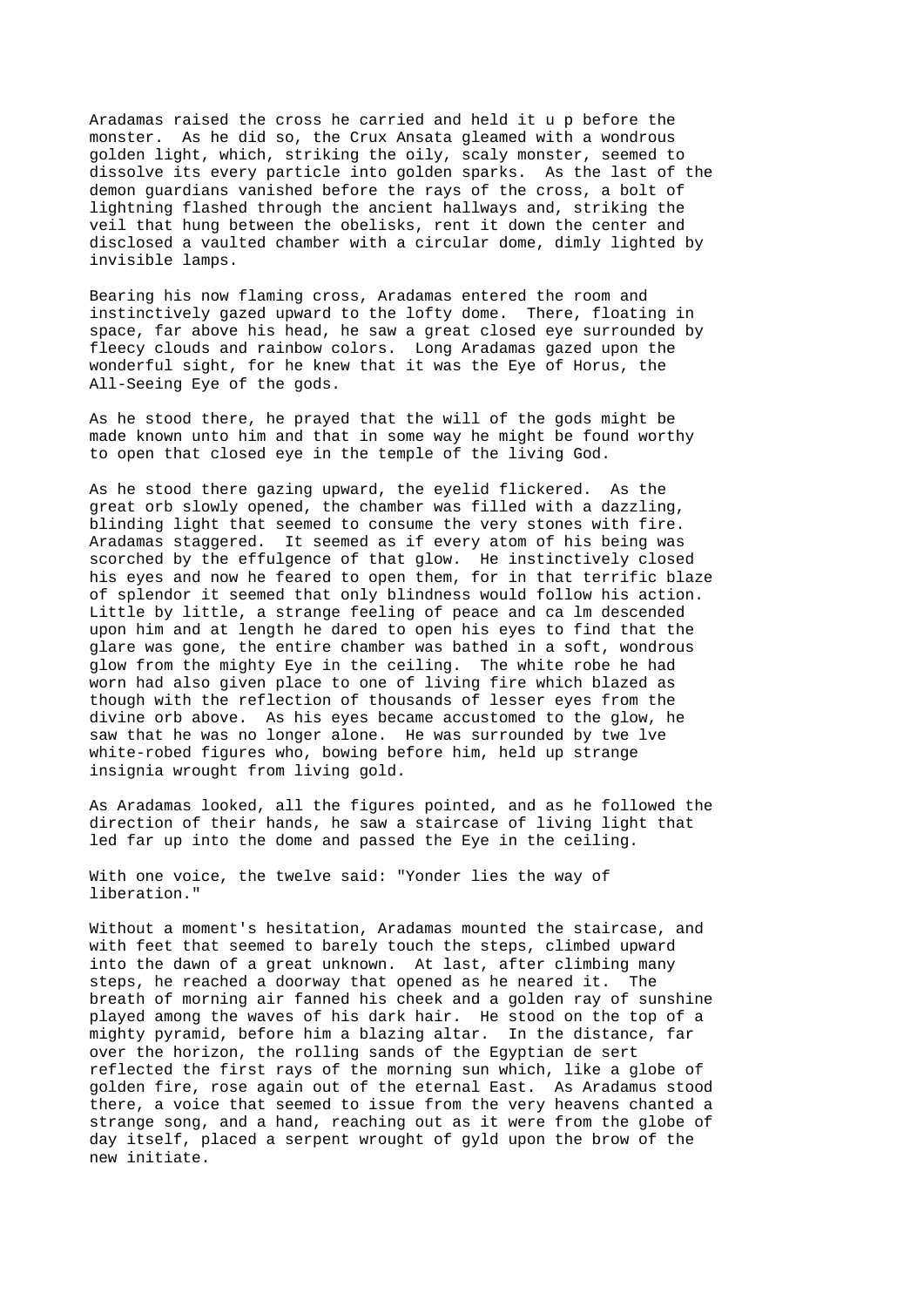Aradamas raised the cross he carried and held it u p before the monster. As he did so, the Crux Ansata gleamed with a wondrous golden light, which, striking the oily, scaly monster, seemed to dissolve its every particle into golden sparks. As the last of the demon guardians vanished before the rays of the cross, a bolt of lightning flashed through the ancient hallways and, striking the veil that hung between the obelisks, rent it down the center and disclosed a vaulted chamber with a circular dome, dimly lighted by invisible lamps.

Bearing his now flaming cross, Aradamas entered the room and instinctively gazed upward to the lofty dome. There, floating in space, far above his head, he saw a great closed eye surrounded by fleecy clouds and rainbow colors. Long Aradamas gazed upon the wonderful sight, for he knew that it was the Eye of Horus, the All-Seeing Eye of the gods.

As he stood there, he prayed that the will of the gods might be made known unto him and that in some way he might be found worthy to open that closed eye in the temple of the living God.

As he stood there gazing upward, the eyelid flickered. As the great orb slowly opened, the chamber was filled with a dazzling, blinding light that seemed to consume the very stones with fire. Aradamas staggered. It seemed as if every atom of his being was scorched by the effulgence of that glow. He instinctively closed his eyes and now he feared to open them, for in that terrific blaze of splendor it seemed that only blindness would follow his action. Little by little, a strange feeling of peace and ca lm descended upon him and at length he dared to open his eyes to find that the glare was gone, the entire chamber was bathed in a soft, wondrous glow from the mighty Eye in the ceiling. The white robe he had worn had also given place to one of living fire which blazed as though with the reflection of thousands of lesser eyes from the divine orb above. As his eyes became accustomed to the glow, he saw that he was no longer alone. He was surrounded by twe lve white-robed figures who, bowing before him, held up strange insignia wrought from living gold.

As Aradamas looked, all the figures pointed, and as he followed the direction of their hands, he saw a staircase of living light that led far up into the dome and passed the Eye in the ceiling.

With one voice, the twelve said: "Yonder lies the way of liberation."

Without a moment's hesitation, Aradamas mounted the staircase, and with feet that seemed to barely touch the steps, climbed upward into the dawn of a great unknown. At last, after climbing many steps, he reached a doorway that opened as he neared it. The breath of morning air fanned his cheek and a golden ray of sunshine played among the waves of his dark hair. He stood on the top of a mighty pyramid, before him a blazing altar. In the distance, far over the horizon, the rolling sands of the Egyptian de sert reflected the first rays of the morning sun which, like a globe of golden fire, rose again out of the eternal East. As Aradamus stood there, a voice that seemed to issue from the very heavens chanted a strange song, and a hand, reaching out as it were from the globe of day itself, placed a serpent wrought of gyld upon the brow of the new initiate.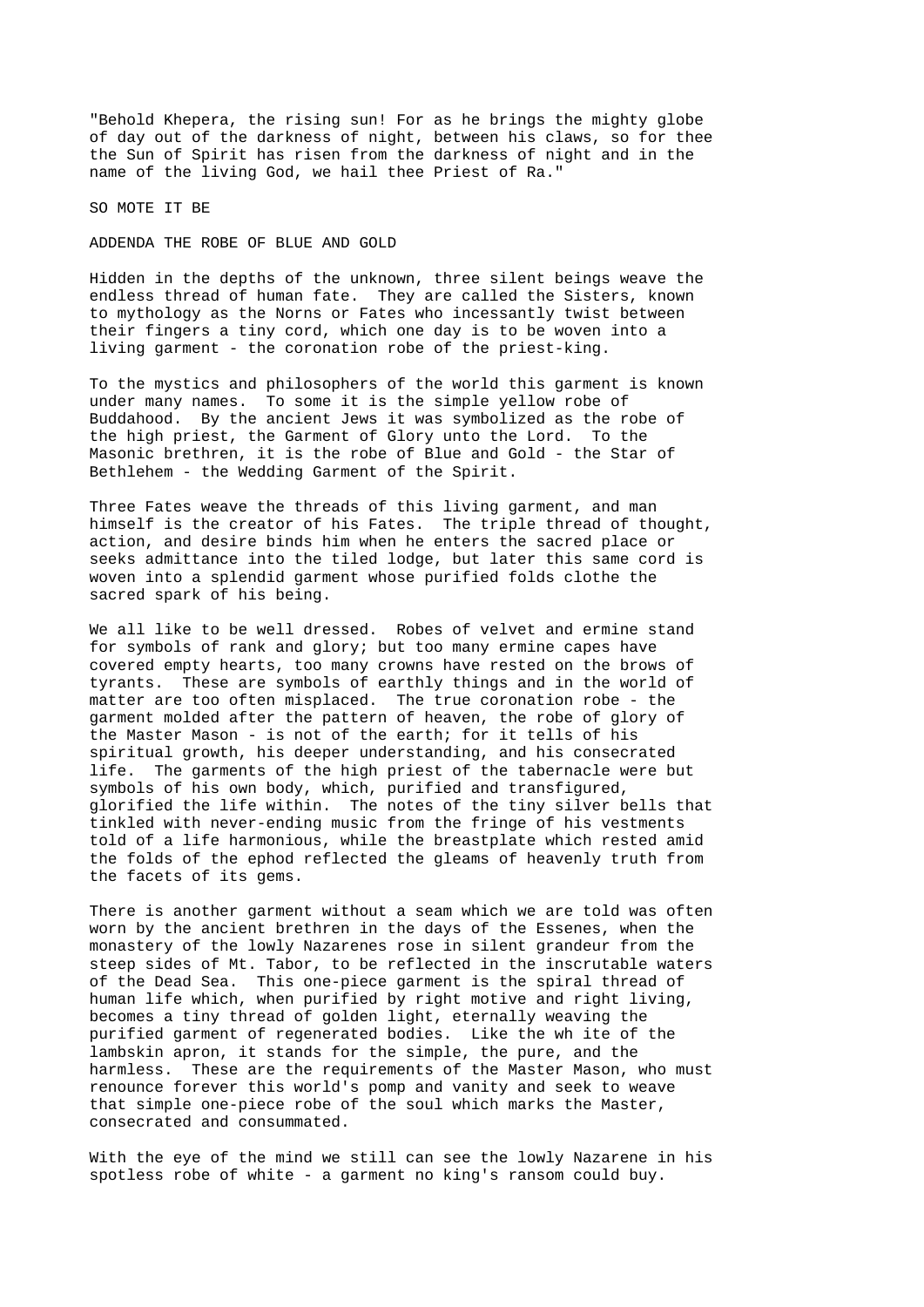"Behold Khepera, the rising sun! For as he brings the mighty globe of day out of the darkness of night, between his claws, so for thee the Sun of Spirit has risen from the darkness of night and in the name of the living God, we hail thee Priest of Ra."

SO MOTE IT BE

#### ADDENDA THE ROBE OF BLUE AND GOLD

Hidden in the depths of the unknown, three silent beings weave the endless thread of human fate. They are called the Sisters, known to mythology as the Norns or Fates who incessantly twist between their fingers a tiny cord, which one day is to be woven into a living garment - the coronation robe of the priest-king.

To the mystics and philosophers of the world this garment is known under many names. To some it is the simple yellow robe of Buddahood. By the ancient Jews it was symbolized as the robe of the high priest, the Garment of Glory unto the Lord. To the Masonic brethren, it is the robe of Blue and Gold - the Star of Bethlehem - the Wedding Garment of the Spirit.

Three Fates weave the threads of this living garment, and man himself is the creator of his Fates. The triple thread of thought, action, and desire binds him when he enters the sacred place or seeks admittance into the tiled lodge, but later this same cord is woven into a splendid garment whose purified folds clothe the sacred spark of his being.

We all like to be well dressed. Robes of velvet and ermine stand for symbols of rank and glory; but too many ermine capes have covered empty hearts, too many crowns have rested on the brows of tyrants. These are symbols of earthly things and in the world of matter are too often misplaced. The true coronation robe - the garment molded after the pattern of heaven, the robe of glory of the Master Mason - is not of the earth; for it tells of his spiritual growth, his deeper understanding, and his consecrated life. The garments of the high priest of the tabernacle were but symbols of his own body, which, purified and transfigured, glorified the life within. The notes of the tiny silver bells that tinkled with never-ending music from the fringe of his vestments told of a life harmonious, while the breastplate which rested amid the folds of the ephod reflected the gleams of heavenly truth from the facets of its gems.

There is another garment without a seam which we are told was often worn by the ancient brethren in the days of the Essenes, when the monastery of the lowly Nazarenes rose in silent grandeur from the steep sides of Mt. Tabor, to be reflected in the inscrutable waters of the Dead Sea. This one-piece garment is the spiral thread of human life which, when purified by right motive and right living, becomes a tiny thread of golden light, eternally weaving the purified garment of regenerated bodies. Like the wh ite of the lambskin apron, it stands for the simple, the pure, and the harmless. These are the requirements of the Master Mason, who must renounce forever this world's pomp and vanity and seek to weave that simple one-piece robe of the soul which marks the Master, consecrated and consummated.

With the eye of the mind we still can see the lowly Nazarene in his spotless robe of white - a garment no king's ransom could buy.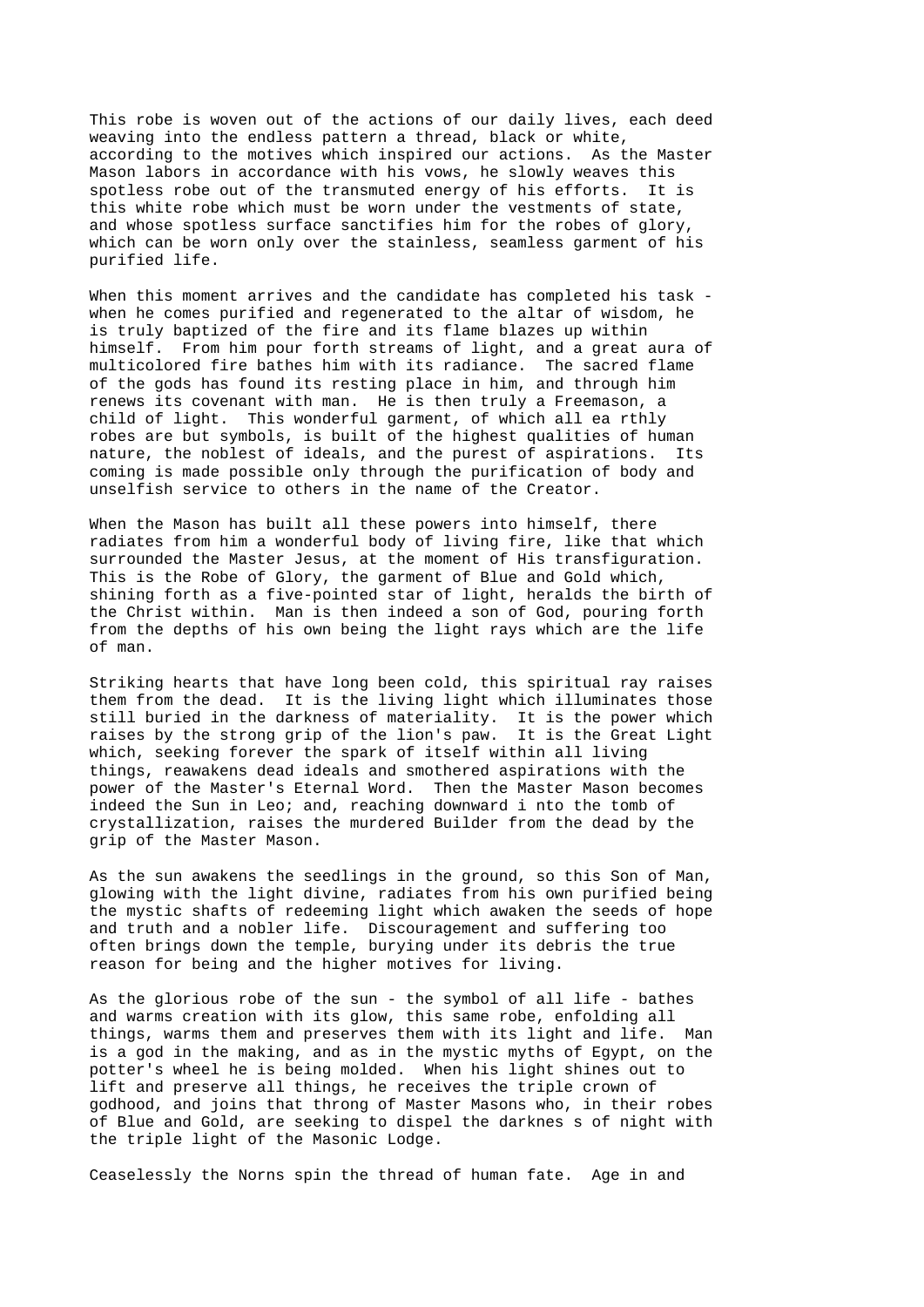This robe is woven out of the actions of our daily lives, each deed weaving into the endless pattern a thread, black or white, according to the motives which inspired our actions. As the Master Mason labors in accordance with his vows, he slowly weaves this spotless robe out of the transmuted energy of his efforts. It is this white robe which must be worn under the vestments of state, and whose spotless surface sanctifies him for the robes of glory, which can be worn only over the stainless, seamless garment of his purified life.

When this moment arrives and the candidate has completed his task when he comes purified and regenerated to the altar of wisdom, he is truly baptized of the fire and its flame blazes up within himself. From him pour forth streams of light, and a great aura of multicolored fire bathes him with its radiance. The sacred flame of the gods has found its resting place in him, and through him renews its covenant with man. He is then truly a Freemason, a child of light. This wonderful garment, of which all ea rthly robes are but symbols, is built of the highest qualities of human nature, the noblest of ideals, and the purest of aspirations. Its coming is made possible only through the purification of body and unselfish service to others in the name of the Creator.

When the Mason has built all these powers into himself, there radiates from him a wonderful body of living fire, like that which surrounded the Master Jesus, at the moment of His transfiguration. This is the Robe of Glory, the garment of Blue and Gold which, shining forth as a five-pointed star of light, heralds the birth of the Christ within. Man is then indeed a son of God, pouring forth from the depths of his own being the light rays which are the life of man.

Striking hearts that have long been cold, this spiritual ray raises them from the dead. It is the living light which illuminates those still buried in the darkness of materiality. It is the power which raises by the strong grip of the lion's paw. It is the Great Light which, seeking forever the spark of itself within all living things, reawakens dead ideals and smothered aspirations with the power of the Master's Eternal Word. Then the Master Mason becomes indeed the Sun in Leo; and, reaching downward i nto the tomb of crystallization, raises the murdered Builder from the dead by the grip of the Master Mason.

As the sun awakens the seedlings in the ground, so this Son of Man, glowing with the light divine, radiates from his own purified being the mystic shafts of redeeming light which awaken the seeds of hope and truth and a nobler life. Discouragement and suffering too often brings down the temple, burying under its debris the true reason for being and the higher motives for living.

As the glorious robe of the sun - the symbol of all life - bathes and warms creation with its glow, this same robe, enfolding all things, warms them and preserves them with its light and life. Man is a god in the making, and as in the mystic myths of Egypt, on the potter's wheel he is being molded. When his light shines out to lift and preserve all things, he receives the triple crown of godhood, and joins that throng of Master Masons who, in their robes of Blue and Gold, are seeking to dispel the darknes s of night with the triple light of the Masonic Lodge.

Ceaselessly the Norns spin the thread of human fate. Age in and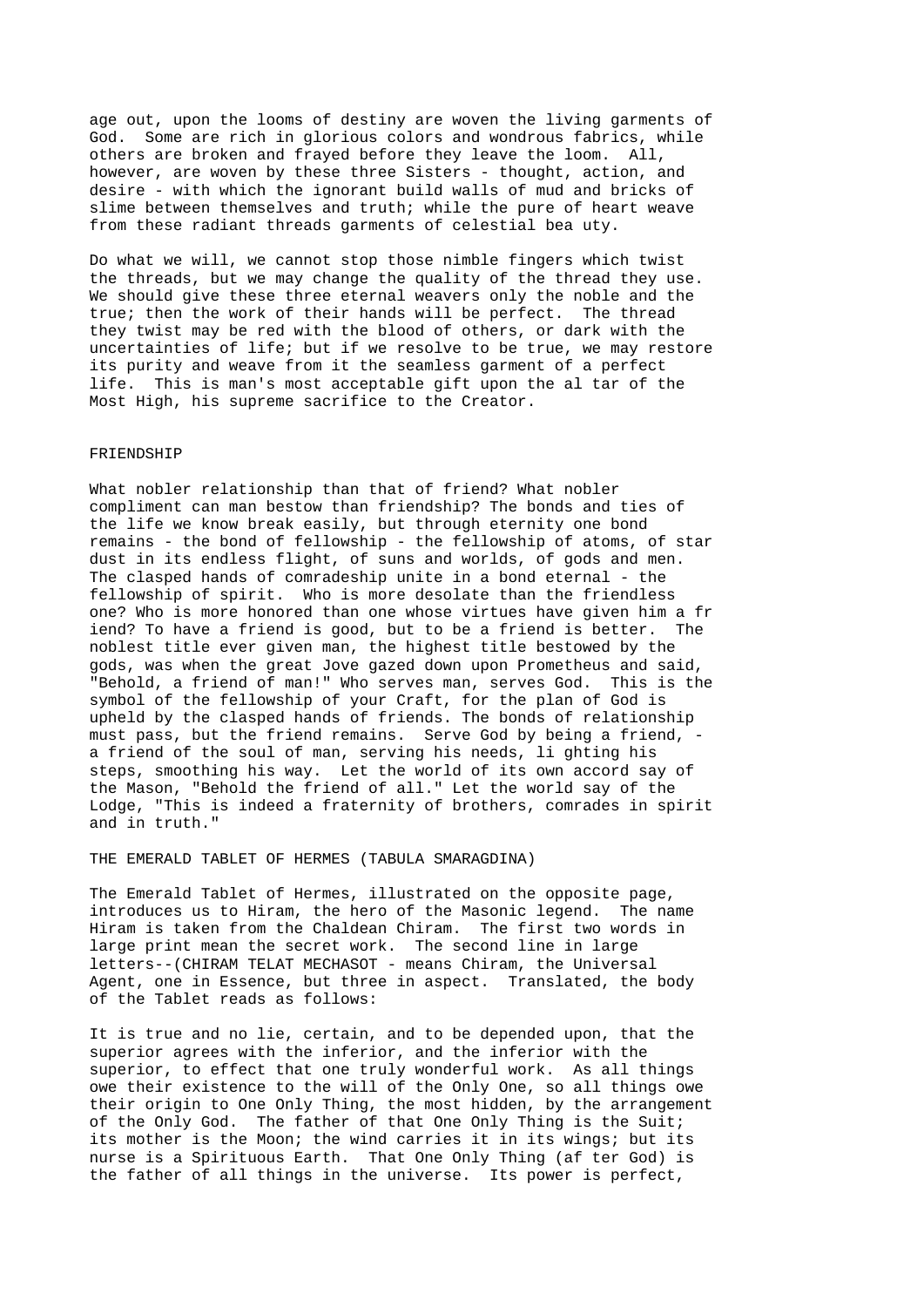age out, upon the looms of destiny are woven the living garments of God. Some are rich in glorious colors and wondrous fabrics, while others are broken and frayed before they leave the loom. All, however, are woven by these three Sisters - thought, action, and desire - with which the ignorant build walls of mud and bricks of slime between themselves and truth; while the pure of heart weave from these radiant threads garments of celestial bea uty.

Do what we will, we cannot stop those nimble fingers which twist the threads, but we may change the quality of the thread they use. We should give these three eternal weavers only the noble and the true; then the work of their hands will be perfect. The thread they twist may be red with the blood of others, or dark with the uncertainties of life; but if we resolve to be true, we may restore its purity and weave from it the seamless garment of a perfect life. This is man's most acceptable gift upon the al tar of the Most High, his supreme sacrifice to the Creator.

# FRIENDSHIP

What nobler relationship than that of friend? What nobler compliment can man bestow than friendship? The bonds and ties of the life we know break easily, but through eternity one bond remains - the bond of fellowship - the fellowship of atoms, of star dust in its endless flight, of suns and worlds, of gods and men. The clasped hands of comradeship unite in a bond eternal - the fellowship of spirit. Who is more desolate than the friendless one? Who is more honored than one whose virtues have given him a fr iend? To have a friend is good, but to be a friend is better. The noblest title ever given man, the highest title bestowed by the gods, was when the great Jove gazed down upon Prometheus and said, "Behold, a friend of man!" Who serves man, serves God. This is the symbol of the fellowship of your Craft, for the plan of God is upheld by the clasped hands of friends. The bonds of relationship must pass, but the friend remains. Serve God by being a friend, a friend of the soul of man, serving his needs, li ghting his steps, smoothing his way. Let the world of its own accord say of the Mason, "Behold the friend of all." Let the world say of the Lodge, "This is indeed a fraternity of brothers, comrades in spirit and in truth."

THE EMERALD TABLET OF HERMES (TABULA SMARAGDINA)

The Emerald Tablet of Hermes, illustrated on the opposite page, introduces us to Hiram, the hero of the Masonic legend. The name Hiram is taken from the Chaldean Chiram. The first two words in large print mean the secret work. The second line in large letters--(CHIRAM TELAT MECHASOT - means Chiram, the Universal Agent, one in Essence, but three in aspect. Translated, the body of the Tablet reads as follows:

It is true and no lie, certain, and to be depended upon, that the superior agrees with the inferior, and the inferior with the superior, to effect that one truly wonderful work. As all things owe their existence to the will of the Only One, so all things owe their origin to One Only Thing, the most hidden, by the arrangement of the Only God. The father of that One Only Thing is the Suit; its mother is the Moon; the wind carries it in its wings; but its nurse is a Spirituous Earth. That One Only Thing (af ter God) is the father of all things in the universe. Its power is perfect,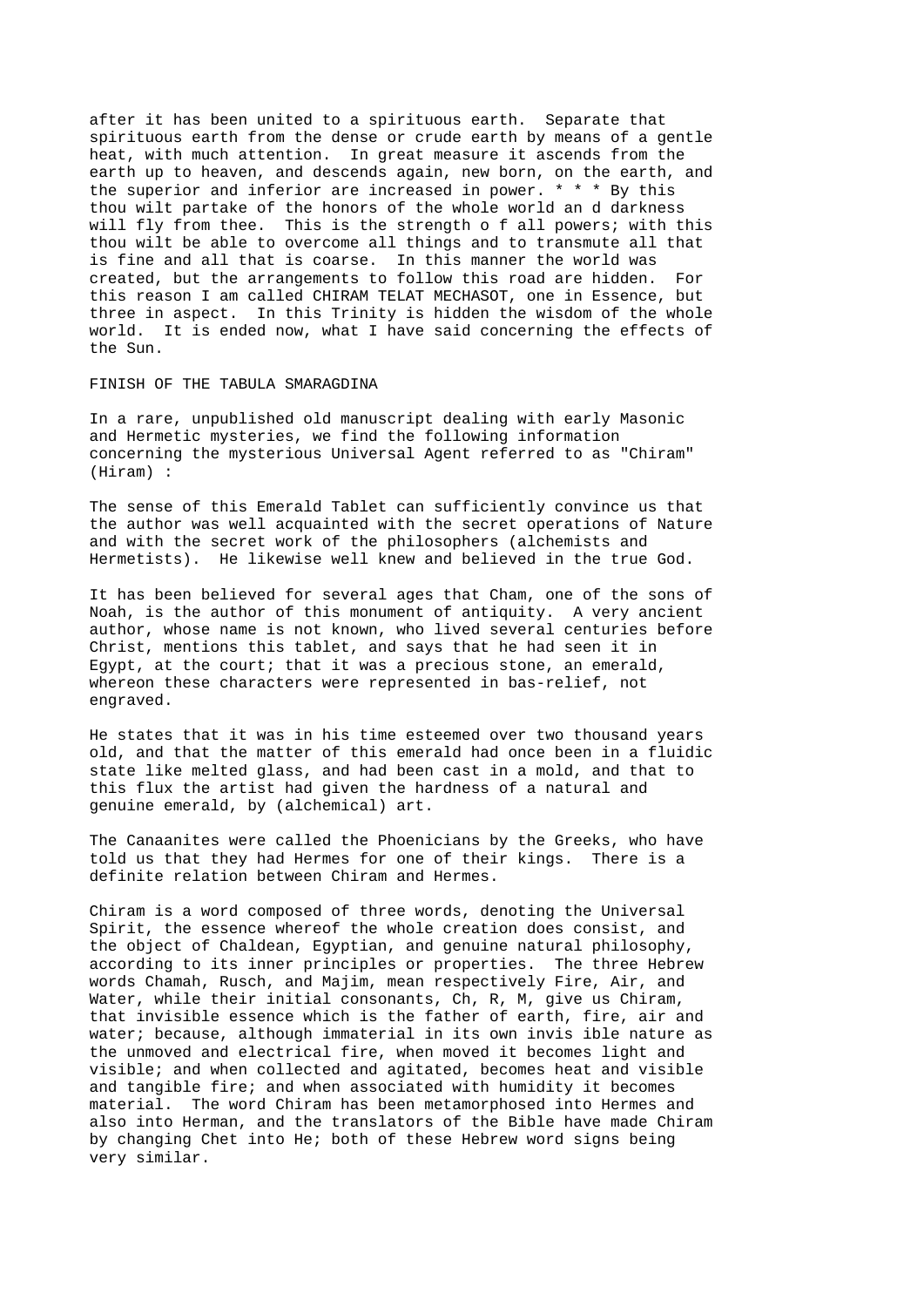after it has been united to a spirituous earth. Separate that spirituous earth from the dense or crude earth by means of a gentle heat, with much attention. In great measure it ascends from the earth up to heaven, and descends again, new born, on the earth, and the superior and inferior are increased in power. \* \* \* By this thou wilt partake of the honors of the whole world an d darkness will fly from thee. This is the strength o f all powers; with this thou wilt be able to overcome all things and to transmute all that is fine and all that is coarse. In this manner the world was created, but the arrangements to follow this road are hidden. For this reason I am called CHIRAM TELAT MECHASOT, one in Essence, but three in aspect. In this Trinity is hidden the wisdom of the whole world. It is ended now, what I have said concerning the effects of the Sun.

FINISH OF THE TABULA SMARAGDINA

In a rare, unpublished old manuscript dealing with early Masonic and Hermetic mysteries, we find the following information concerning the mysterious Universal Agent referred to as "Chiram" (Hiram) :

The sense of this Emerald Tablet can sufficiently convince us that the author was well acquainted with the secret operations of Nature and with the secret work of the philosophers (alchemists and Hermetists). He likewise well knew and believed in the true God.

It has been believed for several ages that Cham, one of the sons of Noah, is the author of this monument of antiquity. A very ancient author, whose name is not known, who lived several centuries before Christ, mentions this tablet, and says that he had seen it in Egypt, at the court; that it was a precious stone, an emerald, whereon these characters were represented in bas-relief, not engraved.

He states that it was in his time esteemed over two thousand years old, and that the matter of this emerald had once been in a fluidic state like melted glass, and had been cast in a mold, and that to this flux the artist had given the hardness of a natural and genuine emerald, by (alchemical) art.

The Canaanites were called the Phoenicians by the Greeks, who have told us that they had Hermes for one of their kings. There is a definite relation between Chiram and Hermes.

Chiram is a word composed of three words, denoting the Universal Spirit, the essence whereof the whole creation does consist, and the object of Chaldean, Egyptian, and genuine natural philosophy, according to its inner principles or properties. The three Hebrew words Chamah, Rusch, and Majim, mean respectively Fire, Air, and Water, while their initial consonants, Ch, R, M, give us Chiram, that invisible essence which is the father of earth, fire, air and water; because, although immaterial in its own invis ible nature as the unmoved and electrical fire, when moved it becomes light and visible; and when collected and agitated, becomes heat and visible and tangible fire; and when associated with humidity it becomes material. The word Chiram has been metamorphosed into Hermes and also into Herman, and the translators of the Bible have made Chiram by changing Chet into He; both of these Hebrew word signs being very similar.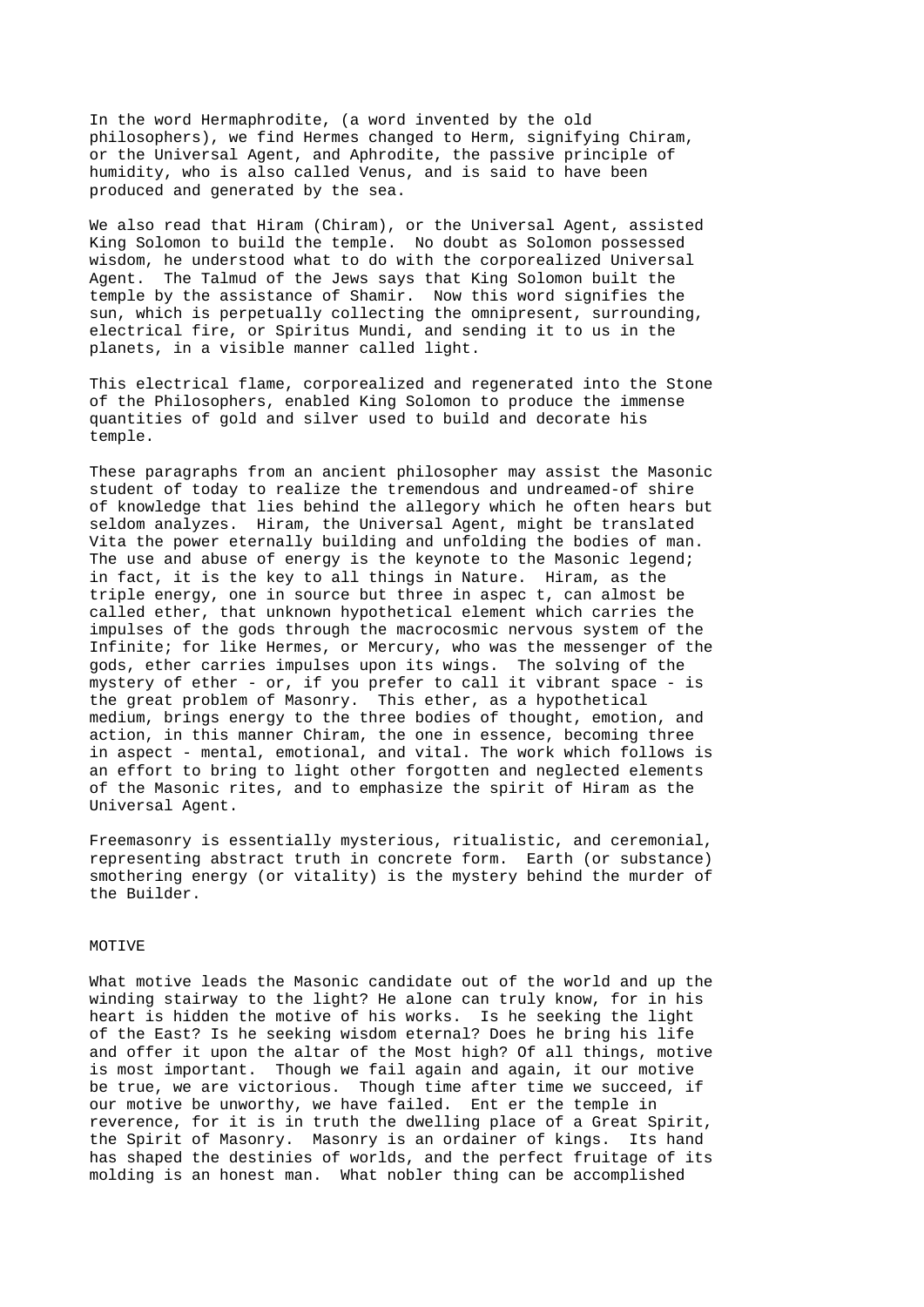In the word Hermaphrodite, (a word invented by the old philosophers), we find Hermes changed to Herm, signifying Chiram, or the Universal Agent, and Aphrodite, the passive principle of humidity, who is also called Venus, and is said to have been produced and generated by the sea.

We also read that Hiram (Chiram), or the Universal Agent, assisted King Solomon to build the temple. No doubt as Solomon possessed wisdom, he understood what to do with the corporealized Universal Agent. The Talmud of the Jews says that King Solomon built the temple by the assistance of Shamir. Now this word signifies the sun, which is perpetually collecting the omnipresent, surrounding, electrical fire, or Spiritus Mundi, and sending it to us in the planets, in a visible manner called light.

This electrical flame, corporealized and regenerated into the Stone of the Philosophers, enabled King Solomon to produce the immense quantities of gold and silver used to build and decorate his temple.

These paragraphs from an ancient philosopher may assist the Masonic student of today to realize the tremendous and undreamed-of shire of knowledge that lies behind the allegory which he often hears but seldom analyzes. Hiram, the Universal Agent, might be translated Vita the power eternally building and unfolding the bodies of man. The use and abuse of energy is the keynote to the Masonic legend; in fact, it is the key to all things in Nature. Hiram, as the triple energy, one in source but three in aspec t, can almost be called ether, that unknown hypothetical element which carries the impulses of the gods through the macrocosmic nervous system of the Infinite; for like Hermes, or Mercury, who was the messenger of the gods, ether carries impulses upon its wings. The solving of the mystery of ether - or, if you prefer to call it vibrant space - is the great problem of Masonry. This ether, as a hypothetical medium, brings energy to the three bodies of thought, emotion, and action, in this manner Chiram, the one in essence, becoming three in aspect - mental, emotional, and vital. The work which follows is an effort to bring to light other forgotten and neglected elements of the Masonic rites, and to emphasize the spirit of Hiram as the Universal Agent.

Freemasonry is essentially mysterious, ritualistic, and ceremonial, representing abstract truth in concrete form. Earth (or substance) smothering energy (or vitality) is the mystery behind the murder of the Builder.

# MOTIVE

What motive leads the Masonic candidate out of the world and up the winding stairway to the light? He alone can truly know, for in his heart is hidden the motive of his works. Is he seeking the light of the East? Is he seeking wisdom eternal? Does he bring his life and offer it upon the altar of the Most high? Of all things, motive is most important. Though we fail again and again, it our motive be true, we are victorious. Though time after time we succeed, if our motive be unworthy, we have failed. Ent er the temple in reverence, for it is in truth the dwelling place of a Great Spirit, the Spirit of Masonry. Masonry is an ordainer of kings. Its hand has shaped the destinies of worlds, and the perfect fruitage of its molding is an honest man. What nobler thing can be accomplished